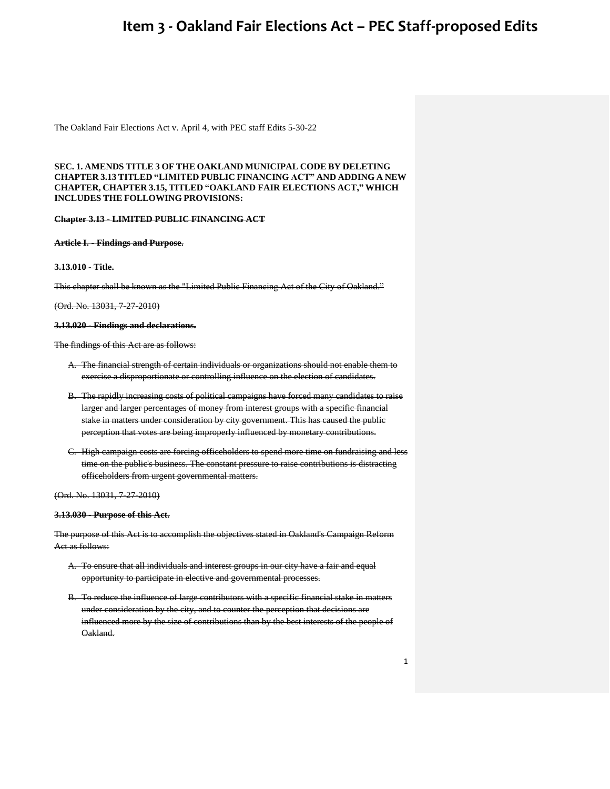The Oakland Fair Elections Act v. April 4, with PEC staff Edits 5-30-22

### **SEC. 1. AMENDS TITLE 3 OF THE OAKLAND MUNICIPAL CODE BY DELETING CHAPTER 3.13 TITLED "LIMITED PUBLIC FINANCING ACT" AND ADDING A NEW CHAPTER, CHAPTER 3.15, TITLED "OAKLAND FAIR ELECTIONS ACT," WHICH INCLUDES THE FOLLOWING PROVISIONS:**

#### **Chapter 3.13 - LIMITED PUBLIC FINANCING ACT**

#### **Article I. - Findings and Purpose.**

#### **3.13.010 - Title.**

This chapter shall be known as the "Limited Public Financing Act of the City of Oakland."

### (Ord. No. 13031, 7-27-2010)

#### **3.13.020 - Findings and declarations.**

The findings of this Act are as follows:

- A. The financial strength of certain individuals or organizations should not enable them to exercise a disproportionate or controlling influence on the election of candidates.
- B. The rapidly increasing costs of political campaigns have forced many candidates to raise larger and larger percentages of money from interest groups with a specific financial stake in matters under consideration by city government. This has caused the public perception that votes are being improperly influenced by monetary contributions.
- C. High campaign costs are forcing officeholders to spend more time on fundraising and less time on the public's business. The constant pressure to raise contributions is distracting officeholders from urgent governmental matters.

(Ord. No. 13031, 7-27-2010)

#### **3.13.030 - Purpose of this Act.**

The purpose of this Act is to accomplish the objectives stated in Oakland's Campaign Reform Act as follows:

- A. To ensure that all individuals and interest groups in our city have a fair and equal opportunity to participate in elective and governmental processes.
- B. To reduce the influence of large contributors with a specific financial stake in matters under consideration by the city, and to counter the perception that decisions are influenced more by the size of contributions than by the best interests of the people of Oakland.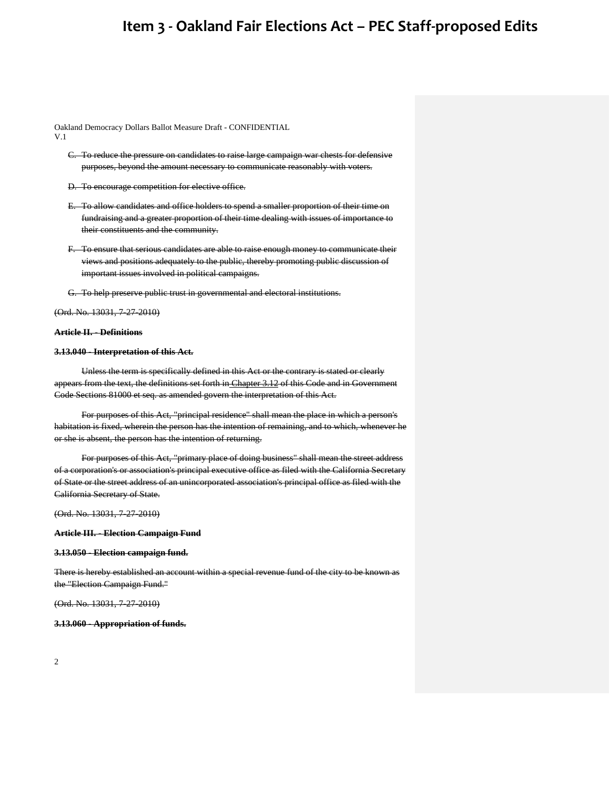Oakland Democracy Dollars Ballot Measure Draft - CONFIDENTIAL V.1

- C. To reduce the pressure on candidates to raise large campaign war chests for defensive purposes, beyond the amount necessary to communicate reasonably with voters.
- D. To encourage competition for elective office.
- E. To allow candidates and office holders to spend a smaller proportion of their time on fundraising and a greater proportion of their time dealing with issues of importance to their constituents and the community.
- F. To ensure that serious candidates are able to raise enough money to communicate their views and positions adequately to the public, thereby promoting public discussion of important issues involved in political campaigns.
- G. To help preserve public trust in governmental and electoral institutions.

(Ord. No. 13031, 7-27-2010)

#### **Article II. - Definitions**

#### **3.13.040 - Interpretation of this Act.**

Unless the term is specifically defined in this Act or the contrary is stated or clearly appears from the text, the definitions set forth in [Chapter 3.12](https://library.municode.com/ca/oakland/codes/code_of_ordinances/283553?nodeId=TIT3MUEL_CH3.12THOACAREAC) of this Code and in Government Code Sections 81000 et seq. as amended govern the interpretation of this Act.

For purposes of this Act, "principal residence" shall mean the place in which a person's habitation is fixed, wherein the person has the intention of remaining, and to which, whenever he or she is absent, the person has the intention of returning.

For purposes of this Act, "primary place of doing business" shall mean the street address of a corporation's or association's principal executive office as filed with the California Secretary of State or the street address of an unincorporated association's principal office as filed with the California Secretary of State.

(Ord. No. 13031, 7-27-2010)

**Article III. - Election Campaign Fund**

#### **3.13.050 - Election campaign fund.**

There is hereby established an account within a special revenue fund of the city to be known as the "Election Campaign Fund."

(Ord. No. 13031, 7-27-2010)

#### **3.13.060 - Appropriation of funds.**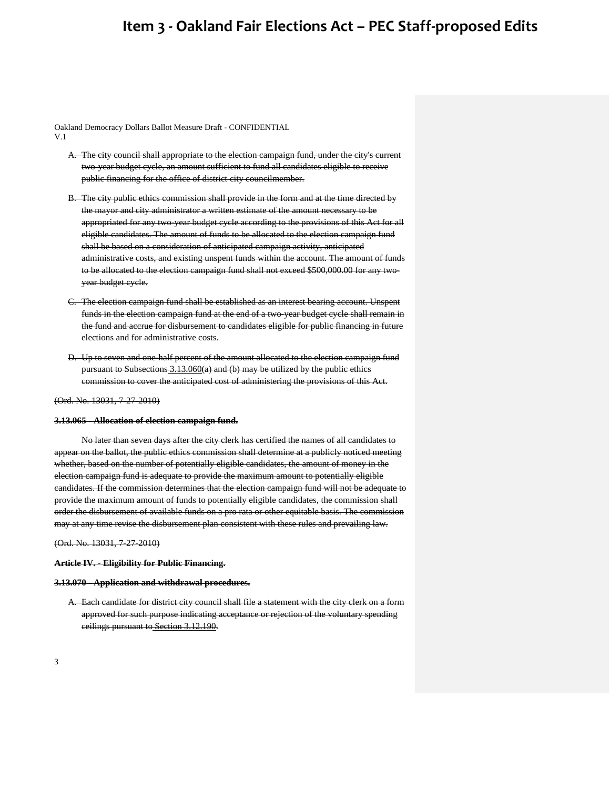Oakland Democracy Dollars Ballot Measure Draft - CONFIDENTIAL V.1

- A. The city council shall appropriate to the election campaign fund, under the city's current two-year budget cycle, an amount sufficient to fund all candidates eligible to receive public financing for the office of district city councilmember.
- B. The city public ethics commission shall provide in the form and at the time directed by the mayor and city administrator a written estimate of the amount necessary to be appropriated for any two-year budget cycle according to the provisions of this Act for all eligible candidates. The amount of funds to be allocated to the election campaign fund shall be based on a consideration of anticipated campaign activity, anticipated administrative costs, and existing unspent funds within the account. The amount of funds to be allocated to the election campaign fund shall not exceed \$500,000.00 for any twoyear budget cycle.
- C. The election campaign fund shall be established as an interest bearing account. Unspent funds in the election campaign fund at the end of a two-year budget cycle shall remain in the fund and accrue for disbursement to candidates eligible for public financing in future elections and for administrative costs.
- D. Up to seven and one-half percent of the amount allocated to the election campaign fund pursuant to Subsections [3.13.060\(](https://library.municode.com/ca/oakland/codes/code_of_ordinances/283553?nodeId=TIT3MUEL_CH3.13LIPUFIAC_ARTIIIELCAFU_3.13.060APFU)a) and (b) may be utilized by the public ethics commission to cover the anticipated cost of administering the provisions of this Act.

(Ord. No. 13031, 7-27-2010)

#### **3.13.065 - Allocation of election campaign fund.**

No later than seven days after the city clerk has certified the names of all candidates to appear on the ballot, the public ethics commission shall determine at a publicly noticed meeting whether, based on the number of potentially eligible candidates, the amount of money in the election campaign fund is adequate to provide the maximum amount to potentially eligible candidates. If the commission determines that the election campaign fund will not be adequate to provide the maximum amount of funds to potentially eligible candidates, the commission shall order the disbursement of available funds on a pro rata or other equitable basis. The commission may at any time revise the disbursement plan consistent with these rules and prevailing law.

(Ord. No. 13031, 7-27-2010)

**Article IV. - Eligibility for Public Financing.**

#### **3.13.070 - Application and withdrawal procedures.**

A. Each candidate for district city council shall file a statement with the city clerk on a form approved for such purpose indicating acceptance or rejection of the voluntary spending ceilings pursuant to [Section 3.12.190.](https://library.municode.com/ca/oakland/codes/code_of_ordinances/283553?nodeId=TIT3MUEL_CH3.12THOACAREAC_ARTIVEXCE_3.12.190EXCE)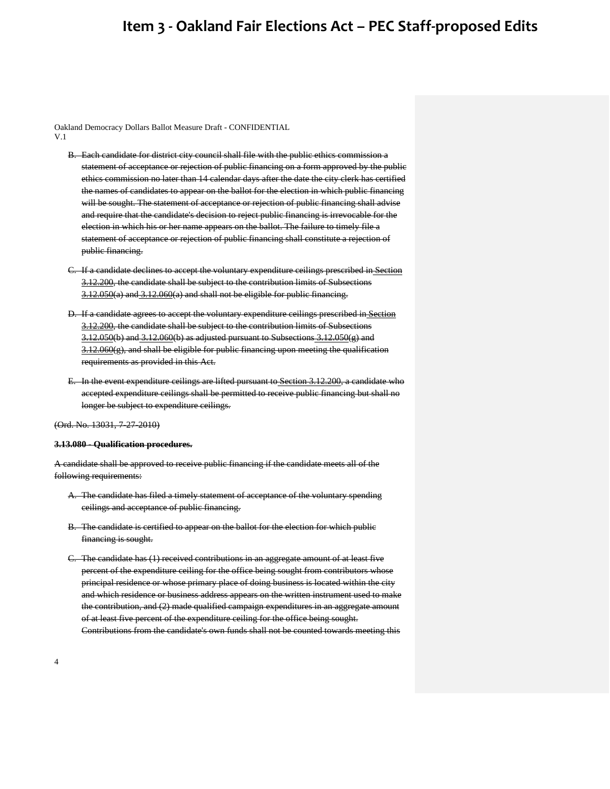Oakland Democracy Dollars Ballot Measure Draft - CONFIDENTIAL V.1

- B. Each candidate for district city council shall file with the public ethics commission a statement of acceptance or rejection of public financing on a form approved by the public ethics commission no later than 14 calendar days after the date the city clerk has certified the names of candidates to appear on the ballot for the election in which public financing will be sought. The statement of acceptance or rejection of public financing shall advise and require that the candidate's decision to reject public financing is irrevocable for the election in which his or her name appears on the ballot. The failure to timely file a statement of acceptance or rejection of public financing shall constitute a rejection of public financing.
- C. If a candidate declines to accept the voluntary expenditure ceilings prescribed in [Section](https://library.municode.com/ca/oakland/codes/code_of_ordinances/283553?nodeId=TIT3MUEL_CH3.12THOACAREAC_ARTIVEXCE_3.12.200AMEXCE)  [3.12.200,](https://library.municode.com/ca/oakland/codes/code_of_ordinances/283553?nodeId=TIT3MUEL_CH3.12THOACAREAC_ARTIVEXCE_3.12.200AMEXCE) the candidate shall be subject to the contribution limits of Subsection[s](https://library.municode.com/ca/oakland/codes/code_of_ordinances/283553?nodeId=TIT3MUEL_CH3.12THOACAREAC_ARTIIICOLI_3.12.050LICOPE)  $3.12.050(a)$  $3.12.050(a)$  and  $3.12.060(a)$  $3.12.060(a)$  and shall not be eligible for public financing.
- D. If a candidate agrees to accept the voluntary expenditure ceilings prescribed in [Section](https://library.municode.com/ca/oakland/codes/code_of_ordinances/283553?nodeId=TIT3MUEL_CH3.12THOACAREAC_ARTIVEXCE_3.12.200AMEXCE)  [3.12.200,](https://library.municode.com/ca/oakland/codes/code_of_ordinances/283553?nodeId=TIT3MUEL_CH3.12THOACAREAC_ARTIVEXCE_3.12.200AMEXCE) the candidate shall be subject to the contribution limits of Subsection[s](https://library.municode.com/ca/oakland/codes/code_of_ordinances/283553?nodeId=TIT3MUEL_CH3.12THOACAREAC_ARTIIICOLI_3.12.050LICOPE)  $3.12.050(b)$  $3.12.050(b)$  an[d](https://library.municode.com/ca/oakland/codes/code_of_ordinances/283553?nodeId=TIT3MUEL_CH3.12THOACAREAC_ARTIIICOLI_3.12.060LICOBRSEPOCO)  $3.12.060(b)$  $3.12.060(b)$  as adjusted pursuant to Subsections  $3.12.050(g)$  and [3.12.060\(](https://library.municode.com/ca/oakland/codes/code_of_ordinances/283553?nodeId=TIT3MUEL_CH3.12THOACAREAC_ARTIIICOLI_3.12.060LICOBRSEPOCO)g), and shall be eligible for public financing upon meeting the qualification requirements as provided in this Act.
- E. In the event expenditure ceilings are lifted pursuant to [Section 3.12.200,](https://library.municode.com/ca/oakland/codes/code_of_ordinances/283553?nodeId=TIT3MUEL_CH3.12THOACAREAC_ARTIVEXCE_3.12.200AMEXCE) a candidate who accepted expenditure ceilings shall be permitted to receive public financing but shall no longer be subject to expenditure ceilings.

(Ord. No. 13031, 7-27-2010)

#### **3.13.080 - Qualification procedures.**

A candidate shall be approved to receive public financing if the candidate meets all of the following requirements:

- A. The candidate has filed a timely statement of acceptance of the voluntary spending ceilings and acceptance of public financing.
- B. The candidate is certified to appear on the ballot for the election for which public financing is sought.
- C. The candidate has (1) received contributions in an aggregate amount of at least five percent of the expenditure ceiling for the office being sought from contributors whose principal residence or whose primary place of doing business is located within the city and which residence or business address appears on the written instrument used to make the contribution, and (2) made qualified campaign expenditures in an aggregate amount of at least five percent of the expenditure ceiling for the office being sought. Contributions from the candidate's own funds shall not be counted towards meeting this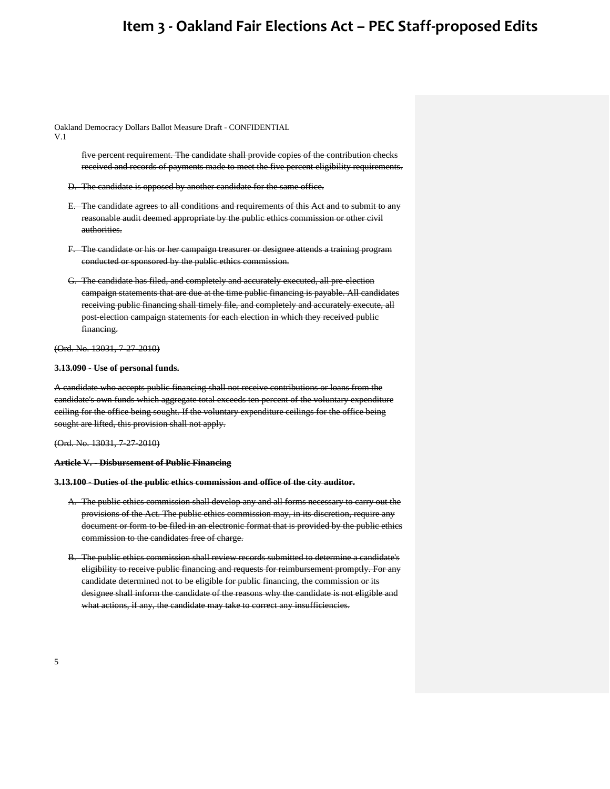Oakland Democracy Dollars Ballot Measure Draft - CONFIDENTIAL

V.1

five percent requirement. The candidate shall provide copies of the contribution checks received and records of payments made to meet the five percent eligibility requirements.

- D. The candidate is opposed by another candidate for the same office.
- E. The candidate agrees to all conditions and requirements of this Act and to submit to any reasonable audit deemed appropriate by the public ethics commission or other civil authorities.
- F. The candidate or his or her campaign treasurer or designee attends a training program conducted or sponsored by the public ethics commission.
- G. The candidate has filed, and completely and accurately executed, all pre-election campaign statements that are due at the time public financing is payable. All candidates receiving public financing shall timely file, and completely and accurately execute, all post-election campaign statements for each election in which they received public financing.

### (Ord. No. 13031, 7-27-2010)

#### **3.13.090 - Use of personal funds.**

A candidate who accepts public financing shall not receive contributions or loans from the candidate's own funds which aggregate total exceeds ten percent of the voluntary expenditure ceiling for the office being sought. If the voluntary expenditure ceilings for the office being sought are lifted, this provision shall not apply.

(Ord. No. 13031, 7-27-2010)

#### **Article V. - Disbursement of Public Financing**

### **3.13.100 - Duties of the public ethics commission and office of the city auditor.**

- A. The public ethics commission shall develop any and all forms necessary to carry out the provisions of the Act. The public ethics commission may, in its discretion, require any document or form to be filed in an electronic format that is provided by the public ethics commission to the candidates free of charge.
- B. The public ethics commission shall review records submitted to determine a candidate's eligibility to receive public financing and requests for reimbursement promptly. For any candidate determined not to be eligible for public financing, the commission or its designee shall inform the candidate of the reasons why the candidate is not eligible and what actions, if any, the candidate may take to correct any insufficiencies.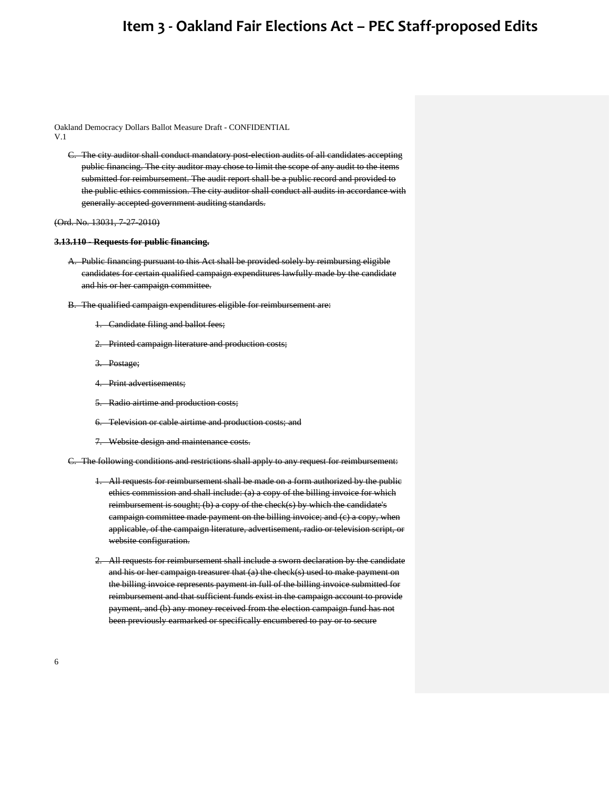Oakland Democracy Dollars Ballot Measure Draft - CONFIDENTIAL V.1

C. The city auditor shall conduct mandatory post-election audits of all candidates accepting public financing. The city auditor may chose to limit the scope of any audit to the items submitted for reimbursement. The audit report shall be a public record and provided to the public ethics commission. The city auditor shall conduct all audits in accordance with generally accepted government auditing standards.

#### (Ord. No. 13031, 7-27-2010)

#### **3.13.110 - Requests for public financing.**

- A. Public financing pursuant to this Act shall be provided solely by reimbursing eligible candidates for certain qualified campaign expenditures lawfully made by the candidate and his or her campaign committee.
- B. The qualified campaign expenditures eligible for reimbursement are:
	- 1. Candidate filing and ballot fees;
	- 2. Printed campaign literature and production costs;
	- 3. Postage;
	- 4. Print advertisements;
	- 5. Radio airtime and production costs;
	- 6. Television or cable airtime and production costs; and
	- 7. Website design and maintenance costs.

C. The following conditions and restrictions shall apply to any request for reimbursement:

- 1. All requests for reimbursement shall be made on a form authorized by the public ethics commission and shall include: (a) a copy of the billing invoice for which reimbursement is sought; (b) a copy of the check(s) by which the candidate's campaign committee made payment on the billing invoice; and (c) a copy, when applicable, of the campaign literature, advertisement, radio or television script, or website configuration.
- 2. All requests for reimbursement shall include a sworn declaration by the candidate and his or her campaign treasurer that (a) the check(s) used to make payment on the billing invoice represents payment in full of the billing invoice submitted for reimbursement and that sufficient funds exist in the campaign account to provide payment, and (b) any money received from the election campaign fund has not been previously earmarked or specifically encumbered to pay or to secure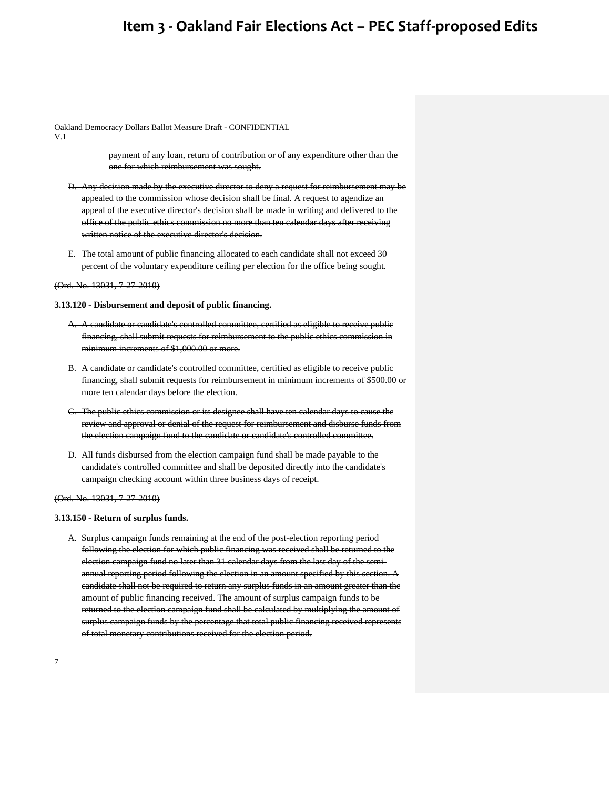Oakland Democracy Dollars Ballot Measure Draft - CONFIDENTIAL

V.1

payment of any loan, return of contribution or of any expenditure other than the one for which reimbursement was sought.

- D. Any decision made by the executive director to deny a request for reimbursement may be appealed to the commission whose decision shall be final. A request to agendize an appeal of the executive director's decision shall be made in writing and delivered to the office of the public ethics commission no more than ten calendar days after receiving written notice of the executive director's decision.
- E. The total amount of public financing allocated to each candidate shall not exceed 30 percent of the voluntary expenditure ceiling per election for the office being sought.

(Ord. No. 13031, 7-27-2010)

#### **3.13.120 - Disbursement and deposit of public financing.**

- A. A candidate or candidate's controlled committee, certified as eligible to receive public financing, shall submit requests for reimbursement to the public ethics commission in minimum increments of \$1,000.00 or more.
- B. A candidate or candidate's controlled committee, certified as eligible to receive public financing, shall submit requests for reimbursement in minimum increments of \$500.00 or more ten calendar days before the election.
- C. The public ethics commission or its designee shall have ten calendar days to cause the review and approval or denial of the request for reimbursement and disburse funds from the election campaign fund to the candidate or candidate's controlled committee.
- D. All funds disbursed from the election campaign fund shall be made payable to the candidate's controlled committee and shall be deposited directly into the candidate's campaign checking account within three business days of receipt.

(Ord. No. 13031, 7-27-2010)

#### **3.13.150 - Return of surplus funds.**

A. Surplus campaign funds remaining at the end of the post-election reporting period following the election for which public financing was received shall be returned to the election campaign fund no later than 31 calendar days from the last day of the semiannual reporting period following the election in an amount specified by this section. A candidate shall not be required to return any surplus funds in an amount greater than the amount of public financing received. The amount of surplus campaign funds to be returned to the election campaign fund shall be calculated by multiplying the amount of surplus campaign funds by the percentage that total public financing received represents of total monetary contributions received for the election period.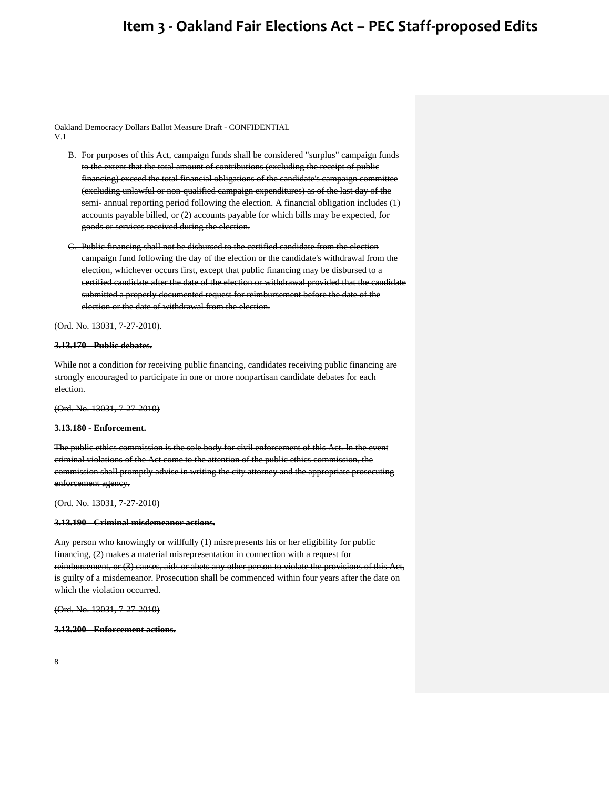Oakland Democracy Dollars Ballot Measure Draft - CONFIDENTIAL V.1

- B. For purposes of this Act, campaign funds shall be considered "surplus" campaign funds to the extent that the total amount of contributions (excluding the receipt of public financing) exceed the total financial obligations of the candidate's campaign committee (excluding unlawful or non-qualified campaign expenditures) as of the last day of the semi- annual reporting period following the election. A financial obligation includes (1) accounts payable billed, or (2) accounts payable for which bills may be expected, for goods or services received during the election.
- C. Public financing shall not be disbursed to the certified candidate from the election campaign fund following the day of the election or the candidate's withdrawal from the election, whichever occurs first, except that public financing may be disbursed to a certified candidate after the date of the election or withdrawal provided that the candidate submitted a properly documented request for reimbursement before the date of the election or the date of withdrawal from the election.

(Ord. No. 13031, 7-27-2010).

### **3.13.170 - Public debates.**

While not a condition for receiving public financing, candidates receiving public financing are strongly encouraged to participate in one or more nonpartisan candidate debates for each election.

(Ord. No. 13031, 7-27-2010)

#### **3.13.180 - Enforcement.**

The public ethics commission is the sole body for civil enforcement of this Act. In the event criminal violations of the Act come to the attention of the public ethics commission, the commission shall promptly advise in writing the city attorney and the appropriate prosecuting enforcement agency.

(Ord. No. 13031, 7-27-2010)

#### **3.13.190 - Criminal misdemeanor actions.**

Any person who knowingly or willfully (1) misrepresents his or her eligibility for public financing, (2) makes a material misrepresentation in connection with a request for reimbursement, or (3) causes, aids or abets any other person to violate the provisions of this Act, is guilty of a misdemeanor. Prosecution shall be commenced within four years after the date on which the violation occurred.

(Ord. No. 13031, 7-27-2010)

#### **3.13.200 - Enforcement actions.**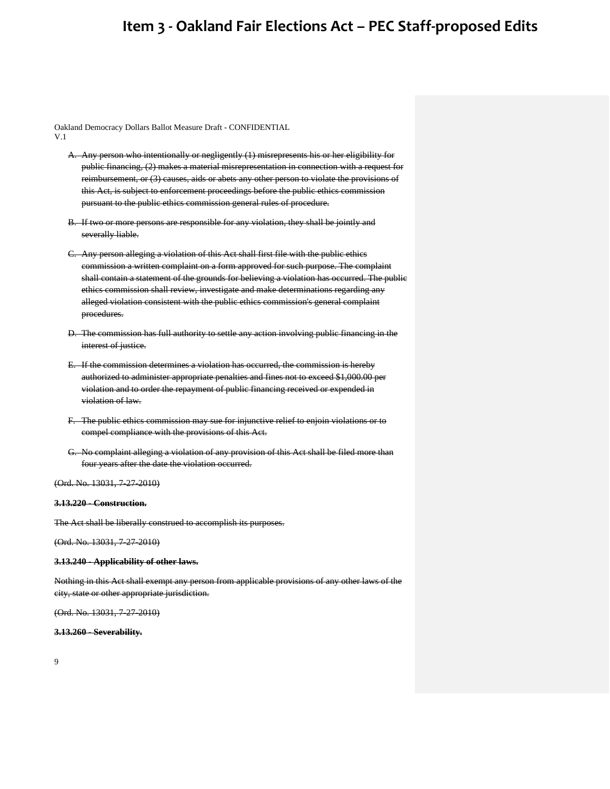Oakland Democracy Dollars Ballot Measure Draft - CONFIDENTIAL V.1

- A. Any person who intentionally or negligently (1) misrepresents his or her eligibility for public financing, (2) makes a material misrepresentation in connection with a request for reimbursement, or (3) causes, aids or abets any other person to violate the provisions of this Act, is subject to enforcement proceedings before the public ethics commission pursuant to the public ethics commission general rules of procedure.
- B. If two or more persons are responsible for any violation, they shall be jointly and severally liable.
- C. Any person alleging a violation of this Act shall first file with the public ethics commission a written complaint on a form approved for such purpose. The complaint shall contain a statement of the grounds for believing a violation has occurred. The public ethics commission shall review, investigate and make determinations regarding any alleged violation consistent with the public ethics commission's general complaint procedures.
- D. The commission has full authority to settle any action involving public financing in the interest of justice.
- E. If the commission determines a violation has occurred, the commission is hereby authorized to administer appropriate penalties and fines not to exceed \$1,000.00 per violation and to order the repayment of public financing received or expended in violation of law.
- F. The public ethics commission may sue for injunctive relief to enjoin violations or to compel compliance with the provisions of this Act.
- G. No complaint alleging a violation of any provision of this Act shall be filed more than four years after the date the violation occurred.

(Ord. No. 13031, 7-27-2010)

#### **3.13.220 - Construction.**

The Act shall be liberally construed to accomplish its purposes.

(Ord. No. 13031, 7-27-2010)

#### **3.13.240 - Applicability of other laws.**

Nothing in this Act shall exempt any person from applicable provisions of any other laws of the city, state or other appropriate jurisdiction.

(Ord. No. 13031, 7-27-2010)

### **3.13.260 - Severability.**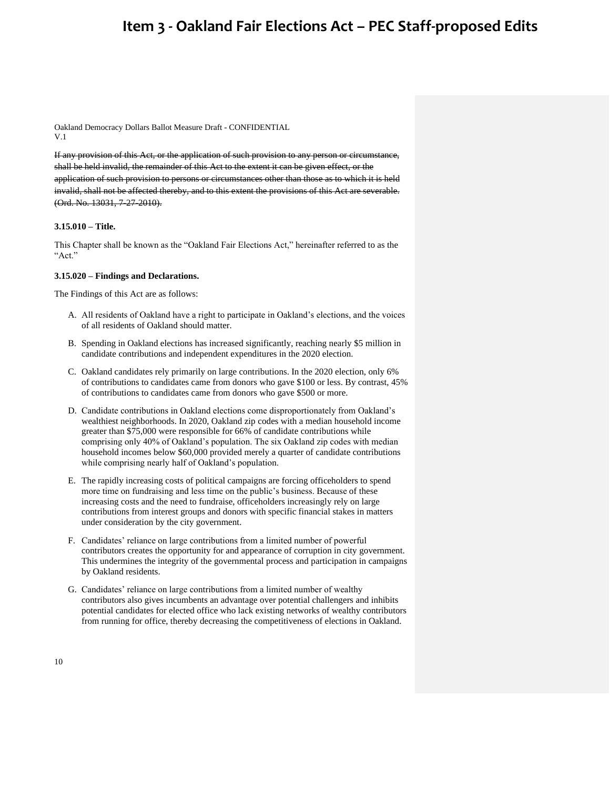Oakland Democracy Dollars Ballot Measure Draft - CONFIDENTIAL V.1

If any provision of this Act, or the application of such provision to any person or circumstance, shall be held invalid, the remainder of this Act to the extent it can be given effect, or the application of such provision to persons or circumstances other than those as to which it is held invalid, shall not be affected thereby, and to this extent the provisions of this Act are severable. (Ord. No. 13031, 7-27-2010).

#### **3.15.010 – Title.**

This Chapter shall be known as the "Oakland Fair Elections Act," hereinafter referred to as the "Act."

#### **3.15.020 – Findings and Declarations.**

The Findings of this Act are as follows:

- A. All residents of Oakland have a right to participate in Oakland's elections, and the voices of all residents of Oakland should matter.
- B. Spending in Oakland elections has increased significantly, reaching nearly \$5 million in candidate contributions and independent expenditures in the 2020 election.
- C. Oakland candidates rely primarily on large contributions. In the 2020 election, only 6% of contributions to candidates came from donors who gave \$100 or less. By contrast, 45% of contributions to candidates came from donors who gave \$500 or more.
- D. Candidate contributions in Oakland elections come disproportionately from Oakland's wealthiest neighborhoods. In 2020, Oakland zip codes with a median household income greater than \$75,000 were responsible for 66% of candidate contributions while comprising only 40% of Oakland's population. The six Oakland zip codes with median household incomes below \$60,000 provided merely a quarter of candidate contributions while comprising nearly half of Oakland's population.
- E. The rapidly increasing costs of political campaigns are forcing officeholders to spend more time on fundraising and less time on the public's business. Because of these increasing costs and the need to fundraise, officeholders increasingly rely on large contributions from interest groups and donors with specific financial stakes in matters under consideration by the city government.
- F. Candidates' reliance on large contributions from a limited number of powerful contributors creates the opportunity for and appearance of corruption in city government. This undermines the integrity of the governmental process and participation in campaigns by Oakland residents.
- G. Candidates' reliance on large contributions from a limited number of wealthy contributors also gives incumbents an advantage over potential challengers and inhibits potential candidates for elected office who lack existing networks of wealthy contributors from running for office, thereby decreasing the competitiveness of elections in Oakland.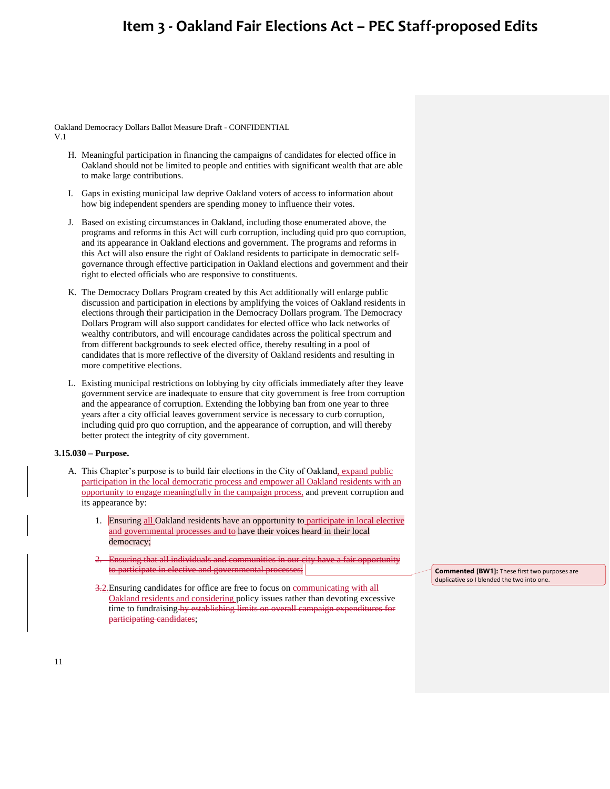Oakland Democracy Dollars Ballot Measure Draft - CONFIDENTIAL V.1

- H. Meaningful participation in financing the campaigns of candidates for elected office in Oakland should not be limited to people and entities with significant wealth that are able to make large contributions.
- I. Gaps in existing municipal law deprive Oakland voters of access to information about how big independent spenders are spending money to influence their votes.
- J. Based on existing circumstances in Oakland, including those enumerated above, the programs and reforms in this Act will curb corruption, including quid pro quo corruption, and its appearance in Oakland elections and government. The programs and reforms in this Act will also ensure the right of Oakland residents to participate in democratic selfgovernance through effective participation in Oakland elections and government and their right to elected officials who are responsive to constituents.
- K. The Democracy Dollars Program created by this Act additionally will enlarge public discussion and participation in elections by amplifying the voices of Oakland residents in elections through their participation in the Democracy Dollars program. The Democracy Dollars Program will also support candidates for elected office who lack networks of wealthy contributors, and will encourage candidates across the political spectrum and from different backgrounds to seek elected office, thereby resulting in a pool of candidates that is more reflective of the diversity of Oakland residents and resulting in more competitive elections.
- L. Existing municipal restrictions on lobbying by city officials immediately after they leave government service are inadequate to ensure that city government is free from corruption and the appearance of corruption. Extending the lobbying ban from one year to three years after a city official leaves government service is necessary to curb corruption, including quid pro quo corruption, and the appearance of corruption, and will thereby better protect the integrity of city government.

#### **3.15.030 – Purpose.**

- A. This Chapter's purpose is to build fair elections in the City of Oakland, expand public participation in the local democratic process and empower all Oakland residents with an opportunity to engage meaningfully in the campaign process, and prevent corruption and its appearance by:
	- 1. Ensuring all Oakland residents have an opportunity to participate in local elective and governmental processes and to have their voices heard in their local democracy;
	- Ensuring that all individuals and communities in our city have a fair opportunity to participate in elective and governmental processes;
	- 3.2.Ensuring candidates for office are free to focus on communicating with all Oakland residents and considering policy issues rather than devoting excessive time to fundraising by establishing limits on overall campaign expenditures for participating candidates;

**Commented [BW1]:** These first two purposes are duplicative so I blended the two into one.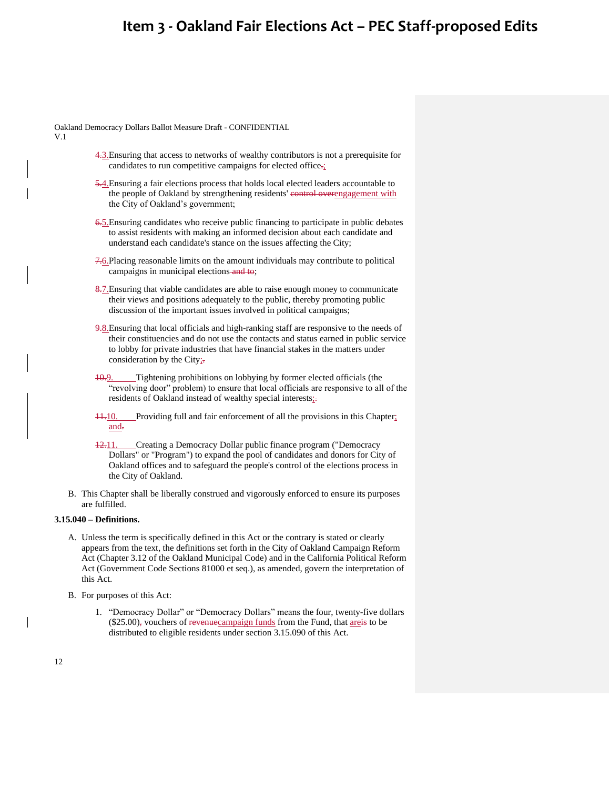Oakland Democracy Dollars Ballot Measure Draft - CONFIDENTIAL

V.1

- 4.3.Ensuring that access to networks of wealthy contributors is not a prerequisite for candidates to run competitive campaigns for elected office.
- 5.4. Ensuring a fair elections process that holds local elected leaders accountable to the people of Oakland by strengthening residents' evertrol overengagement with the City of Oakland's government;
- 6.5.Ensuring candidates who receive public financing to participate in public debates to assist residents with making an informed decision about each candidate and understand each candidate's stance on the issues affecting the City;
- 7.6.Placing reasonable limits on the amount individuals may contribute to political campaigns in municipal elections and to;
- 8.7. Ensuring that viable candidates are able to raise enough money to communicate their views and positions adequately to the public, thereby promoting public discussion of the important issues involved in political campaigns;
- 9.8.Ensuring that local officials and high-ranking staff are responsive to the needs of their constituencies and do not use the contacts and status earned in public service to lobby for private industries that have financial stakes in the matters under consideration by the City $\frac{1}{x^2}$
- 10.9. Tightening prohibitions on lobbying by former elected officials (the "revolving door" problem) to ensure that local officials are responsive to all of the residents of Oakland instead of wealthy special interests;-
- 11.10. Providing full and fair enforcement of all the provisions in this Chapter; and.
- 12.11. Creating a Democracy Dollar public finance program ("Democracy Dollars" or "Program") to expand the pool of candidates and donors for City of Oakland offices and to safeguard the people's control of the elections process in the City of Oakland.
- B. This Chapter shall be liberally construed and vigorously enforced to ensure its purposes are fulfilled.

### **3.15.040 – Definitions.**

- A. Unless the term is specifically defined in this Act or the contrary is stated or clearly appears from the text, the definitions set forth in the City of Oakland Campaign Reform Act (Chapter 3.12 of the Oakland Municipal Code) and in the California Political Reform Act (Government Code Sections 81000 et seq.), as amended, govern the interpretation of this Act.
- B. For purposes of this Act:
	- 1. "Democracy Dollar" or "Democracy Dollars" means the four, twenty-five dollars  $(\$25.00)$ , vouchers of revenue campaign funds from the Fund, that areas to be distributed to eligible residents under section 3.15.090 of this Act.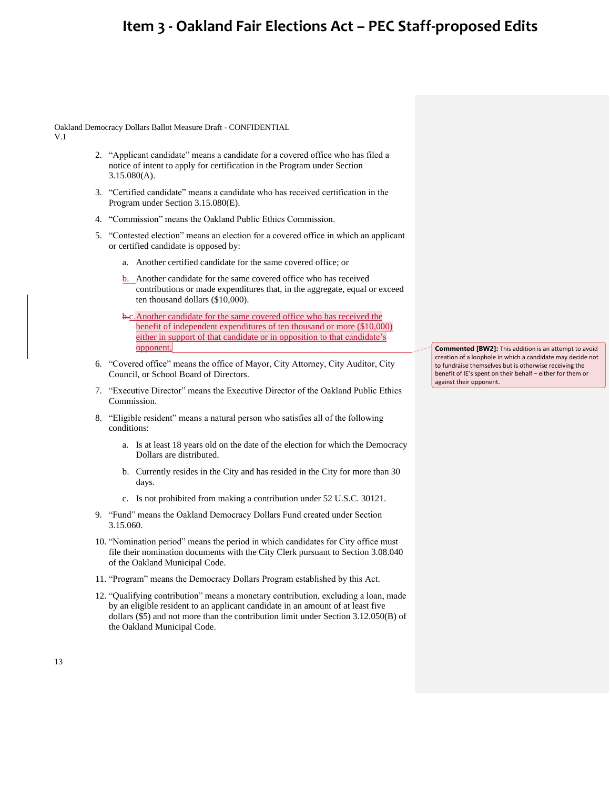Oakland Democracy Dollars Ballot Measure Draft - CONFIDENTIAL V.1

- 2. "Applicant candidate" means a candidate for a covered office who has filed a notice of intent to apply for certification in the Program under Section 3.15.080(A).
- 3. "Certified candidate" means a candidate who has received certification in the Program under Section 3.15.080(E).
- 4. "Commission" means the Oakland Public Ethics Commission.
- 5. "Contested election" means an election for a covered office in which an applicant or certified candidate is opposed by:
	- a. Another certified candidate for the same covered office; or
	- b. Another candidate for the same covered office who has received contributions or made expenditures that, in the aggregate, equal or exceed ten thousand dollars (\$10,000).
	- b.c. Another candidate for the same covered office who has received the benefit of independent expenditures of ten thousand or more (\$10,000) either in support of that candidate or in opposition to that candidate's opponent.
- 6. "Covered office" means the office of Mayor, City Attorney, City Auditor, City Council, or School Board of Directors.
- 7. "Executive Director" means the Executive Director of the Oakland Public Ethics Commission.
- 8. "Eligible resident" means a natural person who satisfies all of the following conditions:
	- a. Is at least 18 years old on the date of the election for which the Democracy Dollars are distributed.
	- b. Currently resides in the City and has resided in the City for more than 30 days.
	- c. Is not prohibited from making a contribution under 52 U.S.C. 30121.
- 9. "Fund" means the Oakland Democracy Dollars Fund created under Section 3.15.060.
- 10. "Nomination period" means the period in which candidates for City office must file their nomination documents with the City Clerk pursuant to Section 3.08.040 of the Oakland Municipal Code.
- 11. "Program" means the Democracy Dollars Program established by this Act.
- 12. "Qualifying contribution" means a monetary contribution, excluding a loan, made by an eligible resident to an applicant candidate in an amount of at least five dollars (\$5) and not more than the contribution limit under Section 3.12.050(B) of the Oakland Municipal Code.

**Commented [BW2]:** This addition is an attempt to avoid creation of a loophole in which a candidate may decide not to fundraise themselves but is otherwise receiving the benefit of IE's spent on their behalf – either for them or against their opponent.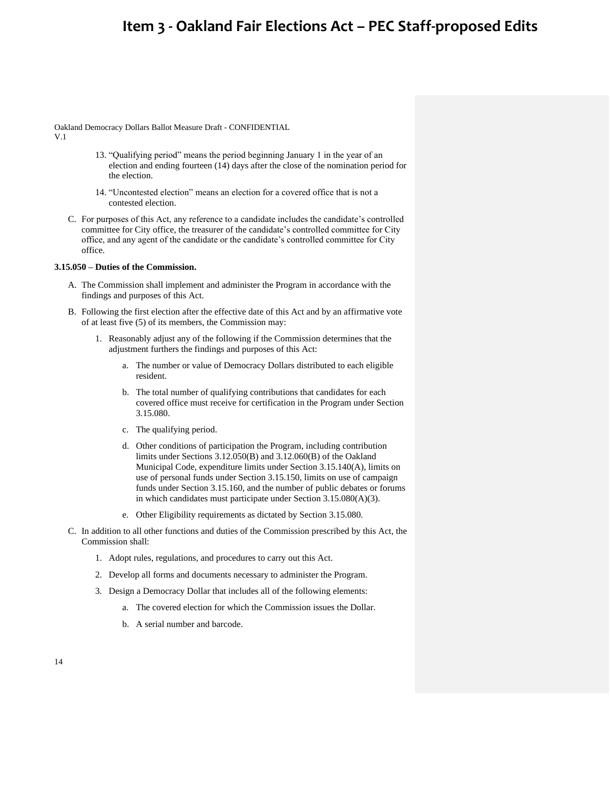Oakland Democracy Dollars Ballot Measure Draft - CONFIDENTIAL V.1

- 13. "Qualifying period" means the period beginning January 1 in the year of an election and ending fourteen (14) days after the close of the nomination period for the election.
- 14. "Uncontested election" means an election for a covered office that is not a contested election.
- C. For purposes of this Act, any reference to a candidate includes the candidate's controlled committee for City office, the treasurer of the candidate's controlled committee for City office, and any agent of the candidate or the candidate's controlled committee for City office.

### **3.15.050 – Duties of the Commission.**

- A. The Commission shall implement and administer the Program in accordance with the findings and purposes of this Act.
- B. Following the first election after the effective date of this Act and by an affirmative vote of at least five (5) of its members, the Commission may:
	- 1. Reasonably adjust any of the following if the Commission determines that the adjustment furthers the findings and purposes of this Act:
		- a. The number or value of Democracy Dollars distributed to each eligible resident.
		- b. The total number of qualifying contributions that candidates for each covered office must receive for certification in the Program under Section 3.15.080.
		- c. The qualifying period.
		- d. Other conditions of participation the Program, including contribution limits under Sections 3.12.050(B) and 3.12.060(B) of the Oakland Municipal Code, expenditure limits under Section 3.15.140(A), limits on use of personal funds under Section 3.15.150, limits on use of campaign funds under Section 3.15.160, and the number of public debates or forums in which candidates must participate under Section 3.15.080(A)(3).
		- e. Other Eligibility requirements as dictated by Section 3.15.080.
- C. In addition to all other functions and duties of the Commission prescribed by this Act, the Commission shall:
	- 1. Adopt rules, regulations, and procedures to carry out this Act.
	- 2. Develop all forms and documents necessary to administer the Program.
	- 3. Design a Democracy Dollar that includes all of the following elements:
		- a. The covered election for which the Commission issues the Dollar.
		- b. A serial number and barcode.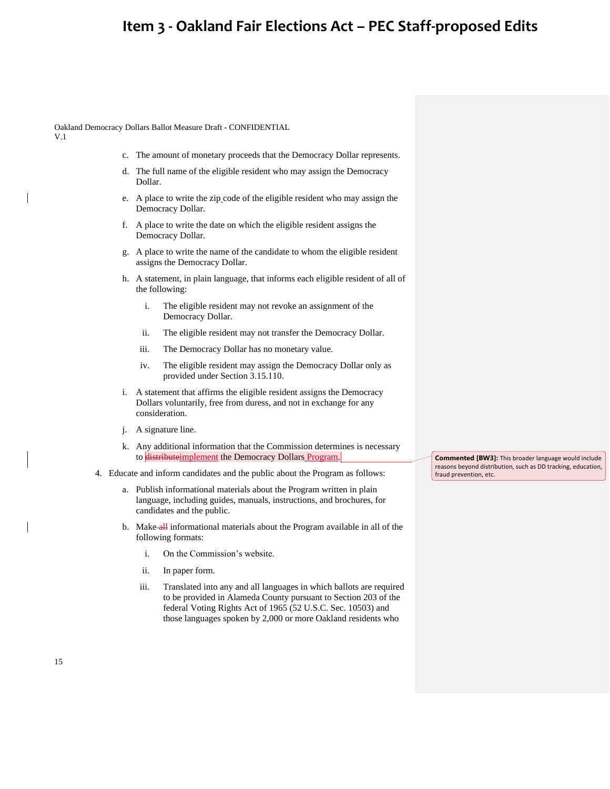Oakland Democracy Dollars Ballot Measure Draft - CONFIDENTIAL

V.1

- c. The amount of monetary proceeds that the Democracy Dollar represents.
- d. The full name of the eligible resident who may assign the Democracy Dollar.
- e. A place to write the zip code of the eligible resident who may assign the Democracy Dollar.
- f. A place to write the date on which the eligible resident assigns the Democracy Dollar.
- g. A place to write the name of the candidate to whom the eligible resident assigns the Democracy Dollar.
- h. A statement, in plain language, that informs each eligible resident of all of the following:
	- i. The eligible resident may not revoke an assignment of the Democracy Dollar.
	- ii. The eligible resident may not transfer the Democracy Dollar.
	- iii. The Democracy Dollar has no monetary value.
	- iv. The eligible resident may assign the Democracy Dollar only as provided under Section 3.15.110.
- i. A statement that affirms the eligible resident assigns the Democracy Dollars voluntarily, free from duress, and not in exchange for any consideration.
- j. A signature line.
- k. Any additional information that the Commission determines is necessary to distribute implement the Democracy Dollars Program.
- 4. Educate and inform candidates and the public about the Program as follows:
	- a. Publish informational materials about the Program written in plain language, including guides, manuals, instructions, and brochures, for candidates and the public.
	- b. Make-all informational materials about the Program available in all of the following formats:
		- i. On the Commission's website.
		- ii. In paper form.
		- iii. Translated into any and all languages in which ballots are required to be provided in Alameda County pursuant to Section 203 of the federal Voting Rights Act of 1965 (52 U.S.C. Sec. 10503) and those languages spoken by 2,000 or more Oakland residents who

**Commented [BW3]:** This broader language would include reasons beyond distribution, such as DD tracking, education, fraud prevention, etc.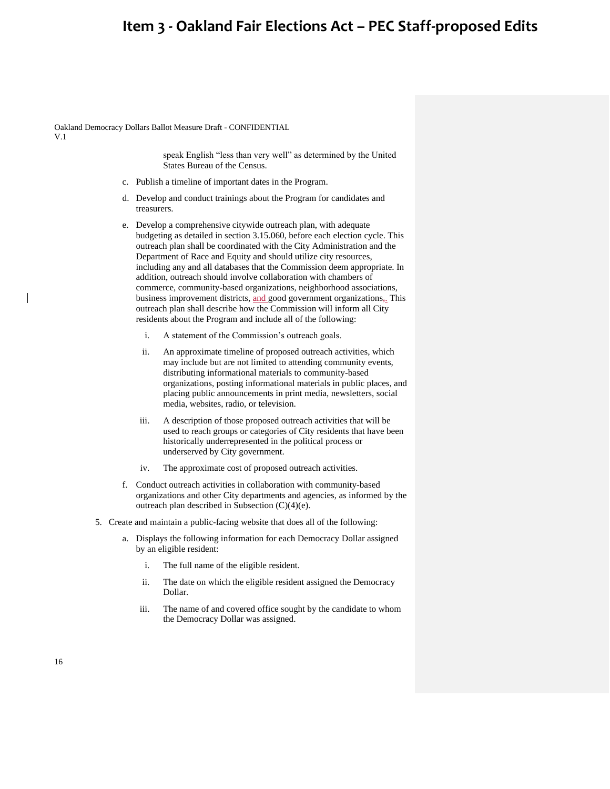Oakland Democracy Dollars Ballot Measure Draft - CONFIDENTIAL V.1

> speak English "less than very well" as determined by the United States Bureau of the Census.

- c. Publish a timeline of important dates in the Program.
- d. Develop and conduct trainings about the Program for candidates and treasurers.
- e. Develop a comprehensive citywide outreach plan, with adequate budgeting as detailed in section 3.15.060, before each election cycle. This outreach plan shall be coordinated with the City Administration and the Department of Race and Equity and should utilize city resources, including any and all databases that the Commission deem appropriate. In addition, outreach should involve collaboration with chambers of commerce, community-based organizations, neighborhood associations, business improvement districts, and good government organizations<sub>7</sub>. This outreach plan shall describe how the Commission will inform all City residents about the Program and include all of the following:
	- i. A statement of the Commission's outreach goals.
	- ii. An approximate timeline of proposed outreach activities, which may include but are not limited to attending community events, distributing informational materials to community-based organizations, posting informational materials in public places, and placing public announcements in print media, newsletters, social media, websites, radio, or television.
	- iii. A description of those proposed outreach activities that will be used to reach groups or categories of City residents that have been historically underrepresented in the political process or underserved by City government.
	- iv. The approximate cost of proposed outreach activities.
- f. Conduct outreach activities in collaboration with community-based organizations and other City departments and agencies, as informed by the outreach plan described in Subsection (C)(4)(e).
- 5. Create and maintain a public-facing website that does all of the following:
	- a. Displays the following information for each Democracy Dollar assigned by an eligible resident:
		- i. The full name of the eligible resident.
		- ii. The date on which the eligible resident assigned the Democracy Dollar.
		- iii. The name of and covered office sought by the candidate to whom the Democracy Dollar was assigned.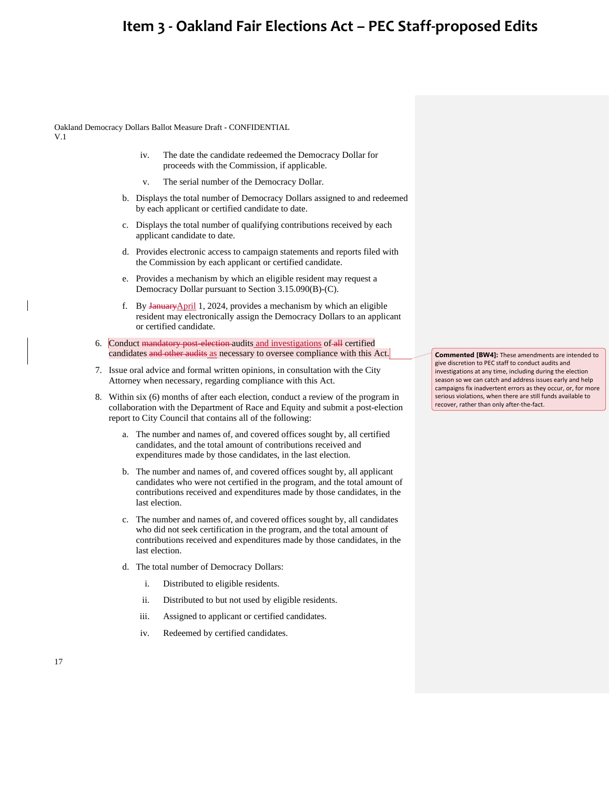Oakland Democracy Dollars Ballot Measure Draft - CONFIDENTIAL V.1

- iv. The date the candidate redeemed the Democracy Dollar for proceeds with the Commission, if applicable.
- v. The serial number of the Democracy Dollar.
- b. Displays the total number of Democracy Dollars assigned to and redeemed by each applicant or certified candidate to date.
- c. Displays the total number of qualifying contributions received by each applicant candidate to date.
- d. Provides electronic access to campaign statements and reports filed with the Commission by each applicant or certified candidate.
- e. Provides a mechanism by which an eligible resident may request a Democracy Dollar pursuant to Section 3.15.090(B)-(C).
- f. By JanuaryApril 1, 2024, provides a mechanism by which an eligible resident may electronically assign the Democracy Dollars to an applicant or certified candidate.
- 6. Conduct mandatory post-election-audits and investigations of all certified candidates and other audits as necessary to oversee compliance with this Act.
- 7. Issue oral advice and formal written opinions, in consultation with the City Attorney when necessary, regarding compliance with this Act.
- 8. Within six (6) months of after each election, conduct a review of the program in collaboration with the Department of Race and Equity and submit a post-election report to City Council that contains all of the following:
	- a. The number and names of, and covered offices sought by, all certified candidates, and the total amount of contributions received and expenditures made by those candidates, in the last election.
	- b. The number and names of, and covered offices sought by, all applicant candidates who were not certified in the program, and the total amount of contributions received and expenditures made by those candidates, in the last election.
	- c. The number and names of, and covered offices sought by, all candidates who did not seek certification in the program, and the total amount of contributions received and expenditures made by those candidates, in the last election.
	- d. The total number of Democracy Dollars:
		- i. Distributed to eligible residents.
		- ii. Distributed to but not used by eligible residents.
		- iii. Assigned to applicant or certified candidates.
		- iv. Redeemed by certified candidates.

**Commented [BW4]:** These amendments are intended to give discretion to PEC staff to conduct audits and investigations at any time, including during the election season so we can catch and address issues early and help campaigns fix inadvertent errors as they occur, or, for more serious violations, when there are still funds available to recover, rather than only after-the-fact.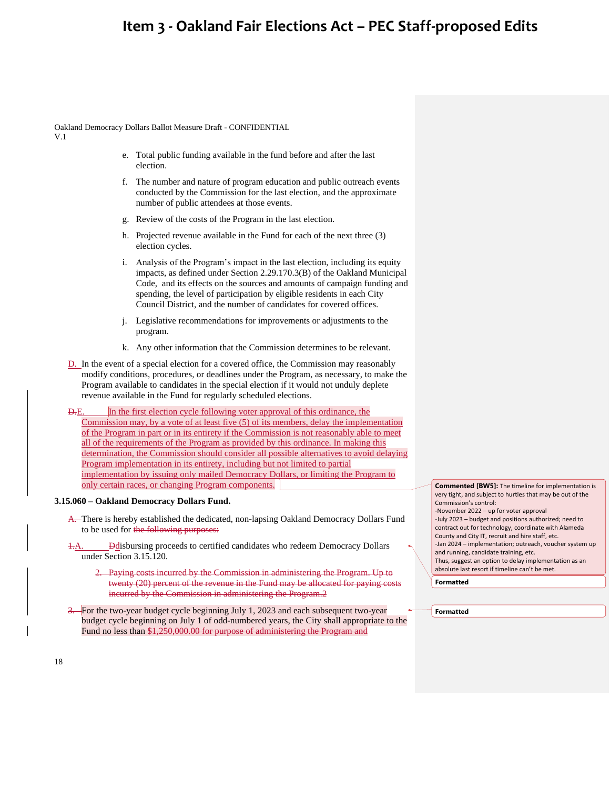Oakland Democracy Dollars Ballot Measure Draft - CONFIDENTIAL V.1

- e. Total public funding available in the fund before and after the last election.
- f. The number and nature of program education and public outreach events conducted by the Commission for the last election, and the approximate number of public attendees at those events.
- g. Review of the costs of the Program in the last election.
- h. Projected revenue available in the Fund for each of the next three (3) election cycles.
- i. Analysis of the Program's impact in the last election, including its equity impacts, as defined under Section 2.29.170.3(B) of the Oakland Municipal Code, and its effects on the sources and amounts of campaign funding and spending, the level of participation by eligible residents in each City Council District, and the number of candidates for covered offices.
- j. Legislative recommendations for improvements or adjustments to the program.
- k. Any other information that the Commission determines to be relevant.
- D. In the event of a special election for a covered office, the Commission may reasonably modify conditions, procedures, or deadlines under the Program, as necessary, to make the Program available to candidates in the special election if it would not unduly deplete revenue available in the Fund for regularly scheduled elections.

D.E. In the first election cycle following voter approval of this ordinance, the Commission may, by a vote of at least five (5) of its members, delay the implementation of the Program in part or in its entirety if the Commission is not reasonably able to meet all of the requirements of the Program as provided by this ordinance. In making this determination, the Commission should consider all possible alternatives to avoid delaying Program implementation in its entirety, including but not limited to partial implementation by issuing only mailed Democracy Dollars, or limiting the Program to only certain races, or changing Program components.

#### **3.15.060 – Oakland Democracy Dollars Fund.**

- A. There is hereby established the dedicated, non-lapsing Oakland Democracy Dollars Fund to be used for the following purposes:
- **Ddisbursing proceeds to certified candidates who redeem Democracy Dollars** under Section 3.15.120.
	- 2. Paying costs incurred by the Commission in administering the Program. Up to twenty (20) percent of the revenue in the Fund may be allocated for paying costs incurred by the Commission in administering the Program.2
- 3. For the two-year budget cycle beginning July 1, 2023 and each subsequent two-year budget cycle beginning on July 1 of odd-numbered years, the City shall appropriate to the Fund no less than \$1,250,000.00 for purpose of administering the Program and

**Commented [BW5]:** The timeline for implementation is very tight, and subject to hurtles that may be out of the Commission's control: -November 2022 – up for voter approval -July 2023 – budget and positions authorized; need to contract out for technology, coordinate with Alameda County and City IT, recruit and hire staff, etc. -Jan 2024 – implementation; outreach, voucher system up and running, candidate training, etc. Thus, suggest an option to delay implementation as an absolute last resort if timeline can't be met.

**Formatted**

**Formatted**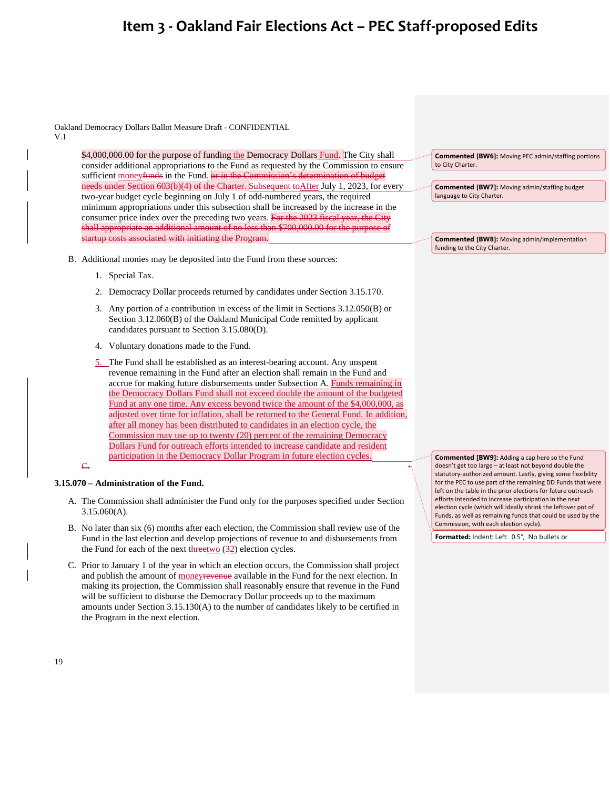Oakland Democracy Dollars Ballot Measure Draft - CONFIDENTIAL

V.1

\$4,000,000.00 for the purpose of funding the Democracy Dollars Fund. The City shall consider additional appropriations to the Fund as requested by the Commission to ensure sufficient moneyfunds in the Fund. or in the Commission's determination of budget needs under Section 603(b)(4) of the Charter. Subsequent to After July 1, 2023, for every two-year budget cycle beginning on July 1 of odd-numbered years, the required minimum appropriations under this subsection shall be increased by the increase in the consumer price index over the preceding two years. For the 2023 fiscal year, the City shall appropriate an additional amount of no less than \$700,000.00 for the purpose of startup costs associated with initiating the Program.

- B. Additional monies may be deposited into the Fund from these sources:
	- 1. Special Tax.
	- 2. Democracy Dollar proceeds returned by candidates under Section 3.15.170.
	- 3. Any portion of a contribution in excess of the limit in Sections 3.12.050(B) or Section 3.12.060(B) of the Oakland Municipal Code remitted by applicant candidates pursuant to Section 3.15.080(D).
	- 4. Voluntary donations made to the Fund.
	- 5. The Fund shall be established as an interest-bearing account. Any unspent revenue remaining in the Fund after an election shall remain in the Fund and accrue for making future disbursements under Subsection A. Funds remaining in the Democracy Dollars Fund shall not exceed double the amount of the budgeted Fund at any one time. Any excess beyond twice the amount of the \$4,000,000, as adjusted over time for inflation, shall be returned to the General Fund. In addition, after all money has been distributed to candidates in an election cycle, the Commission may use up to twenty (20) percent of the remaining Democracy Dollars Fund for outreach efforts intended to increase candidate and resident participation in the Democracy Dollar Program in future election cycles.

### $\overline{\mathsf{C}}$

### **3.15.070 – Administration of the Fund.**

- A. The Commission shall administer the Fund only for the purposes specified under Section 3.15.060(A).
- B. No later than six (6) months after each election, the Commission shall review use of the Fund in the last election and develop projections of revenue to and disbursements from the Fund for each of the next  $\frac{d\text{Area}}{dx}$  election cycles.
- C. Prior to January 1 of the year in which an election occurs, the Commission shall project and publish the amount of moneyrevenue available in the Fund for the next election. In making its projection, the Commission shall reasonably ensure that revenue in the Fund will be sufficient to disburse the Democracy Dollar proceeds up to the maximum amounts under Section 3.15.130(A) to the number of candidates likely to be certified in the Program in the next election.

**Commented [BW6]:** Moving PEC admin/staffing portions to City Charter.

**Commented [BW7]:** Moving admin/staffing budget language to City Charter.

**Commented [BW8]:** Moving admin/implementation funding to the City Charter.

**Commented [BW9]:** Adding a cap here so the Fund doesn't get too large – at least not beyond double the statutory-authorized amount. Lastly, giving some flexibility for the PEC to use part of the remaining DD Funds that were left on the table in the prior elections for future outreach efforts intended to increase participation in the next election cycle (which will ideally shrink the leftover pot of Funds, as well as remaining funds that could be used by the Commission, with each election cycle).

**Formatted:** Indent: Left: 0.5", No bullets or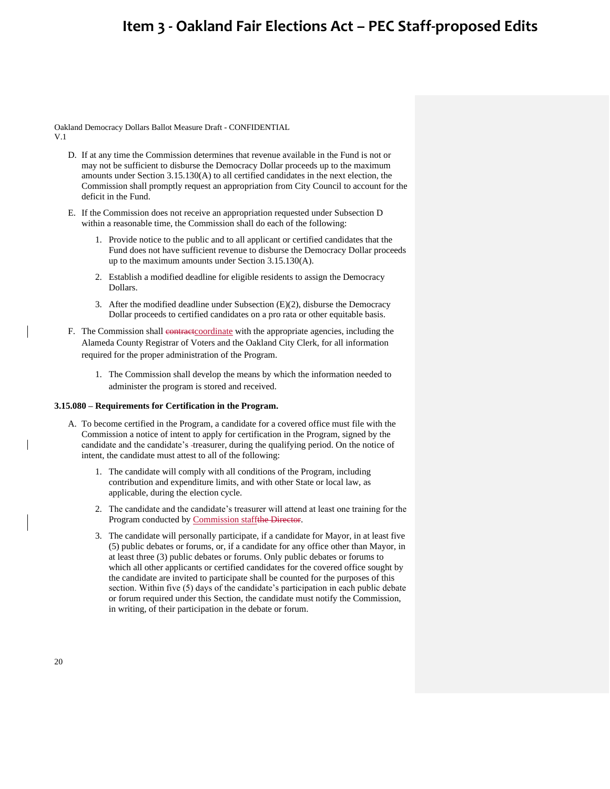Oakland Democracy Dollars Ballot Measure Draft - CONFIDENTIAL V.1

- D. If at any time the Commission determines that revenue available in the Fund is not or may not be sufficient to disburse the Democracy Dollar proceeds up to the maximum amounts under Section 3.15.130(A) to all certified candidates in the next election, the Commission shall promptly request an appropriation from City Council to account for the deficit in the Fund.
- E. If the Commission does not receive an appropriation requested under Subsection D within a reasonable time, the Commission shall do each of the following:
	- 1. Provide notice to the public and to all applicant or certified candidates that the Fund does not have sufficient revenue to disburse the Democracy Dollar proceeds up to the maximum amounts under Section 3.15.130(A).
	- 2. Establish a modified deadline for eligible residents to assign the Democracy Dollars.
	- 3. After the modified deadline under Subsection  $(E)(2)$ , disburse the Democracy Dollar proceeds to certified candidates on a pro rata or other equitable basis.
- F. The Commission shall contract coordinate with the appropriate agencies, including the Alameda County Registrar of Voters and the Oakland City Clerk, for all information required for the proper administration of the Program.
	- 1. The Commission shall develop the means by which the information needed to administer the program is stored and received.

#### **3.15.080 – Requirements for Certification in the Program.**

- A. To become certified in the Program, a candidate for a covered office must file with the Commission a notice of intent to apply for certification in the Program, signed by the candidate and the candidate's -treasurer, during the qualifying period. On the notice of intent, the candidate must attest to all of the following:
	- 1. The candidate will comply with all conditions of the Program, including contribution and expenditure limits, and with other State or local law, as applicable, during the election cycle.
	- 2. The candidate and the candidate's treasurer will attend at least one training for the Program conducted by Commission staffthe Director.
	- 3. The candidate will personally participate, if a candidate for Mayor, in at least five (5) public debates or forums, or, if a candidate for any office other than Mayor, in at least three (3) public debates or forums. Only public debates or forums to which all other applicants or certified candidates for the covered office sought by the candidate are invited to participate shall be counted for the purposes of this section. Within five (5) days of the candidate's participation in each public debate or forum required under this Section, the candidate must notify the Commission, in writing, of their participation in the debate or forum.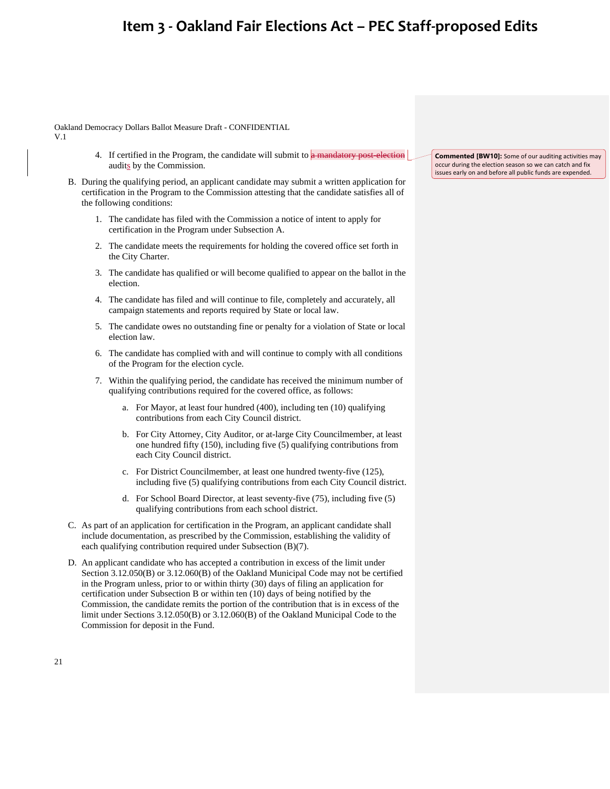Oakland Democracy Dollars Ballot Measure Draft - CONFIDENTIAL

- V.1
- 4. If certified in the Program, the candidate will submit to a mandatory post-election audits by the Commission.
- B. During the qualifying period, an applicant candidate may submit a written application for certification in the Program to the Commission attesting that the candidate satisfies all of the following conditions:
	- 1. The candidate has filed with the Commission a notice of intent to apply for certification in the Program under Subsection A.
	- 2. The candidate meets the requirements for holding the covered office set forth in the City Charter.
	- 3. The candidate has qualified or will become qualified to appear on the ballot in the election.
	- 4. The candidate has filed and will continue to file, completely and accurately, all campaign statements and reports required by State or local law.
	- 5. The candidate owes no outstanding fine or penalty for a violation of State or local election law.
	- 6. The candidate has complied with and will continue to comply with all conditions of the Program for the election cycle.
	- 7. Within the qualifying period, the candidate has received the minimum number of qualifying contributions required for the covered office, as follows:
		- a. For Mayor, at least four hundred (400), including ten (10) qualifying contributions from each City Council district.
		- b. For City Attorney, City Auditor, or at-large City Councilmember, at least one hundred fifty (150), including five (5) qualifying contributions from each City Council district.
		- c. For District Councilmember, at least one hundred twenty-five (125), including five (5) qualifying contributions from each City Council district.
		- d. For School Board Director, at least seventy-five (75), including five (5) qualifying contributions from each school district.
- C. As part of an application for certification in the Program, an applicant candidate shall include documentation, as prescribed by the Commission, establishing the validity of each qualifying contribution required under Subsection (B)(7).
- D. An applicant candidate who has accepted a contribution in excess of the limit under Section 3.12.050(B) or 3.12.060(B) of the Oakland Municipal Code may not be certified in the Program unless, prior to or within thirty (30) days of filing an application for certification under Subsection B or within ten (10) days of being notified by the Commission, the candidate remits the portion of the contribution that is in excess of the limit under Sections 3.12.050(B) or 3.12.060(B) of the Oakland Municipal Code to the Commission for deposit in the Fund.

**Commented [BW10]:** Some of our auditing activities may occur during the election season so we can catch and fix issues early on and before all public funds are expended.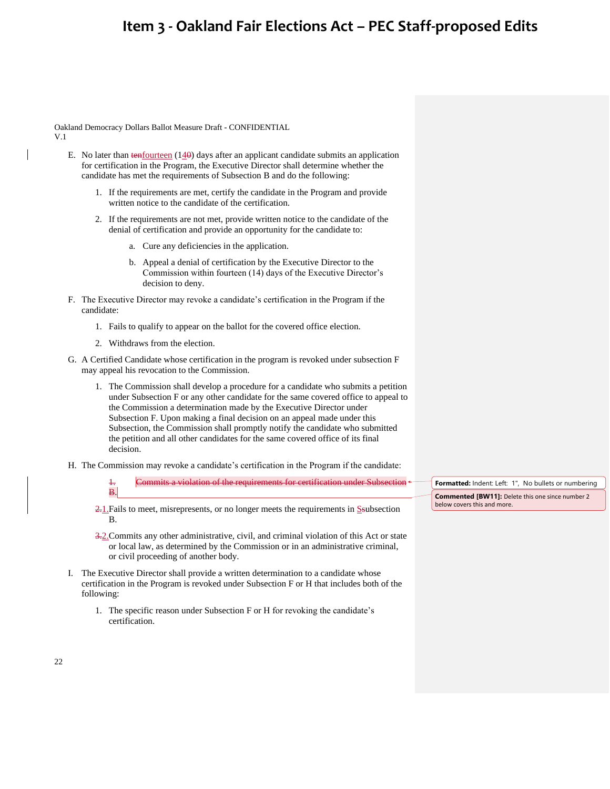Oakland Democracy Dollars Ballot Measure Draft - CONFIDENTIAL V.1

- E. No later than tenfourteen  $(140)$  days after an applicant candidate submits an application for certification in the Program, the Executive Director shall determine whether the candidate has met the requirements of Subsection B and do the following:
	- 1. If the requirements are met, certify the candidate in the Program and provide written notice to the candidate of the certification.
	- 2. If the requirements are not met, provide written notice to the candidate of the denial of certification and provide an opportunity for the candidate to:
		- a. Cure any deficiencies in the application.
		- b. Appeal a denial of certification by the Executive Director to the Commission within fourteen (14) days of the Executive Director's decision to deny.
- F. The Executive Director may revoke a candidate's certification in the Program if the candidate:
	- 1. Fails to qualify to appear on the ballot for the covered office election.
	- 2. Withdraws from the election.
- G. A Certified Candidate whose certification in the program is revoked under subsection F may appeal his revocation to the Commission.
	- 1. The Commission shall develop a procedure for a candidate who submits a petition under Subsection F or any other candidate for the same covered office to appeal to the Commission a determination made by the Executive Director under Subsection F. Upon making a final decision on an appeal made under this Subsection, the Commission shall promptly notify the candidate who submitted the petition and all other candidates for the same covered office of its final decision.
- H. The Commission may revoke a candidate's certification in the Program if the candidate:
	- Commits a violation of the requirements for certification under Subsection <  $\mathbf{B}$
	- $\frac{2.1}{2}$ . Fails to meet, misrepresents, or no longer meets the requirements in S-subsection B.
	- 3.2. Commits any other administrative, civil, and criminal violation of this Act or state or local law, as determined by the Commission or in an administrative criminal, or civil proceeding of another body.
- I. The Executive Director shall provide a written determination to a candidate whose certification in the Program is revoked under Subsection F or H that includes both of the following:
	- 1. The specific reason under Subsection F or H for revoking the candidate's certification.

Formatted: Indent: Left: 1", No bullets or numbering **Commented [BW11]:** Delete this one since number 2 below covers this and more.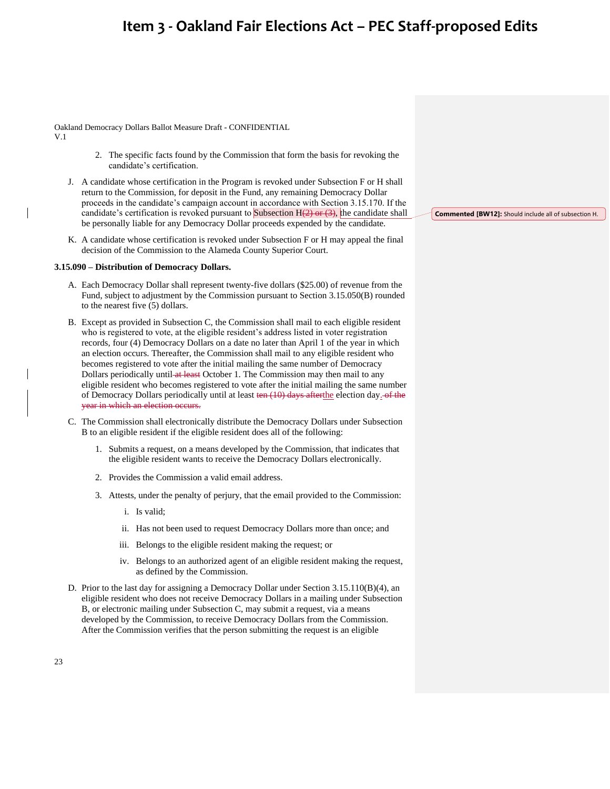Oakland Democracy Dollars Ballot Measure Draft - CONFIDENTIAL

- V.1
- 2. The specific facts found by the Commission that form the basis for revoking the candidate's certification.
- J. A candidate whose certification in the Program is revoked under Subsection F or H shall return to the Commission, for deposit in the Fund, any remaining Democracy Dollar proceeds in the candidate's campaign account in accordance with Section 3.15.170. If the candidate's certification is revoked pursuant to Subsection  $H(2)$  or  $(3)$ , the candidate shall be personally liable for any Democracy Dollar proceeds expended by the candidate.
- K. A candidate whose certification is revoked under Subsection F or H may appeal the final decision of the Commission to the Alameda County Superior Court.

#### **3.15.090 – Distribution of Democracy Dollars.**

- A. Each Democracy Dollar shall represent twenty-five dollars (\$25.00) of revenue from the Fund, subject to adjustment by the Commission pursuant to Section 3.15.050(B) rounded to the nearest five (5) dollars.
- B. Except as provided in Subsection C, the Commission shall mail to each eligible resident who is registered to vote, at the eligible resident's address listed in voter registration records, four (4) Democracy Dollars on a date no later than April 1 of the year in which an election occurs. Thereafter, the Commission shall mail to any eligible resident who becomes registered to vote after the initial mailing the same number of Democracy Dollars periodically until at least October 1. The Commission may then mail to any eligible resident who becomes registered to vote after the initial mailing the same number of Democracy Dollars periodically until at least ten (10) days afterthe election day. of the year in which an election occurs.
- C. The Commission shall electronically distribute the Democracy Dollars under Subsection B to an eligible resident if the eligible resident does all of the following:
	- 1. Submits a request, on a means developed by the Commission, that indicates that the eligible resident wants to receive the Democracy Dollars electronically.
	- 2. Provides the Commission a valid email address.
	- 3. Attests, under the penalty of perjury, that the email provided to the Commission:
		- i. Is valid;
		- ii. Has not been used to request Democracy Dollars more than once; and
		- iii. Belongs to the eligible resident making the request; or
		- iv. Belongs to an authorized agent of an eligible resident making the request, as defined by the Commission.
- D. Prior to the last day for assigning a Democracy Dollar under Section 3.15.110(B)(4), an eligible resident who does not receive Democracy Dollars in a mailing under Subsection B, or electronic mailing under Subsection C, may submit a request, via a means developed by the Commission, to receive Democracy Dollars from the Commission. After the Commission verifies that the person submitting the request is an eligible

**Commented [BW12]:** Should include all of subsection H.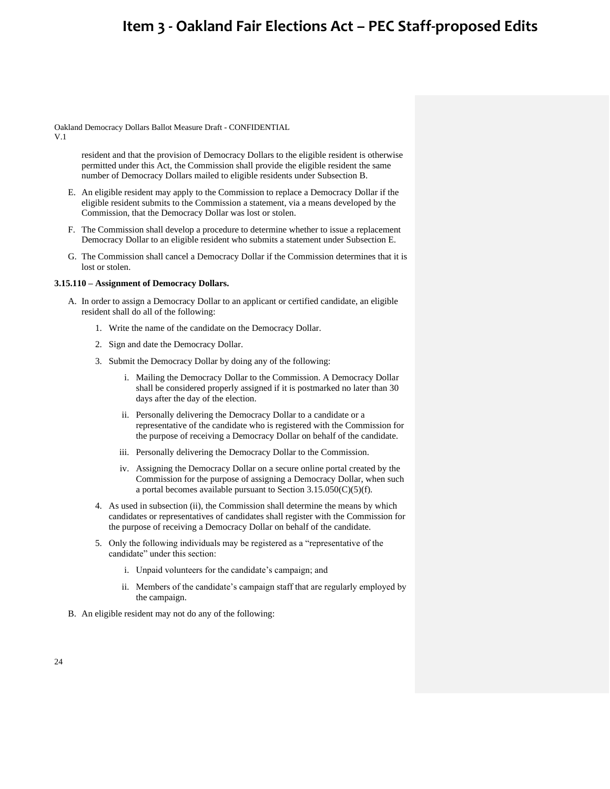Oakland Democracy Dollars Ballot Measure Draft - CONFIDENTIAL

V.1

resident and that the provision of Democracy Dollars to the eligible resident is otherwise permitted under this Act, the Commission shall provide the eligible resident the same number of Democracy Dollars mailed to eligible residents under Subsection B.

- E. An eligible resident may apply to the Commission to replace a Democracy Dollar if the eligible resident submits to the Commission a statement, via a means developed by the Commission, that the Democracy Dollar was lost or stolen.
- F. The Commission shall develop a procedure to determine whether to issue a replacement Democracy Dollar to an eligible resident who submits a statement under Subsection E.
- G. The Commission shall cancel a Democracy Dollar if the Commission determines that it is lost or stolen.

### **3.15.110 – Assignment of Democracy Dollars.**

- A. In order to assign a Democracy Dollar to an applicant or certified candidate, an eligible resident shall do all of the following:
	- 1. Write the name of the candidate on the Democracy Dollar.
	- 2. Sign and date the Democracy Dollar.
	- 3. Submit the Democracy Dollar by doing any of the following:
		- i. Mailing the Democracy Dollar to the Commission. A Democracy Dollar shall be considered properly assigned if it is postmarked no later than 30 days after the day of the election.
		- ii. Personally delivering the Democracy Dollar to a candidate or a representative of the candidate who is registered with the Commission for the purpose of receiving a Democracy Dollar on behalf of the candidate.
		- iii. Personally delivering the Democracy Dollar to the Commission.
		- iv. Assigning the Democracy Dollar on a secure online portal created by the Commission for the purpose of assigning a Democracy Dollar, when such a portal becomes available pursuant to Section  $3.15.050(C)(5)(f)$ .
	- 4. As used in subsection (ii), the Commission shall determine the means by which candidates or representatives of candidates shall register with the Commission for the purpose of receiving a Democracy Dollar on behalf of the candidate.
	- 5. Only the following individuals may be registered as a "representative of the candidate" under this section:
		- i. Unpaid volunteers for the candidate's campaign; and
		- ii. Members of the candidate's campaign staff that are regularly employed by the campaign.
- B. An eligible resident may not do any of the following: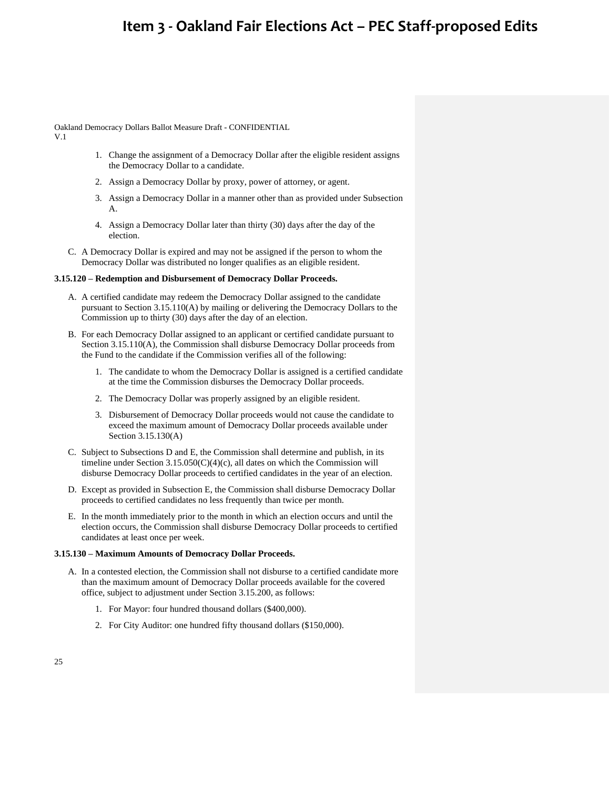Oakland Democracy Dollars Ballot Measure Draft - CONFIDENTIAL

V.1

- 1. Change the assignment of a Democracy Dollar after the eligible resident assigns the Democracy Dollar to a candidate.
- 2. Assign a Democracy Dollar by proxy, power of attorney, or agent.
- 3. Assign a Democracy Dollar in a manner other than as provided under Subsection A.
- 4. Assign a Democracy Dollar later than thirty (30) days after the day of the election.
- C. A Democracy Dollar is expired and may not be assigned if the person to whom the Democracy Dollar was distributed no longer qualifies as an eligible resident.

### **3.15.120 – Redemption and Disbursement of Democracy Dollar Proceeds.**

- A. A certified candidate may redeem the Democracy Dollar assigned to the candidate pursuant to Section 3.15.110(A) by mailing or delivering the Democracy Dollars to the Commission up to thirty (30) days after the day of an election.
- B. For each Democracy Dollar assigned to an applicant or certified candidate pursuant to Section 3.15.110(A), the Commission shall disburse Democracy Dollar proceeds from the Fund to the candidate if the Commission verifies all of the following:
	- 1. The candidate to whom the Democracy Dollar is assigned is a certified candidate at the time the Commission disburses the Democracy Dollar proceeds.
	- 2. The Democracy Dollar was properly assigned by an eligible resident.
	- 3. Disbursement of Democracy Dollar proceeds would not cause the candidate to exceed the maximum amount of Democracy Dollar proceeds available under Section 3.15.130(A)
- C. Subject to Subsections D and E, the Commission shall determine and publish, in its timeline under Section  $3.15.050(C)(4)(c)$ , all dates on which the Commission will disburse Democracy Dollar proceeds to certified candidates in the year of an election.
- D. Except as provided in Subsection E, the Commission shall disburse Democracy Dollar proceeds to certified candidates no less frequently than twice per month.
- E. In the month immediately prior to the month in which an election occurs and until the election occurs, the Commission shall disburse Democracy Dollar proceeds to certified candidates at least once per week.

### **3.15.130 – Maximum Amounts of Democracy Dollar Proceeds.**

- A. In a contested election, the Commission shall not disburse to a certified candidate more than the maximum amount of Democracy Dollar proceeds available for the covered office, subject to adjustment under Section 3.15.200, as follows:
	- 1. For Mayor: four hundred thousand dollars (\$400,000).
	- 2. For City Auditor: one hundred fifty thousand dollars (\$150,000).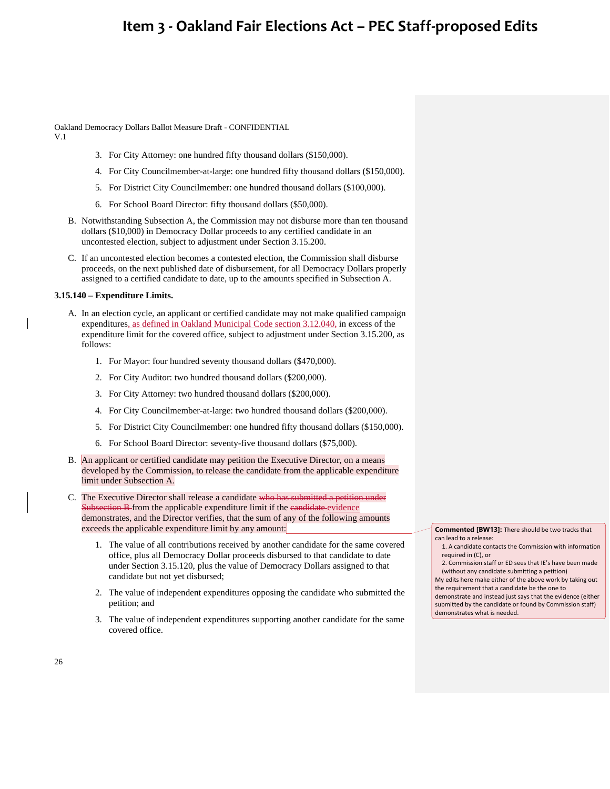Oakland Democracy Dollars Ballot Measure Draft - CONFIDENTIAL

V.1

- 3. For City Attorney: one hundred fifty thousand dollars (\$150,000).
- 4. For City Councilmember-at-large: one hundred fifty thousand dollars (\$150,000).
- 5. For District City Councilmember: one hundred thousand dollars (\$100,000).
- 6. For School Board Director: fifty thousand dollars (\$50,000).
- B. Notwithstanding Subsection A, the Commission may not disburse more than ten thousand dollars (\$10,000) in Democracy Dollar proceeds to any certified candidate in an uncontested election, subject to adjustment under Section 3.15.200.
- C. If an uncontested election becomes a contested election, the Commission shall disburse proceeds, on the next published date of disbursement, for all Democracy Dollars properly assigned to a certified candidate to date, up to the amounts specified in Subsection A.

#### **3.15.140 – Expenditure Limits.**

- A. In an election cycle, an applicant or certified candidate may not make qualified campaign expenditures, as defined in Oakland Municipal Code section 3.12.040, in excess of the expenditure limit for the covered office, subject to adjustment under Section 3.15.200, as follows:
	- 1. For Mayor: four hundred seventy thousand dollars (\$470,000).
	- 2. For City Auditor: two hundred thousand dollars (\$200,000).
	- 3. For City Attorney: two hundred thousand dollars (\$200,000).
	- 4. For City Councilmember-at-large: two hundred thousand dollars (\$200,000).
	- 5. For District City Councilmember: one hundred fifty thousand dollars (\$150,000).
	- 6. For School Board Director: seventy-five thousand dollars (\$75,000).
- B. An applicant or certified candidate may petition the Executive Director, on a means developed by the Commission, to release the candidate from the applicable expenditure limit under Subsection A.
- C. The Executive Director shall release a candidate who has submitted a petition under Subsection B from the applicable expenditure limit if the candidate evidence demonstrates, and the Director verifies, that the sum of any of the following amounts exceeds the applicable expenditure limit by any amount:
	- 1. The value of all contributions received by another candidate for the same covered office, plus all Democracy Dollar proceeds disbursed to that candidate to date under Section 3.15.120, plus the value of Democracy Dollars assigned to that candidate but not yet disbursed;
	- 2. The value of independent expenditures opposing the candidate who submitted the petition; and
	- 3. The value of independent expenditures supporting another candidate for the same covered office.

**Commented [BW13]:** There should be two tracks that can lead to a release:

1. A candidate contacts the Commission with information required in (C), or

2. Commission staff or ED sees that IE's have been made (without any candidate submitting a petition)

My edits here make either of the above work by taking out the requirement that a candidate be the one to demonstrate and instead just says that the evidence (either submitted by the candidate or found by Commission staff)

demonstrates what is needed.

26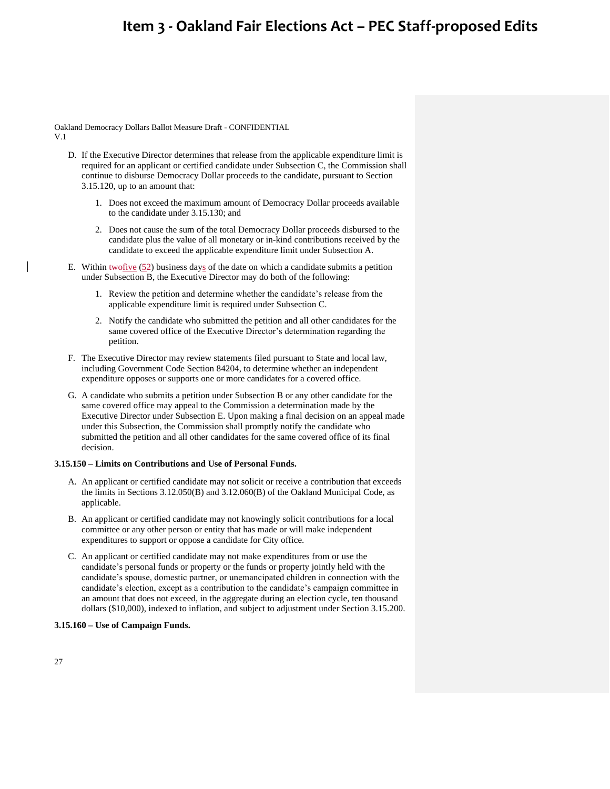Oakland Democracy Dollars Ballot Measure Draft - CONFIDENTIAL V.1

- D. If the Executive Director determines that release from the applicable expenditure limit is required for an applicant or certified candidate under Subsection C, the Commission shall continue to disburse Democracy Dollar proceeds to the candidate, pursuant to Section 3.15.120, up to an amount that:
	- 1. Does not exceed the maximum amount of Democracy Dollar proceeds available to the candidate under 3.15.130; and
	- 2. Does not cause the sum of the total Democracy Dollar proceeds disbursed to the candidate plus the value of all monetary or in-kind contributions received by the candidate to exceed the applicable expenditure limit under Subsection A.
- E. Within  $\frac{1}{2}$  business days of the date on which a candidate submits a petition under Subsection B, the Executive Director may do both of the following:
	- 1. Review the petition and determine whether the candidate's release from the applicable expenditure limit is required under Subsection C.
	- 2. Notify the candidate who submitted the petition and all other candidates for the same covered office of the Executive Director's determination regarding the petition.
- F. The Executive Director may review statements filed pursuant to State and local law, including Government Code Section 84204, to determine whether an independent expenditure opposes or supports one or more candidates for a covered office.
- G. A candidate who submits a petition under Subsection B or any other candidate for the same covered office may appeal to the Commission a determination made by the Executive Director under Subsection E. Upon making a final decision on an appeal made under this Subsection, the Commission shall promptly notify the candidate who submitted the petition and all other candidates for the same covered office of its final decision.

### **3.15.150 – Limits on Contributions and Use of Personal Funds.**

- A. An applicant or certified candidate may not solicit or receive a contribution that exceeds the limits in Sections 3.12.050(B) and 3.12.060(B) of the Oakland Municipal Code, as applicable.
- B. An applicant or certified candidate may not knowingly solicit contributions for a local committee or any other person or entity that has made or will make independent expenditures to support or oppose a candidate for City office.
- C. An applicant or certified candidate may not make expenditures from or use the candidate's personal funds or property or the funds or property jointly held with the candidate's spouse, domestic partner, or unemancipated children in connection with the candidate's election, except as a contribution to the candidate's campaign committee in an amount that does not exceed, in the aggregate during an election cycle, ten thousand dollars (\$10,000), indexed to inflation, and subject to adjustment under Section 3.15.200.

### **3.15.160 – Use of Campaign Funds.**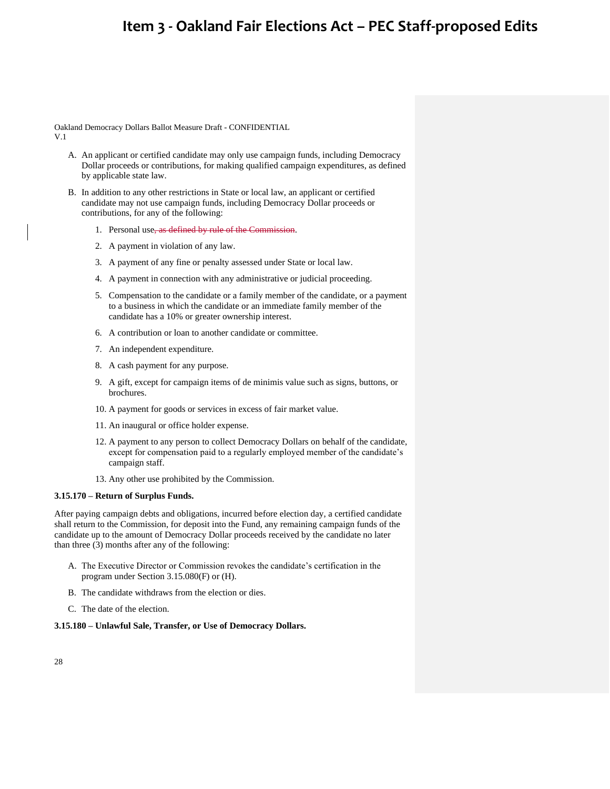Oakland Democracy Dollars Ballot Measure Draft - CONFIDENTIAL V.1

- A. An applicant or certified candidate may only use campaign funds, including Democracy Dollar proceeds or contributions, for making qualified campaign expenditures, as defined by applicable state law.
- B. In addition to any other restrictions in State or local law, an applicant or certified candidate may not use campaign funds, including Democracy Dollar proceeds or contributions, for any of the following:
	- 1. Personal use, as defined by rule of the Commission.
	- 2. A payment in violation of any law.
	- 3. A payment of any fine or penalty assessed under State or local law.
	- 4. A payment in connection with any administrative or judicial proceeding.
	- 5. Compensation to the candidate or a family member of the candidate, or a payment to a business in which the candidate or an immediate family member of the candidate has a 10% or greater ownership interest.
	- 6. A contribution or loan to another candidate or committee.
	- 7. An independent expenditure.
	- 8. A cash payment for any purpose.
	- 9. A gift, except for campaign items of de minimis value such as signs, buttons, or brochures.
	- 10. A payment for goods or services in excess of fair market value.
	- 11. An inaugural or office holder expense.
	- 12. A payment to any person to collect Democracy Dollars on behalf of the candidate, except for compensation paid to a regularly employed member of the candidate's campaign staff.
	- 13. Any other use prohibited by the Commission.

### **3.15.170 – Return of Surplus Funds.**

After paying campaign debts and obligations, incurred before election day, a certified candidate shall return to the Commission, for deposit into the Fund, any remaining campaign funds of the candidate up to the amount of Democracy Dollar proceeds received by the candidate no later than three (3) months after any of the following:

- A. The Executive Director or Commission revokes the candidate's certification in the program under Section 3.15.080(F) or (H).
- B. The candidate withdraws from the election or dies.
- C. The date of the election.

#### **3.15.180 – Unlawful Sale, Transfer, or Use of Democracy Dollars.**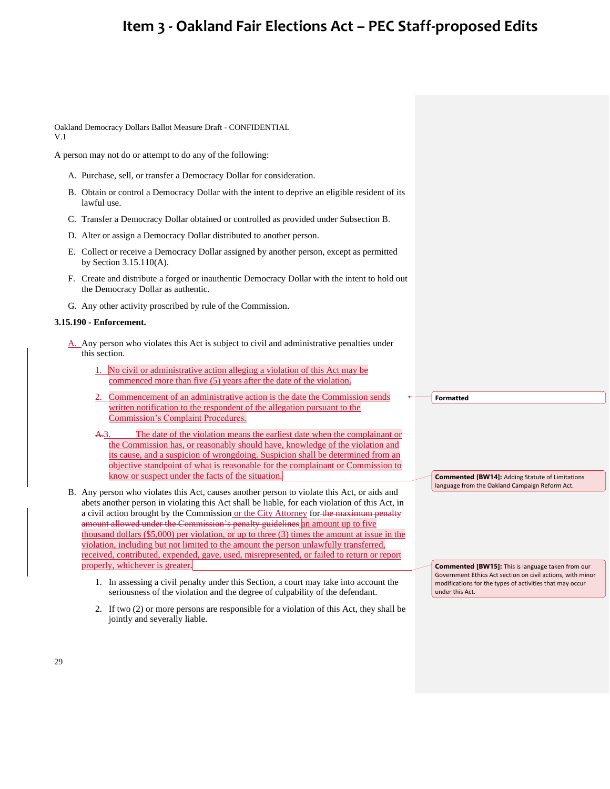Oakland Democracy Dollars Ballot Measure Draft - CONFIDENTIAL V.1

A person may not do or attempt to do any of the following:

- A. Purchase, sell, or transfer a Democracy Dollar for consideration.
- B. Obtain or control a Democracy Dollar with the intent to deprive an eligible resident of its lawful use.
- C. Transfer a Democracy Dollar obtained or controlled as provided under Subsection B.
- D. Alter or assign a Democracy Dollar distributed to another person.
- E. Collect or receive a Democracy Dollar assigned by another person, except as permitted by Section 3.15.110(A).
- F. Create and distribute a forged or inauthentic Democracy Dollar with the intent to hold out the Democracy Dollar as authentic.
- G. Any other activity proscribed by rule of the Commission.

### **3.15.190 - Enforcement.**

- A. Any person who violates this Act is subject to civil and administrative penalties under this section.
	- No civil or administrative action alleging a violation of this Act may be commenced more than five (5) years after the date of the violation.
	- 2. Commencement of an administrative action is the date the Commission sends written notification to the respondent of the allegation pursuant to the Commission's Complaint Procedures.
	- A.3. The date of the violation means the earliest date when the complainant or the Commission has, or reasonably should have, knowledge of the violation and its cause, and a suspicion of wrongdoing. Suspicion shall be determined from an objective standpoint of what is reasonable for the complainant or Commission to know or suspect under the facts of the situation.
- B. Any person who violates this Act, causes another person to violate this Act, or aids and abets another person in violating this Act shall be liable, for each violation of this Act, in a civil action brought by the Commission or the City Attorney for the maximum penalty amount allowed under the Commission's penalty guidelines an amount up to five thousand dollars (\$5,000) per violation, or up to three (3) times the amount at issue in the violation, including but not limited to the amount the person unlawfully transferred, received, contributed, expended, gave, used, misrepresented, or failed to return or report properly, whichever is greater.
	- 1. In assessing a civil penalty under this Section, a court may take into account the seriousness of the violation and the degree of culpability of the defendant.
	- 2. If two (2) or more persons are responsible for a violation of this Act, they shall be jointly and severally liable.

**Formatted**

**Commented [BW14]:** Adding Statute of Limitations language from the Oakland Campaign Reform Act.

**Commented [BW15]:** This is language taken from our Government Ethics Act section on civil actions, with minor modifications for the types of activities that may occur under this Act.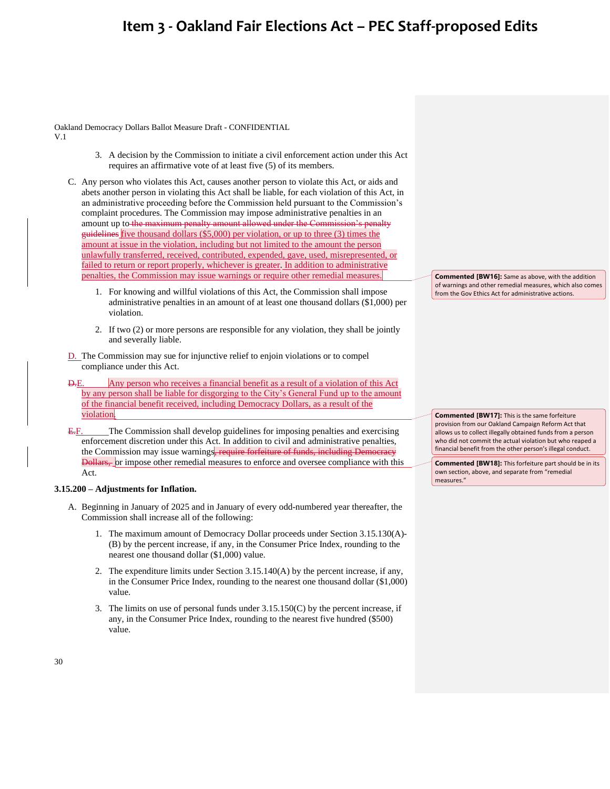Oakland Democracy Dollars Ballot Measure Draft - CONFIDENTIAL V.1

- 3. A decision by the Commission to initiate a civil enforcement action under this Act requires an affirmative vote of at least five (5) of its members.
- C. Any person who violates this Act, causes another person to violate this Act, or aids and abets another person in violating this Act shall be liable, for each violation of this Act, in an administrative proceeding before the Commission held pursuant to the Commission's complaint procedures. The Commission may impose administrative penalties in an amount up to the maximum penalty amount allowed under the Commission's penalty guidelines five thousand dollars (\$5,000) per violation, or up to three (3) times the amount at issue in the violation, including but not limited to the amount the person unlawfully transferred, received, contributed, expended, gave, used, misrepresented, or failed to return or report properly, whichever is greater. In addition to administrative penalties, the Commission may issue warnings or require other remedial measures.
	- 1. For knowing and willful violations of this Act, the Commission shall impose administrative penalties in an amount of at least one thousand dollars (\$1,000) per violation.
	- 2. If two (2) or more persons are responsible for any violation, they shall be jointly and severally liable.
- D. The Commission may sue for injunctive relief to enjoin violations or to compel compliance under this Act.
- D.E. Any person who receives a financial benefit as a result of a violation of this Act by any person shall be liable for disgorging to the City's General Fund up to the amount of the financial benefit received, including Democracy Dollars, as a result of the violation.
- E.F. The Commission shall develop guidelines for imposing penalties and exercising enforcement discretion under this Act. In addition to civil and administrative penalties, the Commission may issue warnings, require forfeiture of funds, including Democracy Dollars, or impose other remedial measures to enforce and oversee compliance with this Act.

### **3.15.200 – Adjustments for Inflation.**

- A. Beginning in January of 2025 and in January of every odd-numbered year thereafter, the Commission shall increase all of the following:
	- 1. The maximum amount of Democracy Dollar proceeds under Section 3.15.130(A)- (B) by the percent increase, if any, in the Consumer Price Index, rounding to the nearest one thousand dollar (\$1,000) value.
	- 2. The expenditure limits under Section 3.15.140(A) by the percent increase, if any, in the Consumer Price Index, rounding to the nearest one thousand dollar (\$1,000) value.
	- 3. The limits on use of personal funds under 3.15.150(C) by the percent increase, if any, in the Consumer Price Index, rounding to the nearest five hundred (\$500) value.

**Commented [BW16]:** Same as above, with the addition of warnings and other remedial measures, which also comes from the Gov Ethics Act for administrative actions.

**Commented [BW17]:** This is the same forfeiture provision from our Oakland Campaign Reform Act that allows us to collect illegally obtained funds from a person who did not commit the actual violation but who reaped a financial benefit from the other person's illegal conduct.

**Commented [BW18]:** This forfeiture part should be in its own section, above, and separate from "remedial measures."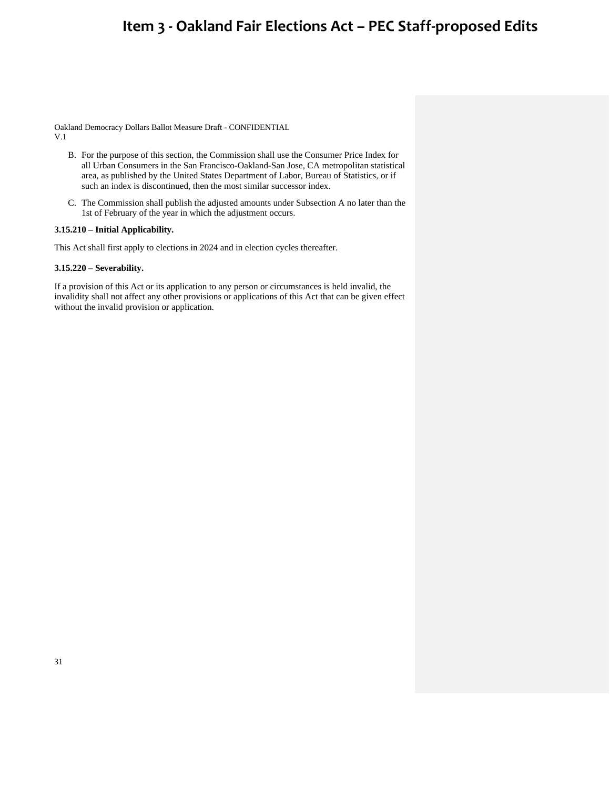Oakland Democracy Dollars Ballot Measure Draft - CONFIDENTIAL V.1

- B. For the purpose of this section, the Commission shall use the Consumer Price Index for all Urban Consumers in the San Francisco-Oakland-San Jose, CA metropolitan statistical area, as published by the United States Department of Labor, Bureau of Statistics, or if such an index is discontinued, then the most similar successor index.
- C. The Commission shall publish the adjusted amounts under Subsection A no later than the 1st of February of the year in which the adjustment occurs.

### **3.15.210 – Initial Applicability.**

This Act shall first apply to elections in 2024 and in election cycles thereafter.

### **3.15.220 – Severability.**

If a provision of this Act or its application to any person or circumstances is held invalid, the invalidity shall not affect any other provisions or applications of this Act that can be given effect without the invalid provision or application.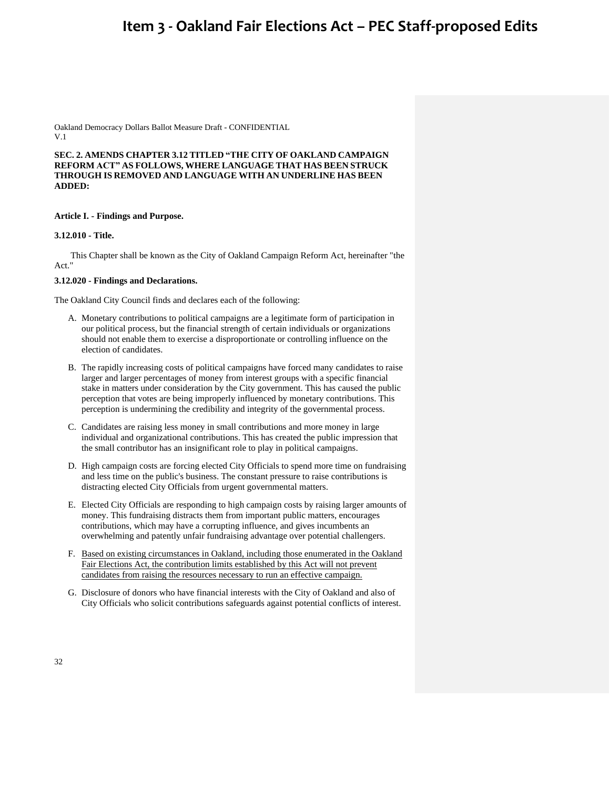Oakland Democracy Dollars Ballot Measure Draft - CONFIDENTIAL V.1

**SEC. 2. AMENDS CHAPTER 3.12 TITLED "THE CITY OF OAKLAND CAMPAIGN REFORM ACT" AS FOLLOWS, WHERE LANGUAGE THAT HAS BEEN STRUCK THROUGH IS REMOVED AND LANGUAGE WITH AN UNDERLINE HAS BEEN ADDED:**

#### **Article I. - Findings and Purpose.**

### **3.12.010 - Title.**

This Chapter shall be known as the City of Oakland Campaign Reform Act, hereinafter "the Act."

### **3.12.020 - Findings and Declarations.**

The Oakland City Council finds and declares each of the following:

- A. Monetary contributions to political campaigns are a legitimate form of participation in our political process, but the financial strength of certain individuals or organizations should not enable them to exercise a disproportionate or controlling influence on the election of candidates.
- B. The rapidly increasing costs of political campaigns have forced many candidates to raise larger and larger percentages of money from interest groups with a specific financial stake in matters under consideration by the City government. This has caused the public perception that votes are being improperly influenced by monetary contributions. This perception is undermining the credibility and integrity of the governmental process.
- C. Candidates are raising less money in small contributions and more money in large individual and organizational contributions. This has created the public impression that the small contributor has an insignificant role to play in political campaigns.
- D. High campaign costs are forcing elected City Officials to spend more time on fundraising and less time on the public's business. The constant pressure to raise contributions is distracting elected City Officials from urgent governmental matters.
- E. Elected City Officials are responding to high campaign costs by raising larger amounts of money. This fundraising distracts them from important public matters, encourages contributions, which may have a corrupting influence, and gives incumbents an overwhelming and patently unfair fundraising advantage over potential challengers.
- F. Based on existing circumstances in Oakland, including those enumerated in the Oakland Fair Elections Act, the contribution limits established by this Act will not prevent candidates from raising the resources necessary to run an effective campaign.
- G. Disclosure of donors who have financial interests with the City of Oakland and also of City Officials who solicit contributions safeguards against potential conflicts of interest.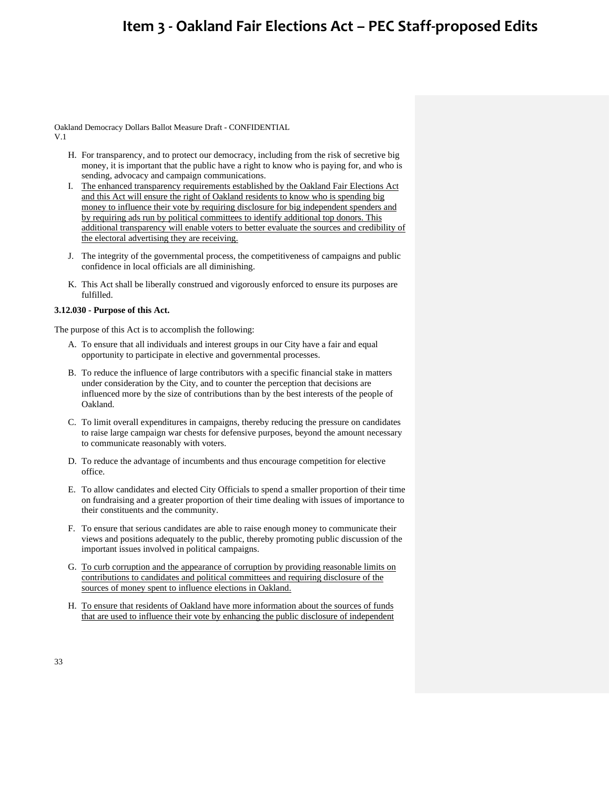Oakland Democracy Dollars Ballot Measure Draft - CONFIDENTIAL V.1

- H. For transparency, and to protect our democracy, including from the risk of secretive big money, it is important that the public have a right to know who is paying for, and who is sending, advocacy and campaign communications.
- I. The enhanced transparency requirements established by the Oakland Fair Elections Act and this Act will ensure the right of Oakland residents to know who is spending big money to influence their vote by requiring disclosure for big independent spenders and by requiring ads run by political committees to identify additional top donors. This additional transparency will enable voters to better evaluate the sources and credibility of the electoral advertising they are receiving.
- J. The integrity of the governmental process, the competitiveness of campaigns and public confidence in local officials are all diminishing.
- K. This Act shall be liberally construed and vigorously enforced to ensure its purposes are fulfilled.

### **3.12.030 - Purpose of this Act.**

The purpose of this Act is to accomplish the following:

- A. To ensure that all individuals and interest groups in our City have a fair and equal opportunity to participate in elective and governmental processes.
- B. To reduce the influence of large contributors with a specific financial stake in matters under consideration by the City, and to counter the perception that decisions are influenced more by the size of contributions than by the best interests of the people of Oakland.
- C. To limit overall expenditures in campaigns, thereby reducing the pressure on candidates to raise large campaign war chests for defensive purposes, beyond the amount necessary to communicate reasonably with voters.
- D. To reduce the advantage of incumbents and thus encourage competition for elective office.
- E. To allow candidates and elected City Officials to spend a smaller proportion of their time on fundraising and a greater proportion of their time dealing with issues of importance to their constituents and the community.
- F. To ensure that serious candidates are able to raise enough money to communicate their views and positions adequately to the public, thereby promoting public discussion of the important issues involved in political campaigns.
- G. To curb corruption and the appearance of corruption by providing reasonable limits on contributions to candidates and political committees and requiring disclosure of the sources of money spent to influence elections in Oakland.
- H. To ensure that residents of Oakland have more information about the sources of funds that are used to influence their vote by enhancing the public disclosure of independent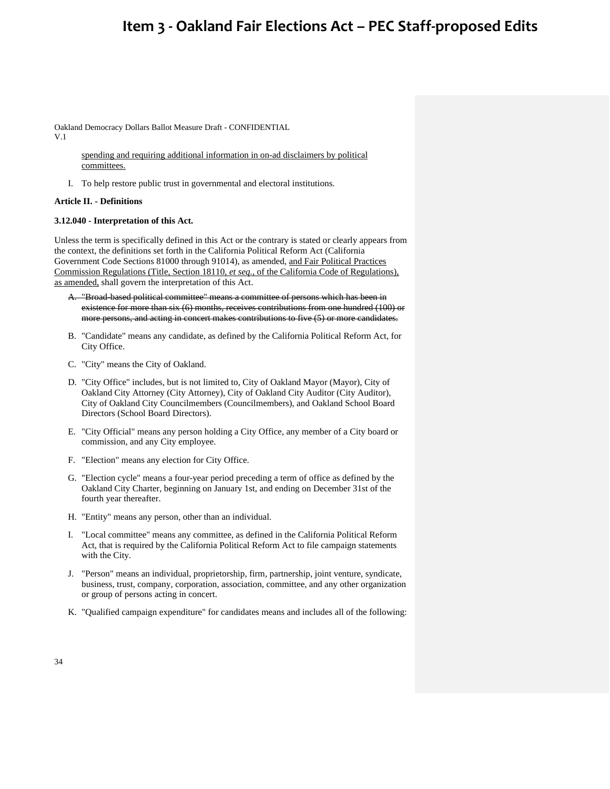Oakland Democracy Dollars Ballot Measure Draft - CONFIDENTIAL V.1

> spending and requiring additional information in on-ad disclaimers by political committees.

I. To help restore public trust in governmental and electoral institutions.

### **Article II. - Definitions**

### **3.12.040 - Interpretation of this Act.**

Unless the term is specifically defined in this Act or the contrary is stated or clearly appears from the context, the definitions set forth in the California Political Reform Act (California Government Code Sections 81000 through 91014), as amended, and Fair Political Practices Commission Regulations (Title, Section 18110, *et seq.*, of the California Code of Regulations), as amended, shall govern the interpretation of this Act.

- A. "Broad-based political committee" means a committee of persons which has been in existence for more than six (6) months, receives contributions from one hundred (100) or more persons, and acting in concert makes contributions to five (5) or more candidates.
- B. "Candidate" means any candidate, as defined by the California Political Reform Act, for City Office.
- C. "City" means the City of Oakland.
- D. "City Office" includes, but is not limited to, City of Oakland Mayor (Mayor), City of Oakland City Attorney (City Attorney), City of Oakland City Auditor (City Auditor), City of Oakland City Councilmembers (Councilmembers), and Oakland School Board Directors (School Board Directors).
- E. "City Official" means any person holding a City Office, any member of a City board or commission, and any City employee.
- F. "Election" means any election for City Office.
- G. "Election cycle" means a four-year period preceding a term of office as defined by the Oakland City Charter, beginning on January 1st, and ending on December 31st of the fourth year thereafter.
- H. "Entity" means any person, other than an individual.
- I. "Local committee" means any committee, as defined in the California Political Reform Act, that is required by the California Political Reform Act to file campaign statements with the City.
- J. "Person" means an individual, proprietorship, firm, partnership, joint venture, syndicate, business, trust, company, corporation, association, committee, and any other organization or group of persons acting in concert.
- K. "Qualified campaign expenditure" for candidates means and includes all of the following: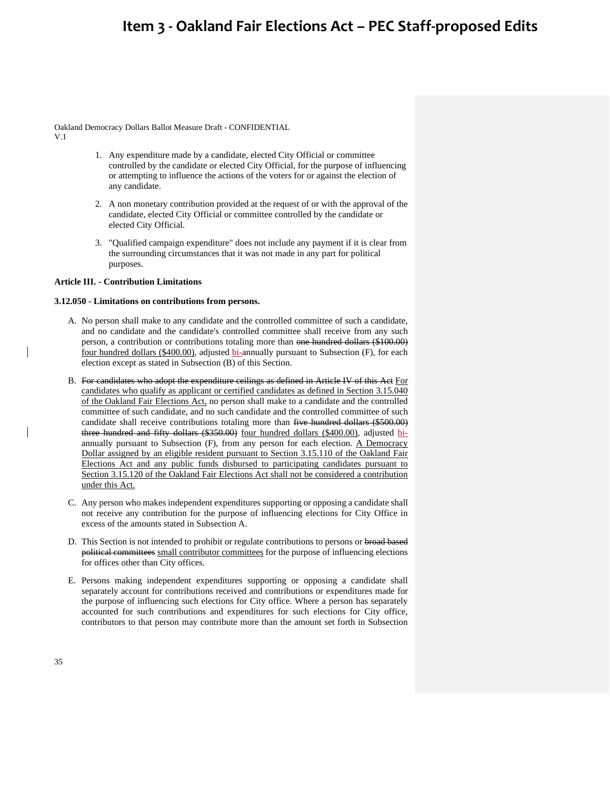Oakland Democracy Dollars Ballot Measure Draft - CONFIDENTIAL V.1

- 1. Any expenditure made by a candidate, elected City Official or committee controlled by the candidate or elected City Official, for the purpose of influencing or attempting to influence the actions of the voters for or against the election of any candidate.
- 2. A non monetary contribution provided at the request of or with the approval of the candidate, elected City Official or committee controlled by the candidate or elected City Official.
- 3. "Qualified campaign expenditure" does not include any payment if it is clear from the surrounding circumstances that it was not made in any part for political purposes.

#### **Article III. - Contribution Limitations**

#### **3.12.050 - Limitations on contributions from persons.**

- A. No person shall make to any candidate and the controlled committee of such a candidate, and no candidate and the candidate's controlled committee shall receive from any such person, a contribution or contributions totaling more than one hundred dollars (\$100.00) four hundred dollars (\$400.00), adjusted bi-annually pursuant to Subsection (F), for each election except as stated in Subsection (B) of this Section.
- B. For candidates who adopt the expenditure ceilings as defined in Article IV of this Act For candidates who qualify as applicant or certified candidates as defined in Section 3.15.040 of the Oakland Fair Elections Act, no person shall make to a candidate and the controlled committee of such candidate, and no such candidate and the controlled committee of such candidate shall receive contributions totaling more than five hundred dollars (\$500.00) three hundred and fifty dollars (\$350.00) four hundred dollars (\$400.00), adjusted biannually pursuant to Subsection (F), from any person for each election. A Democracy Dollar assigned by an eligible resident pursuant to Section 3.15.110 of the Oakland Fair Elections Act and any public funds disbursed to participating candidates pursuant to Section 3.15.120 of the Oakland Fair Elections Act shall not be considered a contribution under this Act.
- C. Any person who makes independent expenditures supporting or opposing a candidate shall not receive any contribution for the purpose of influencing elections for City Office in excess of the amounts stated in Subsection A.
- D. This Section is not intended to prohibit or regulate contributions to persons or broad based political committees small contributor committees for the purpose of influencing elections for offices other than City offices.
- E. Persons making independent expenditures supporting or opposing a candidate shall separately account for contributions received and contributions or expenditures made for the purpose of influencing such elections for City office. Where a person has separately accounted for such contributions and expenditures for such elections for City office, contributors to that person may contribute more than the amount set forth in Subsection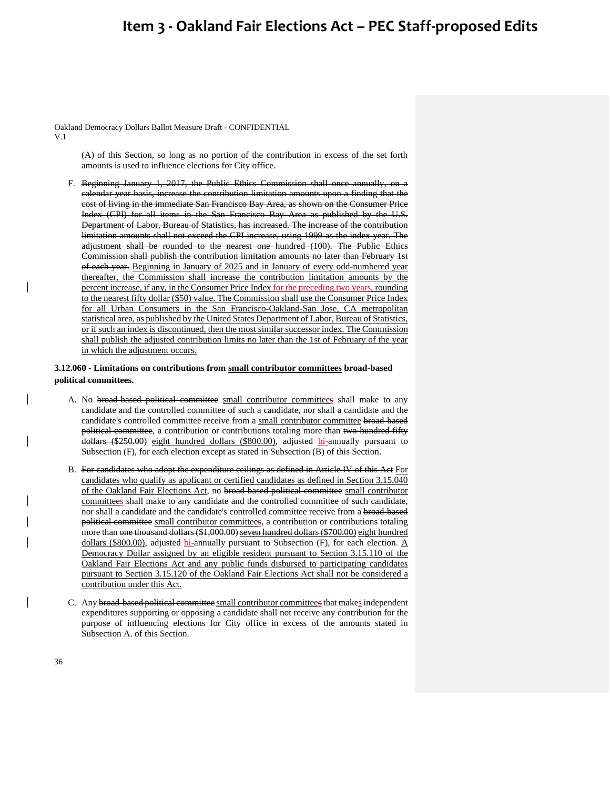Oakland Democracy Dollars Ballot Measure Draft - CONFIDENTIAL

V.1

(A) of this Section, so long as no portion of the contribution in excess of the set forth amounts is used to influence elections for City office.

F. Beginning January 1, 2017, the Public Ethics Commission shall once annually, on a calendar year basis, increase the contribution limitation amounts upon a finding that the cost of living in the immediate San Francisco Bay Area, as shown on the Consumer Price Index (CPI) for all items in the San Francisco Bay Area as published by the U.S. Department of Labor, Bureau of Statistics, has increased. The increase of the contribution limitation amounts shall not exceed the CPI increase, using 1999 as the index year. The adjustment shall be rounded to the nearest one hundred (100). The Public Ethics Commission shall publish the contribution limitation amounts no later than February 1st of each year. Beginning in January of 2025 and in January of every odd-numbered year thereafter, the Commission shall increase the contribution limitation amounts by the percent increase, if any, in the Consumer Price Index for the preceding two years, rounding to the nearest fifty dollar (\$50) value. The Commission shall use the Consumer Price Index for all Urban Consumers in the San Francisco-Oakland-San Jose, CA metropolitan statistical area, as published by the United States Department of Labor, Bureau of Statistics, or if such an index is discontinued, then the most similar successor index. The Commission shall publish the adjusted contribution limits no later than the 1st of February of the year in which the adjustment occurs.

### **3.12.060 - Limitations on contributions from small contributor committees broad-based political committees.**

- A. No broad-based political committee small contributor committees shall make to any candidate and the controlled committee of such a candidate, nor shall a candidate and the candidate's controlled committee receive from a small contributor committee broad-based political committee, a contribution or contributions totaling more than two hundred fifty dollars (\$250.00) eight hundred dollars (\$800.00), adjusted bi-annually pursuant to Subsection (F), for each election except as stated in Subsection (B) of this Section.
- B. For candidates who adopt the expenditure ceilings as defined in Article IV of this Act For candidates who qualify as applicant or certified candidates as defined in Section 3.15.040 of the Oakland Fair Elections Act, no broad-based political committee small contributor committees shall make to any candidate and the controlled committee of such candidate, nor shall a candidate and the candidate's controlled committee receive from a broad-based political committee small contributor committees, a contribution or contributions totaling more than one thousand dollars (\$1,000.00) seven hundred dollars (\$700.00) eight hundred dollars (\$800.00), adjusted bi-annually pursuant to Subsection (F), for each election.  $\underline{A}$ Democracy Dollar assigned by an eligible resident pursuant to Section 3.15.110 of the Oakland Fair Elections Act and any public funds disbursed to participating candidates pursuant to Section 3.15.120 of the Oakland Fair Elections Act shall not be considered a contribution under this Act.
- C. Any broad-based political committee small contributor committees that makes independent expenditures supporting or opposing a candidate shall not receive any contribution for the purpose of influencing elections for City office in excess of the amounts stated in Subsection A. of this Section.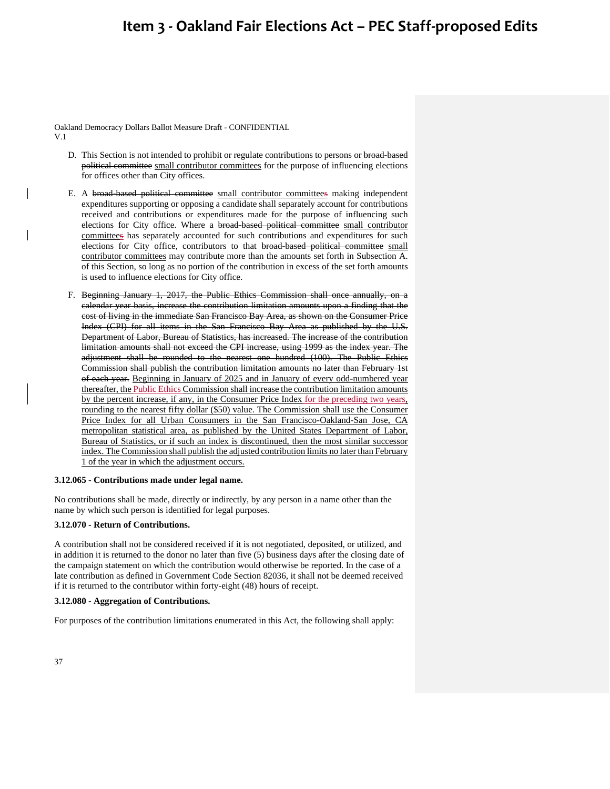Oakland Democracy Dollars Ballot Measure Draft - CONFIDENTIAL V.1

- D. This Section is not intended to prohibit or regulate contributions to persons or broad-based political committee small contributor committees for the purpose of influencing elections for offices other than City offices.
- E. A broad-based political committee small contributor committees making independent expenditures supporting or opposing a candidate shall separately account for contributions received and contributions or expenditures made for the purpose of influencing such elections for City office. Where a broad-based political committee small contributor committees has separately accounted for such contributions and expenditures for such elections for City office, contributors to that broad-based political committee small contributor committees may contribute more than the amounts set forth in Subsection A. of this Section, so long as no portion of the contribution in excess of the set forth amounts is used to influence elections for City office.
- F. Beginning January 1, 2017, the Public Ethics Commission shall once annually, on a calendar year basis, increase the contribution limitation amounts upon a finding that the cost of living in the immediate San Francisco Bay Area, as shown on the Consumer Price Index (CPI) for all items in the San Francisco Bay Area as published by the U.S. Department of Labor, Bureau of Statistics, has increased. The increase of the contribution limitation amounts shall not exceed the CPI increase, using 1999 as the index year. The adjustment shall be rounded to the nearest one hundred (100). The Public Ethics Commission shall publish the contribution limitation amounts no later than February 1st of each year. Beginning in January of 2025 and in January of every odd-numbered year thereafter, the Public Ethics Commission shall increase the contribution limitation amounts by the percent increase, if any, in the Consumer Price Index for the preceding two years, rounding to the nearest fifty dollar (\$50) value. The Commission shall use the Consumer Price Index for all Urban Consumers in the San Francisco-Oakland-San Jose, CA metropolitan statistical area, as published by the United States Department of Labor, Bureau of Statistics, or if such an index is discontinued, then the most similar successor index. The Commission shall publish the adjusted contribution limits no later than February 1 of the year in which the adjustment occurs.

#### **3.12.065 - Contributions made under legal name.**

No contributions shall be made, directly or indirectly, by any person in a name other than the name by which such person is identified for legal purposes.

### **3.12.070 - Return of Contributions.**

A contribution shall not be considered received if it is not negotiated, deposited, or utilized, and in addition it is returned to the donor no later than five (5) business days after the closing date of the campaign statement on which the contribution would otherwise be reported. In the case of a late contribution as defined in Government Code Section 82036, it shall not be deemed received if it is returned to the contributor within forty-eight (48) hours of receipt.

#### **3.12.080 - Aggregation of Contributions.**

For purposes of the contribution limitations enumerated in this Act, the following shall apply: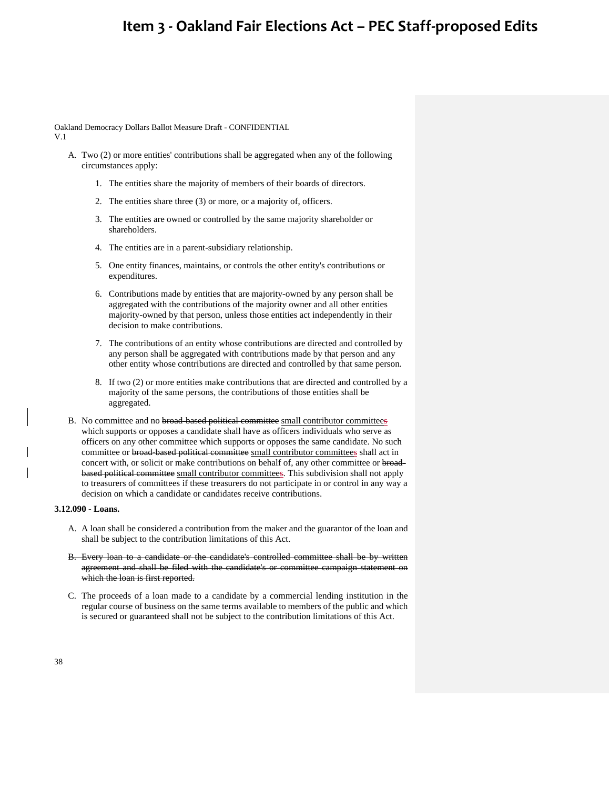Oakland Democracy Dollars Ballot Measure Draft - CONFIDENTIAL V.1

- A. Two (2) or more entities' contributions shall be aggregated when any of the following circumstances apply:
	- 1. The entities share the majority of members of their boards of directors.
	- 2. The entities share three (3) or more, or a majority of, officers.
	- 3. The entities are owned or controlled by the same majority shareholder or shareholders.
	- 4. The entities are in a parent-subsidiary relationship.
	- 5. One entity finances, maintains, or controls the other entity's contributions or expenditures.
	- 6. Contributions made by entities that are majority-owned by any person shall be aggregated with the contributions of the majority owner and all other entities majority-owned by that person, unless those entities act independently in their decision to make contributions.
	- 7. The contributions of an entity whose contributions are directed and controlled by any person shall be aggregated with contributions made by that person and any other entity whose contributions are directed and controlled by that same person.
	- 8. If two (2) or more entities make contributions that are directed and controlled by a majority of the same persons, the contributions of those entities shall be aggregated.
- B. No committee and no broad-based political committee small contributor committees which supports or opposes a candidate shall have as officers individuals who serve as officers on any other committee which supports or opposes the same candidate. No such committee or broad-based political committee small contributor committees shall act in concert with, or solicit or make contributions on behalf of, any other committee or broadbased political committee small contributor committees. This subdivision shall not apply to treasurers of committees if these treasurers do not participate in or control in any way a decision on which a candidate or candidates receive contributions.

### **3.12.090 - Loans.**

- A. A loan shall be considered a contribution from the maker and the guarantor of the loan and shall be subject to the contribution limitations of this Act.
- B. Every loan to a candidate or the candidate's controlled committee shall be by written agreement and shall be filed with the candidate's or committee campaign statement on which the loan is first reported.
- C. The proceeds of a loan made to a candidate by a commercial lending institution in the regular course of business on the same terms available to members of the public and which is secured or guaranteed shall not be subject to the contribution limitations of this Act.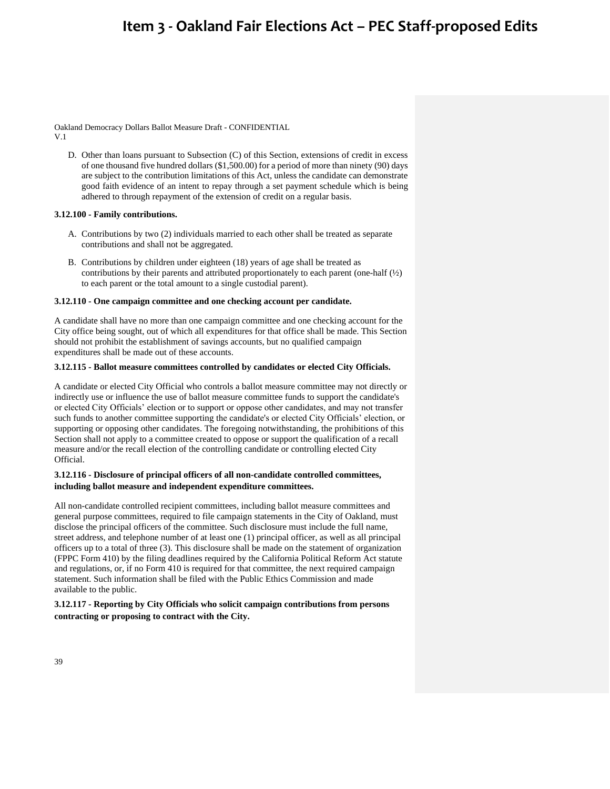Oakland Democracy Dollars Ballot Measure Draft - CONFIDENTIAL V.1

D. Other than loans pursuant to Subsection (C) of this Section, extensions of credit in excess of one thousand five hundred dollars (\$1,500.00) for a period of more than ninety (90) days are subject to the contribution limitations of this Act, unless the candidate can demonstrate good faith evidence of an intent to repay through a set payment schedule which is being adhered to through repayment of the extension of credit on a regular basis.

#### **3.12.100 - Family contributions.**

- A. Contributions by two (2) individuals married to each other shall be treated as separate contributions and shall not be aggregated.
- B. Contributions by children under eighteen (18) years of age shall be treated as contributions by their parents and attributed proportionately to each parent (one-half  $\left(\frac{1}{2}\right)$ ) to each parent or the total amount to a single custodial parent).

### **3.12.110 - One campaign committee and one checking account per candidate.**

A candidate shall have no more than one campaign committee and one checking account for the City office being sought, out of which all expenditures for that office shall be made. This Section should not prohibit the establishment of savings accounts, but no qualified campaign expenditures shall be made out of these accounts.

### **3.12.115 - Ballot measure committees controlled by candidates or elected City Officials.**

A candidate or elected City Official who controls a ballot measure committee may not directly or indirectly use or influence the use of ballot measure committee funds to support the candidate's or elected City Officials' election or to support or oppose other candidates, and may not transfer such funds to another committee supporting the candidate's or elected City Officials' election, or supporting or opposing other candidates. The foregoing notwithstanding, the prohibitions of this Section shall not apply to a committee created to oppose or support the qualification of a recall measure and/or the recall election of the controlling candidate or controlling elected City Official.

### **3.12.116 - Disclosure of principal officers of all non-candidate controlled committees, including ballot measure and independent expenditure committees.**

All non-candidate controlled recipient committees, including ballot measure committees and general purpose committees, required to file campaign statements in the City of Oakland, must disclose the principal officers of the committee. Such disclosure must include the full name, street address, and telephone number of at least one (1) principal officer, as well as all principal officers up to a total of three (3). This disclosure shall be made on the statement of organization (FPPC Form 410) by the filing deadlines required by the California Political Reform Act statute and regulations, or, if no Form 410 is required for that committee, the next required campaign statement. Such information shall be filed with the Public Ethics Commission and made available to the public.

### **3.12.117 - Reporting by City Officials who solicit campaign contributions from persons contracting or proposing to contract with the City.**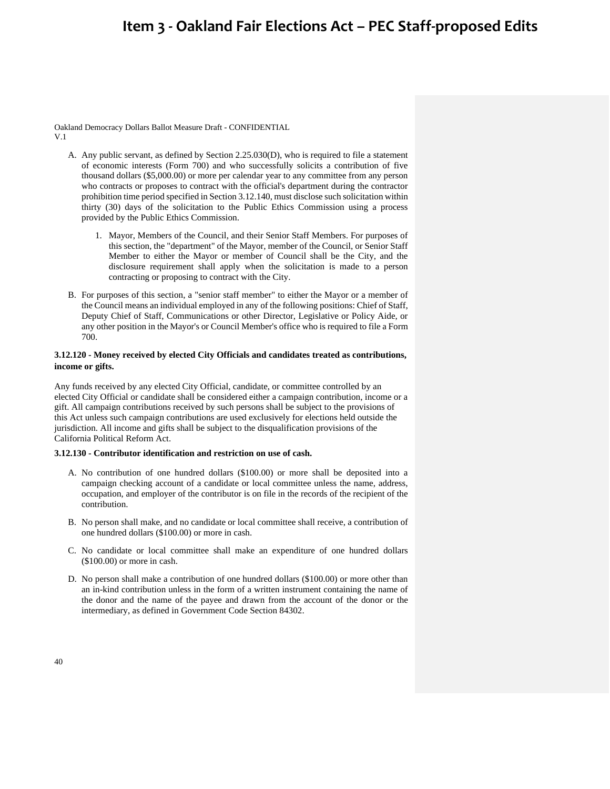Oakland Democracy Dollars Ballot Measure Draft - CONFIDENTIAL V.1

- A. Any public servant, as defined by Section 2.25.030(D), who is required to file a statement of economic interests (Form 700) and who successfully solicits a contribution of five thousand dollars (\$5,000.00) or more per calendar year to any committee from any person who contracts or proposes to contract with the official's department during the contractor prohibition time period specified in Section 3.12.140, must disclose such solicitation within thirty (30) days of the solicitation to the Public Ethics Commission using a process provided by the Public Ethics Commission.
	- 1. Mayor, Members of the Council, and their Senior Staff Members. For purposes of this section, the "department" of the Mayor, member of the Council, or Senior Staff Member to either the Mayor or member of Council shall be the City, and the disclosure requirement shall apply when the solicitation is made to a person contracting or proposing to contract with the City.
- B. For purposes of this section, a "senior staff member" to either the Mayor or a member of the Council means an individual employed in any of the following positions: Chief of Staff, Deputy Chief of Staff, Communications or other Director, Legislative or Policy Aide, or any other position in the Mayor's or Council Member's office who is required to file a Form 700.

### **3.12.120 - Money received by elected City Officials and candidates treated as contributions, income or gifts.**

Any funds received by any elected City Official, candidate, or committee controlled by an elected City Official or candidate shall be considered either a campaign contribution, income or a gift. All campaign contributions received by such persons shall be subject to the provisions of this Act unless such campaign contributions are used exclusively for elections held outside the jurisdiction. All income and gifts shall be subject to the disqualification provisions of the California Political Reform Act.

### **3.12.130 - Contributor identification and restriction on use of cash.**

- A. No contribution of one hundred dollars (\$100.00) or more shall be deposited into a campaign checking account of a candidate or local committee unless the name, address, occupation, and employer of the contributor is on file in the records of the recipient of the contribution.
- B. No person shall make, and no candidate or local committee shall receive, a contribution of one hundred dollars (\$100.00) or more in cash.
- C. No candidate or local committee shall make an expenditure of one hundred dollars (\$100.00) or more in cash.
- D. No person shall make a contribution of one hundred dollars (\$100.00) or more other than an in-kind contribution unless in the form of a written instrument containing the name of the donor and the name of the payee and drawn from the account of the donor or the intermediary, as defined in Government Code Section 84302.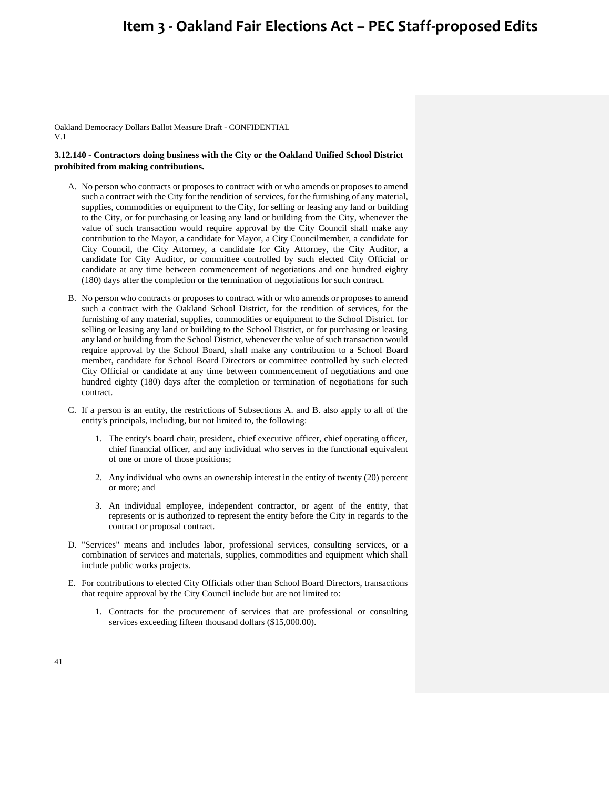Oakland Democracy Dollars Ballot Measure Draft - CONFIDENTIAL V.1

### **3.12.140 - Contractors doing business with the City or the Oakland Unified School District prohibited from making contributions.**

- A. No person who contracts or proposes to contract with or who amends or proposes to amend such a contract with the City for the rendition of services, for the furnishing of any material, supplies, commodities or equipment to the City, for selling or leasing any land or building to the City, or for purchasing or leasing any land or building from the City, whenever the value of such transaction would require approval by the City Council shall make any contribution to the Mayor, a candidate for Mayor, a City Councilmember, a candidate for City Council, the City Attorney, a candidate for City Attorney, the City Auditor, a candidate for City Auditor, or committee controlled by such elected City Official or candidate at any time between commencement of negotiations and one hundred eighty (180) days after the completion or the termination of negotiations for such contract.
- B. No person who contracts or proposes to contract with or who amends or proposes to amend such a contract with the Oakland School District, for the rendition of services, for the furnishing of any material, supplies, commodities or equipment to the School District. for selling or leasing any land or building to the School District, or for purchasing or leasing any land or building from the School District, whenever the value of such transaction would require approval by the School Board, shall make any contribution to a School Board member, candidate for School Board Directors or committee controlled by such elected City Official or candidate at any time between commencement of negotiations and one hundred eighty (180) days after the completion or termination of negotiations for such contract.
- C. If a person is an entity, the restrictions of Subsections A. and B. also apply to all of the entity's principals, including, but not limited to, the following:
	- 1. The entity's board chair, president, chief executive officer, chief operating officer, chief financial officer, and any individual who serves in the functional equivalent of one or more of those positions;
	- 2. Any individual who owns an ownership interest in the entity of twenty (20) percent or more; and
	- 3. An individual employee, independent contractor, or agent of the entity, that represents or is authorized to represent the entity before the City in regards to the contract or proposal contract.
- D. "Services" means and includes labor, professional services, consulting services, or a combination of services and materials, supplies, commodities and equipment which shall include public works projects.
- E. For contributions to elected City Officials other than School Board Directors, transactions that require approval by the City Council include but are not limited to:
	- 1. Contracts for the procurement of services that are professional or consulting services exceeding fifteen thousand dollars (\$15,000.00).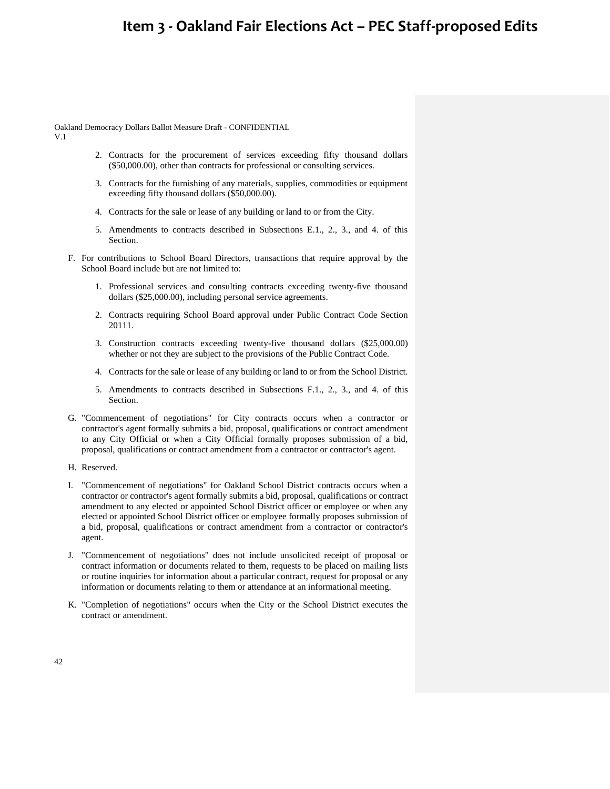Oakland Democracy Dollars Ballot Measure Draft - CONFIDENTIAL

V.1

- 2. Contracts for the procurement of services exceeding fifty thousand dollars (\$50,000.00), other than contracts for professional or consulting services.
- 3. Contracts for the furnishing of any materials, supplies, commodities or equipment exceeding fifty thousand dollars (\$50,000.00).
- 4. Contracts for the sale or lease of any building or land to or from the City.
- 5. Amendments to contracts described in Subsections E.1., 2., 3., and 4. of this **Section**
- F. For contributions to School Board Directors, transactions that require approval by the School Board include but are not limited to:
	- 1. Professional services and consulting contracts exceeding twenty-five thousand dollars (\$25,000.00), including personal service agreements.
	- 2. Contracts requiring School Board approval under Public Contract Code Section 20111.
	- 3. Construction contracts exceeding twenty-five thousand dollars (\$25,000.00) whether or not they are subject to the provisions of the Public Contract Code.
	- 4. Contracts for the sale or lease of any building or land to or from the School District.
	- 5. Amendments to contracts described in Subsections F.1., 2., 3., and 4. of this Section.
- G. "Commencement of negotiations" for City contracts occurs when a contractor or contractor's agent formally submits a bid, proposal, qualifications or contract amendment to any City Official or when a City Official formally proposes submission of a bid, proposal, qualifications or contract amendment from a contractor or contractor's agent.
- H. Reserved.
- I. "Commencement of negotiations" for Oakland School District contracts occurs when a contractor or contractor's agent formally submits a bid, proposal, qualifications or contract amendment to any elected or appointed School District officer or employee or when any elected or appointed School District officer or employee formally proposes submission of a bid, proposal, qualifications or contract amendment from a contractor or contractor's agent.
- J. "Commencement of negotiations" does not include unsolicited receipt of proposal or contract information or documents related to them, requests to be placed on mailing lists or routine inquiries for information about a particular contract, request for proposal or any information or documents relating to them or attendance at an informational meeting.
- K. "Completion of negotiations" occurs when the City or the School District executes the contract or amendment.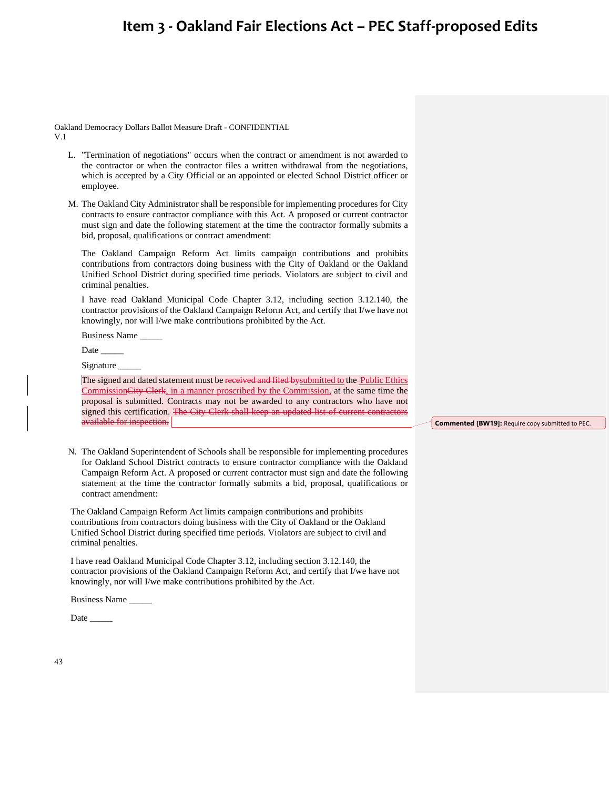Oakland Democracy Dollars Ballot Measure Draft - CONFIDENTIAL V.1

- L. "Termination of negotiations" occurs when the contract or amendment is not awarded to the contractor or when the contractor files a written withdrawal from the negotiations, which is accepted by a City Official or an appointed or elected School District officer or employee.
- M. The Oakland City Administrator shall be responsible for implementing procedures for City contracts to ensure contractor compliance with this Act. A proposed or current contractor must sign and date the following statement at the time the contractor formally submits a bid, proposal, qualifications or contract amendment:

The Oakland Campaign Reform Act limits campaign contributions and prohibits contributions from contractors doing business with the City of Oakland or the Oakland Unified School District during specified time periods. Violators are subject to civil and criminal penalties.

I have read Oakland Municipal Code Chapter 3.12, including section 3.12.140, the contractor provisions of the Oakland Campaign Reform Act, and certify that I/we have not knowingly, nor will I/we make contributions prohibited by the Act.

Business Name \_\_\_\_\_

Date  $\_\_$ 

Signature

The signed and dated statement must be received and filed by submitted to the Public Ethics CommissionCity Clerk, in a manner proscribed by the Commission, at the same time the proposal is submitted. Contracts may not be awarded to any contractors who have not signed this certification. The City Clerk shall keep an updated list of current contractors available for inspection.

N. The Oakland Superintendent of Schools shall be responsible for implementing procedures for Oakland School District contracts to ensure contractor compliance with the Oakland Campaign Reform Act. A proposed or current contractor must sign and date the following statement at the time the contractor formally submits a bid, proposal, qualifications or contract amendment:

The Oakland Campaign Reform Act limits campaign contributions and prohibits contributions from contractors doing business with the City of Oakland or the Oakland Unified School District during specified time periods. Violators are subject to civil and criminal penalties.

I have read Oakland Municipal Code Chapter 3.12, including section 3.12.140, the contractor provisions of the Oakland Campaign Reform Act, and certify that I/we have not knowingly, nor will I/we make contributions prohibited by the Act.

Business Name \_\_\_\_\_

Date

**Commented [BW19]:** Require copy submitted to PEC.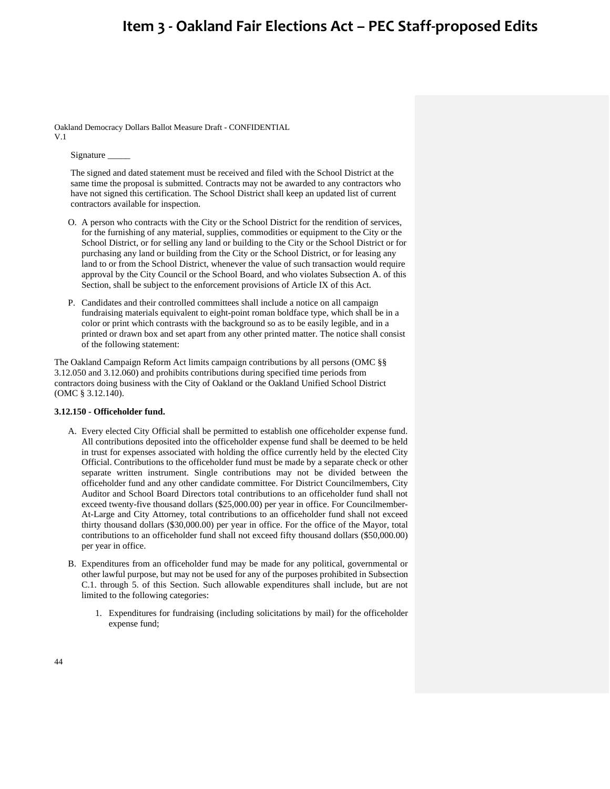Oakland Democracy Dollars Ballot Measure Draft - CONFIDENTIAL V.1

Signature \_\_\_\_\_

The signed and dated statement must be received and filed with the School District at the same time the proposal is submitted. Contracts may not be awarded to any contractors who have not signed this certification. The School District shall keep an updated list of current contractors available for inspection.

- O. A person who contracts with the City or the School District for the rendition of services, for the furnishing of any material, supplies, commodities or equipment to the City or the School District, or for selling any land or building to the City or the School District or for purchasing any land or building from the City or the School District, or for leasing any land to or from the School District, whenever the value of such transaction would require approval by the City Council or the School Board, and who violates Subsection A. of this Section, shall be subject to the enforcement provisions of Article IX of this Act.
- P. Candidates and their controlled committees shall include a notice on all campaign fundraising materials equivalent to eight-point roman boldface type, which shall be in a color or print which contrasts with the background so as to be easily legible, and in a printed or drawn box and set apart from any other printed matter. The notice shall consist of the following statement:

The Oakland Campaign Reform Act limits campaign contributions by all persons (OMC §§ 3.12.050 and 3.12.060) and prohibits contributions during specified time periods from contractors doing business with the City of Oakland or the Oakland Unified School District (OMC § 3.12.140).

#### **3.12.150 - Officeholder fund.**

- A. Every elected City Official shall be permitted to establish one officeholder expense fund. All contributions deposited into the officeholder expense fund shall be deemed to be held in trust for expenses associated with holding the office currently held by the elected City Official. Contributions to the officeholder fund must be made by a separate check or other separate written instrument. Single contributions may not be divided between the officeholder fund and any other candidate committee. For District Councilmembers, City Auditor and School Board Directors total contributions to an officeholder fund shall not exceed twenty-five thousand dollars (\$25,000.00) per year in office. For Councilmember-At-Large and City Attorney, total contributions to an officeholder fund shall not exceed thirty thousand dollars (\$30,000.00) per year in office. For the office of the Mayor, total contributions to an officeholder fund shall not exceed fifty thousand dollars (\$50,000.00) per year in office.
- B. Expenditures from an officeholder fund may be made for any political, governmental or other lawful purpose, but may not be used for any of the purposes prohibited in Subsection C.1. through 5. of this Section. Such allowable expenditures shall include, but are not limited to the following categories:
	- 1. Expenditures for fundraising (including solicitations by mail) for the officeholder expense fund;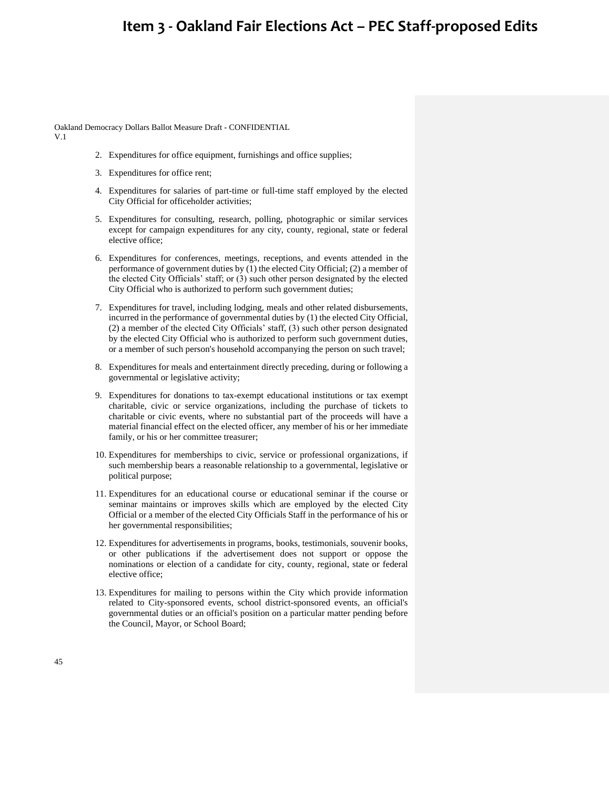Oakland Democracy Dollars Ballot Measure Draft - CONFIDENTIAL

V.1

- 2. Expenditures for office equipment, furnishings and office supplies;
- 3. Expenditures for office rent;
- 4. Expenditures for salaries of part-time or full-time staff employed by the elected City Official for officeholder activities;
- 5. Expenditures for consulting, research, polling, photographic or similar services except for campaign expenditures for any city, county, regional, state or federal elective office;
- 6. Expenditures for conferences, meetings, receptions, and events attended in the performance of government duties by (1) the elected City Official; (2) a member of the elected City Officials' staff; or (3) such other person designated by the elected City Official who is authorized to perform such government duties;
- 7. Expenditures for travel, including lodging, meals and other related disbursements, incurred in the performance of governmental duties by (1) the elected City Official, (2) a member of the elected City Officials' staff, (3) such other person designated by the elected City Official who is authorized to perform such government duties, or a member of such person's household accompanying the person on such travel;
- 8. Expenditures for meals and entertainment directly preceding, during or following a governmental or legislative activity;
- 9. Expenditures for donations to tax-exempt educational institutions or tax exempt charitable, civic or service organizations, including the purchase of tickets to charitable or civic events, where no substantial part of the proceeds will have a material financial effect on the elected officer, any member of his or her immediate family, or his or her committee treasurer;
- 10. Expenditures for memberships to civic, service or professional organizations, if such membership bears a reasonable relationship to a governmental, legislative or political purpose;
- 11. Expenditures for an educational course or educational seminar if the course or seminar maintains or improves skills which are employed by the elected City Official or a member of the elected City Officials Staff in the performance of his or her governmental responsibilities;
- 12. Expenditures for advertisements in programs, books, testimonials, souvenir books, or other publications if the advertisement does not support or oppose the nominations or election of a candidate for city, county, regional, state or federal elective office;
- 13. Expenditures for mailing to persons within the City which provide information related to City-sponsored events, school district-sponsored events, an official's governmental duties or an official's position on a particular matter pending before the Council, Mayor, or School Board;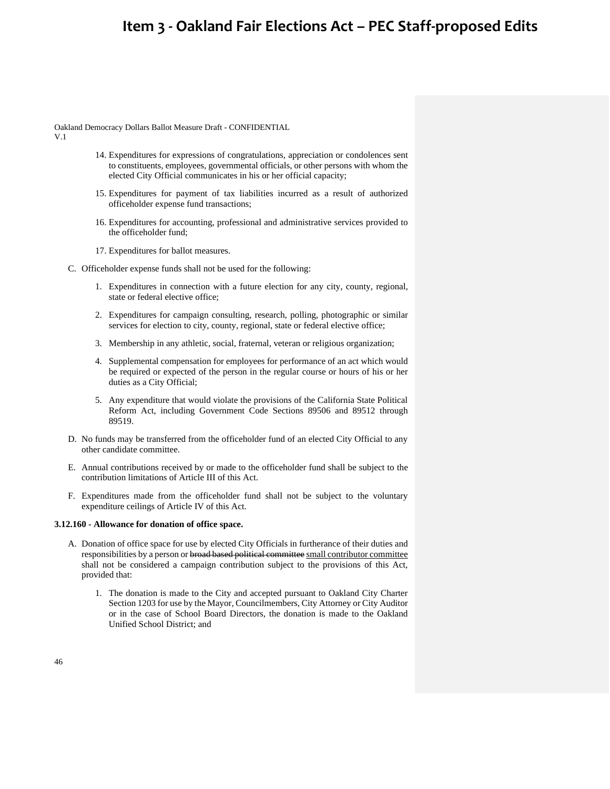Oakland Democracy Dollars Ballot Measure Draft - CONFIDENTIAL

V.1

- 14. Expenditures for expressions of congratulations, appreciation or condolences sent to constituents, employees, governmental officials, or other persons with whom the elected City Official communicates in his or her official capacity;
- 15. Expenditures for payment of tax liabilities incurred as a result of authorized officeholder expense fund transactions;
- 16. Expenditures for accounting, professional and administrative services provided to the officeholder fund;
- 17. Expenditures for ballot measures.
- C. Officeholder expense funds shall not be used for the following:
	- 1. Expenditures in connection with a future election for any city, county, regional, state or federal elective office;
	- 2. Expenditures for campaign consulting, research, polling, photographic or similar services for election to city, county, regional, state or federal elective office;
	- 3. Membership in any athletic, social, fraternal, veteran or religious organization;
	- 4. Supplemental compensation for employees for performance of an act which would be required or expected of the person in the regular course or hours of his or her duties as a City Official;
	- 5. Any expenditure that would violate the provisions of the California State Political Reform Act, including Government Code Sections 89506 and 89512 through 89519.
- D. No funds may be transferred from the officeholder fund of an elected City Official to any other candidate committee.
- E. Annual contributions received by or made to the officeholder fund shall be subject to the contribution limitations of Article III of this Act.
- F. Expenditures made from the officeholder fund shall not be subject to the voluntary expenditure ceilings of Article IV of this Act.

### **3.12.160 - Allowance for donation of office space.**

- A. Donation of office space for use by elected City Officials in furtherance of their duties and responsibilities by a person or broad based political committee small contributor committee shall not be considered a campaign contribution subject to the provisions of this Act, provided that:
	- 1. The donation is made to the City and accepted pursuant to Oakland City Charter Section 1203 for use by the Mayor, Councilmembers, City Attorney or City Auditor or in the case of School Board Directors, the donation is made to the Oakland Unified School District; and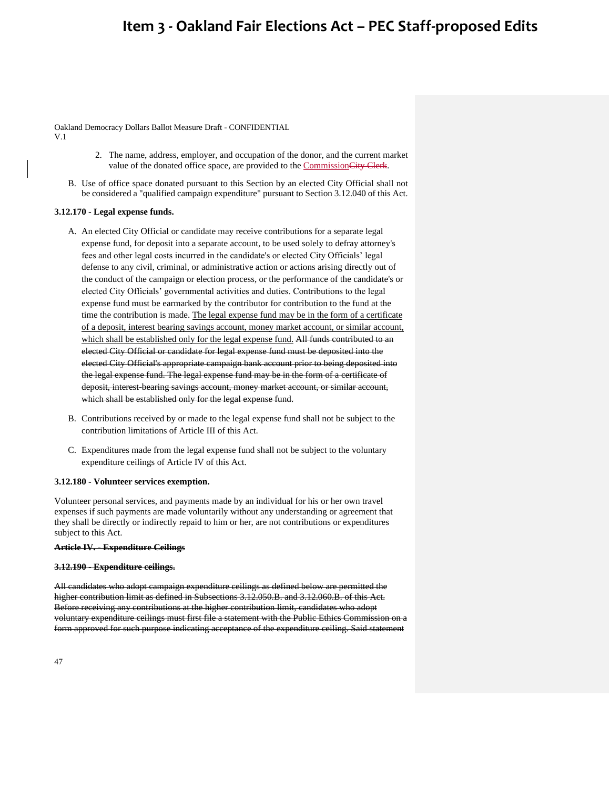Oakland Democracy Dollars Ballot Measure Draft - CONFIDENTIAL V.1

- 2. The name, address, employer, and occupation of the donor, and the current market value of the donated office space, are provided to the CommissionCity Clerk.
- B. Use of office space donated pursuant to this Section by an elected City Official shall not be considered a "qualified campaign expenditure" pursuant to Section 3.12.040 of this Act.

### **3.12.170 - Legal expense funds.**

- A. An elected City Official or candidate may receive contributions for a separate legal expense fund, for deposit into a separate account, to be used solely to defray attorney's fees and other legal costs incurred in the candidate's or elected City Officials' legal defense to any civil, criminal, or administrative action or actions arising directly out of the conduct of the campaign or election process, or the performance of the candidate's or elected City Officials' governmental activities and duties. Contributions to the legal expense fund must be earmarked by the contributor for contribution to the fund at the time the contribution is made. The legal expense fund may be in the form of a certificate of a deposit, interest bearing savings account, money market account, or similar account, which shall be established only for the legal expense fund. All funds contributed to an elected City Official or candidate for legal expense fund must be deposited into the elected City Official's appropriate campaign bank account prior to being deposited into the legal expense fund. The legal expense fund may be in the form of a certificate of deposit, interest-bearing savings account, money market account, or similar account, which shall be established only for the legal expense fund.
- B. Contributions received by or made to the legal expense fund shall not be subject to the contribution limitations of Article III of this Act.
- C. Expenditures made from the legal expense fund shall not be subject to the voluntary expenditure ceilings of Article IV of this Act.

### **3.12.180 - Volunteer services exemption.**

Volunteer personal services, and payments made by an individual for his or her own travel expenses if such payments are made voluntarily without any understanding or agreement that they shall be directly or indirectly repaid to him or her, are not contributions or expenditures subject to this Act.

#### **Article IV. - Expenditure Ceilings**

#### **3.12.190 - Expenditure ceilings.**

All candidates who adopt campaign expenditure ceilings as defined below are permitted the higher contribution limit as defined in Subsections 3.12.050.B. and 3.12.060.B. of this Act. Before receiving any contributions at the higher contribution limit, candidates who adopt voluntary expenditure ceilings must first file a statement with the Public Ethics Commission on a form approved for such purpose indicating acceptance of the expenditure ceiling. Said statement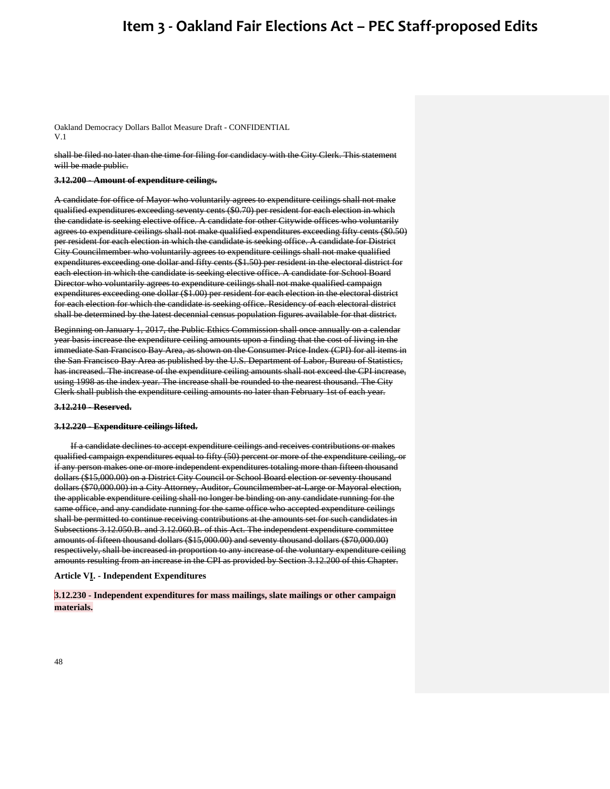Oakland Democracy Dollars Ballot Measure Draft - CONFIDENTIAL V.1

shall be filed no later than the time for filing for candidacy with the City Clerk. This statement will be made public.

#### **3.12.200 - Amount of expenditure ceilings.**

A candidate for office of Mayor who voluntarily agrees to expenditure ceilings shall not make qualified expenditures exceeding seventy cents (\$0.70) per resident for each election in which the candidate is seeking elective office. A candidate for other Citywide offices who voluntarily agrees to expenditure ceilings shall not make qualified expenditures exceeding fifty cents (\$0.50) per resident for each election in which the candidate is seeking office. A candidate for District City Councilmember who voluntarily agrees to expenditure ceilings shall not make qualified expenditures exceeding one dollar and fifty cents (\$1.50) per resident in the electoral district for each election in which the candidate is seeking elective office. A candidate for School Board Director who voluntarily agrees to expenditure ceilings shall not make qualified campaign expenditures exceeding one dollar (\$1.00) per resident for each election in the electoral district for each election for which the candidate is seeking office. Residency of each electoral district shall be determined by the latest decennial census population figures available for that district.

Beginning on January 1, 2017, the Public Ethics Commission shall once annually on a calendar year basis increase the expenditure ceiling amounts upon a finding that the cost of living in the immediate San Francisco Bay Area, as shown on the Consumer Price Index (CPI) for all items in the San Francisco Bay Area as published by the U.S. Department of Labor, Bureau of Statistics, has increased. The increase of the expenditure ceiling amounts shall not exceed the CPI increase, using 1998 as the index year. The increase shall be rounded to the nearest thousand. The City Clerk shall publish the expenditure ceiling amounts no later than February 1st of each year.

#### **3.12.210 - Reserved.**

#### **3.12.220 - Expenditure ceilings lifted.**

If a candidate declines to accept expenditure ceilings and receives contributions or makes qualified campaign expenditures equal to fifty (50) percent or more of the expenditure ceiling, or if any person makes one or more independent expenditures totaling more than fifteen thousand dollars (\$15,000.00) on a District City Council or School Board election or seventy thousand dollars (\$70,000.00) in a City Attorney, Auditor, Councilmember-at-Large or Mayoral election, the applicable expenditure ceiling shall no longer be binding on any candidate running for the same office, and any candidate running for the same office who accepted expenditure ceilings shall be permitted to continue receiving contributions at the amounts set for such candidates in Subsections 3.12.050.B. and 3.12.060.B. of this Act. The independent expenditure committee amounts of fifteen thousand dollars (\$15,000.00) and seventy thousand dollars (\$70,000.00) respectively, shall be increased in proportion to any increase of the voluntary expenditure ceiling amounts resulting from an increase in the CPI as provided by Section 3.12.200 of this Chapter.

#### **Article VI. - Independent Expenditures**

**3.12.230 - Independent expenditures for mass mailings, slate mailings or other campaign materials.**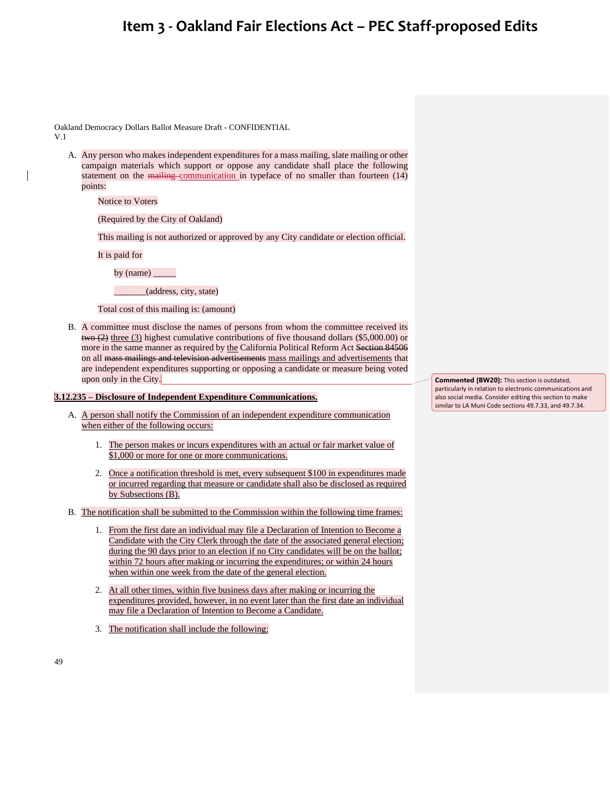Oakland Democracy Dollars Ballot Measure Draft - CONFIDENTIAL V.1

A. Any person who makes independent expenditures for a mass mailing, slate mailing or other campaign materials which support or oppose any candidate shall place the following statement on the mailing communication in typeface of no smaller than fourteen (14) points:

Notice to Voters

(Required by the City of Oakland)

This mailing is not authorized or approved by any City candidate or election official.

It is paid for

by (name) \_\_\_\_\_

\_\_\_\_\_\_\_(address, city, state)

Total cost of this mailing is: (amount)

B. A committee must disclose the names of persons from whom the committee received its  $t_{\text{two}}$  (2) three (3) highest cumulative contributions of five thousand dollars (\$5,000.00) or more in the same manner as required by the California Political Reform Act Section 84506 on all mass mailings and television advertisements mass mailings and advertisements that are independent expenditures supporting or opposing a candidate or measure being voted upon only in the City.

#### **3.12.235 – Disclosure of Independent Expenditure Communications.**

- A. A person shall notify the Commission of an independent expenditure communication when either of the following occurs:
	- 1. The person makes or incurs expenditures with an actual or fair market value of \$1,000 or more for one or more communications.
	- 2. Once a notification threshold is met, every subsequent \$100 in expenditures made or incurred regarding that measure or candidate shall also be disclosed as required by Subsections (B).
- B. The notification shall be submitted to the Commission within the following time frames:
	- 1. From the first date an individual may file a Declaration of Intention to Become a Candidate with the City Clerk through the date of the associated general election; during the 90 days prior to an election if no City candidates will be on the ballot; within 72 hours after making or incurring the expenditures; or within 24 hours when within one week from the date of the general election.
	- 2. At all other times, within five business days after making or incurring the expenditures provided, however, in no event later than the first date an individual may file a Declaration of Intention to Become a Candidate.
	- 3. The notification shall include the following:

**Commented [BW20]:** This section is outdated, particularly in relation to electronic communications and also social media. Consider editing this section to make similar to LA Muni Code sections 49.7.33, and 49.7.34.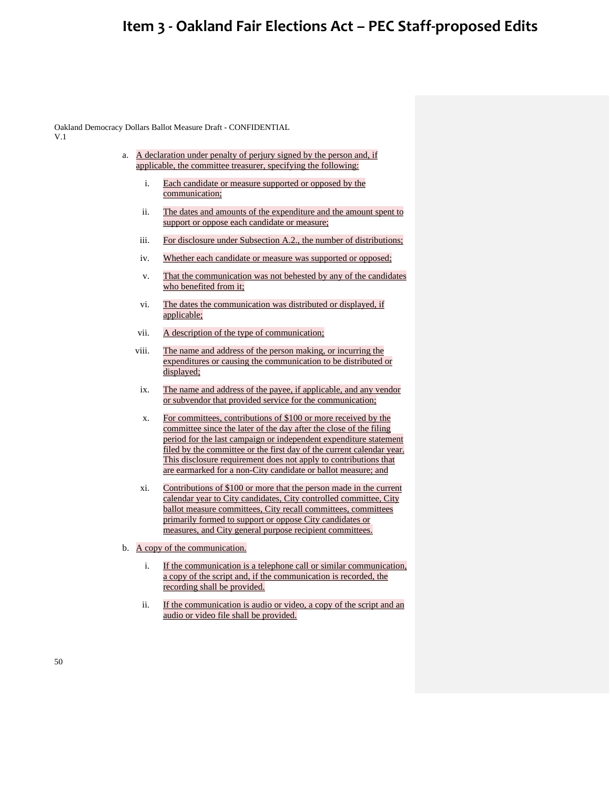Oakland Democracy Dollars Ballot Measure Draft - CONFIDENTIAL V.1

- a. A declaration under penalty of perjury signed by the person and, if applicable, the committee treasurer, specifying the following:
	- i. Each candidate or measure supported or opposed by the communication;
	- ii. The dates and amounts of the expenditure and the amount spent to support or oppose each candidate or measure;
	- iii. For disclosure under Subsection A.2., the number of distributions;
	- iv. Whether each candidate or measure was supported or opposed;
	- v. That the communication was not behested by any of the candidates who benefited from it;
	- vi. The dates the communication was distributed or displayed, if applicable;
	- vii. A description of the type of communication;
	- viii. The name and address of the person making, or incurring the expenditures or causing the communication to be distributed or displayed;
	- ix. The name and address of the payee, if applicable, and any vendor or subvendor that provided service for the communication;
	- x. For committees, contributions of \$100 or more received by the committee since the later of the day after the close of the filing period for the last campaign or independent expenditure statement filed by the committee or the first day of the current calendar year. This disclosure requirement does not apply to contributions that are earmarked for a non-City candidate or ballot measure; and
	- xi. Contributions of \$100 or more that the person made in the current calendar year to City candidates, City controlled committee, City ballot measure committees, City recall committees, committees primarily formed to support or oppose City candidates or measures, and City general purpose recipient committees.
- b. A copy of the communication.
	- i. If the communication is a telephone call or similar communication, a copy of the script and, if the communication is recorded, the recording shall be provided.
	- ii. If the communication is audio or video, a copy of the script and an audio or video file shall be provided.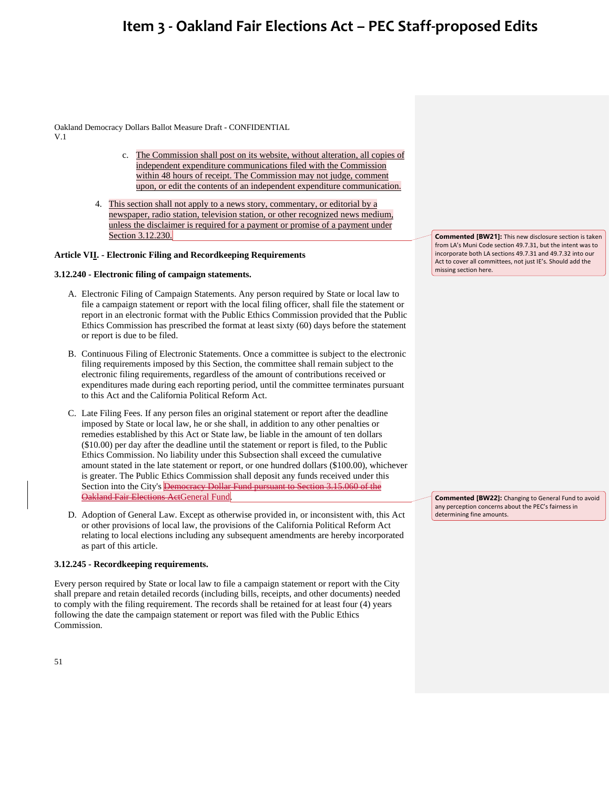Oakland Democracy Dollars Ballot Measure Draft - CONFIDENTIAL V.1

- c. The Commission shall post on its website, without alteration, all copies of independent expenditure communications filed with the Commission within 48 hours of receipt. The Commission may not judge, comment upon, or edit the contents of an independent expenditure communication.
- 4. This section shall not apply to a news story, commentary, or editorial by a newspaper, radio station, television station, or other recognized news medium, unless the disclaimer is required for a payment or promise of a payment under Section 3.12.230.

### **Article VII. - Electronic Filing and Recordkeeping Requirements**

### **3.12.240 - Electronic filing of campaign statements.**

- A. Electronic Filing of Campaign Statements. Any person required by State or local law to file a campaign statement or report with the local filing officer, shall file the statement or report in an electronic format with the Public Ethics Commission provided that the Public Ethics Commission has prescribed the format at least sixty (60) days before the statement or report is due to be filed.
- B. Continuous Filing of Electronic Statements. Once a committee is subject to the electronic filing requirements imposed by this Section, the committee shall remain subject to the electronic filing requirements, regardless of the amount of contributions received or expenditures made during each reporting period, until the committee terminates pursuant to this Act and the California Political Reform Act.
- C. Late Filing Fees. If any person files an original statement or report after the deadline imposed by State or local law, he or she shall, in addition to any other penalties or remedies established by this Act or State law, be liable in the amount of ten dollars (\$10.00) per day after the deadline until the statement or report is filed, to the Public Ethics Commission. No liability under this Subsection shall exceed the cumulative amount stated in the late statement or report, or one hundred dollars (\$100.00), whichever is greater. The Public Ethics Commission shall deposit any funds received under this Section into the City's **Democracy Dollar Fund pursuant to Section 3.15.060 of the** Oakland Fair Elections ActGeneral Fund.
- D. Adoption of General Law. Except as otherwise provided in, or inconsistent with, this Act or other provisions of local law, the provisions of the California Political Reform Act relating to local elections including any subsequent amendments are hereby incorporated as part of this article.

#### **3.12.245 - Recordkeeping requirements.**

Every person required by State or local law to file a campaign statement or report with the City shall prepare and retain detailed records (including bills, receipts, and other documents) needed to comply with the filing requirement. The records shall be retained for at least four (4) years following the date the campaign statement or report was filed with the Public Ethics Commission.

**Commented [BW21]:** This new disclosure section is taken from LA's Muni Code section 49.7.31, but the intent was to incorporate both LA sections 49.7.31 and 49.7.32 into our Act to cover all committees, not just IE's. Should add the missing section here.

**Commented [BW22]:** Changing to General Fund to avoid any perception concerns about the PEC's fairness in determining fine amounts.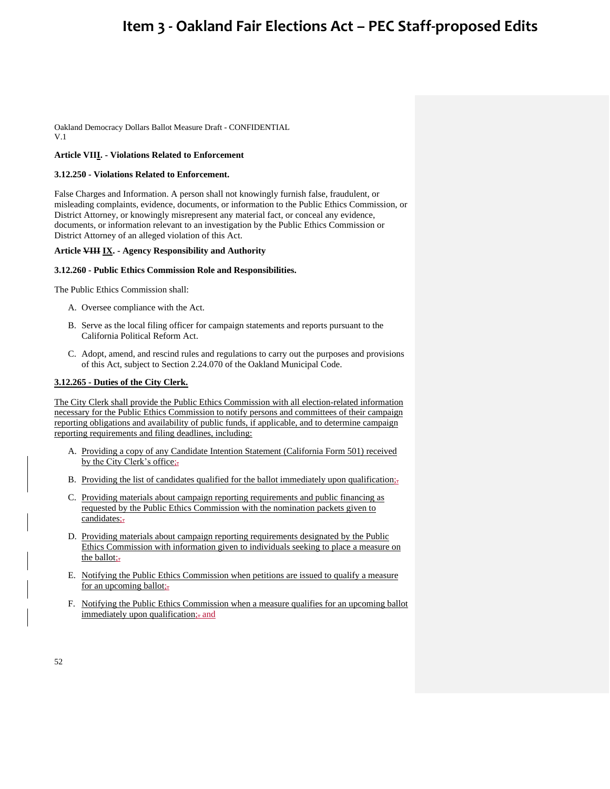Oakland Democracy Dollars Ballot Measure Draft - CONFIDENTIAL V.1

### **Article VIII. - Violations Related to Enforcement**

#### **3.12.250 - Violations Related to Enforcement.**

False Charges and Information. A person shall not knowingly furnish false, fraudulent, or misleading complaints, evidence, documents, or information to the Public Ethics Commission, or District Attorney, or knowingly misrepresent any material fact, or conceal any evidence, documents, or information relevant to an investigation by the Public Ethics Commission or District Attorney of an alleged violation of this Act.

### **Article VIII IX. - Agency Responsibility and Authority**

#### **3.12.260 - Public Ethics Commission Role and Responsibilities.**

The Public Ethics Commission shall:

- A. Oversee compliance with the Act.
- B. Serve as the local filing officer for campaign statements and reports pursuant to the California Political Reform Act.
- C. Adopt, amend, and rescind rules and regulations to carry out the purposes and provisions of this Act, subject to Section 2.24.070 of the Oakland Municipal Code.

### **3.12.265 - Duties of the City Clerk.**

The City Clerk shall provide the Public Ethics Commission with all election-related information necessary for the Public Ethics Commission to notify persons and committees of their campaign reporting obligations and availability of public funds, if applicable, and to determine campaign reporting requirements and filing deadlines, including:

- A. Providing a copy of any Candidate Intention Statement (California Form 501) received by the City Clerk's office;-
- B. Providing the list of candidates qualified for the ballot immediately upon qualification;
- C. Providing materials about campaign reporting requirements and public financing as requested by the Public Ethics Commission with the nomination packets given to candidates;-
- D. Providing materials about campaign reporting requirements designated by the Public Ethics Commission with information given to individuals seeking to place a measure on the ballot;-
- E. Notifying the Public Ethics Commission when petitions are issued to qualify a measure for an upcoming ballot;
- F. Notifying the Public Ethics Commission when a measure qualifies for an upcoming ballot immediately upon qualification; and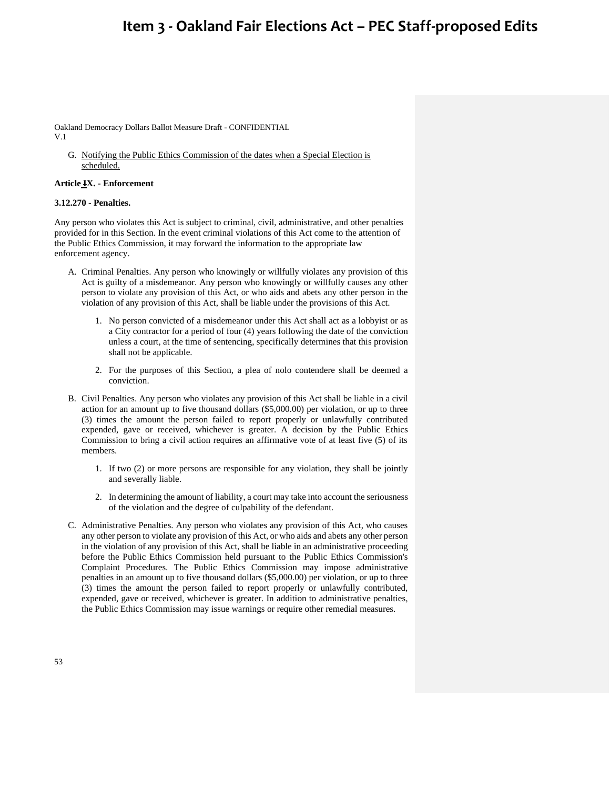Oakland Democracy Dollars Ballot Measure Draft - CONFIDENTIAL V.1

G. Notifying the Public Ethics Commission of the dates when a Special Election is scheduled.

#### **Article IX. - Enforcement**

### **3.12.270 - Penalties.**

Any person who violates this Act is subject to criminal, civil, administrative, and other penalties provided for in this Section. In the event criminal violations of this Act come to the attention of the Public Ethics Commission, it may forward the information to the appropriate law enforcement agency.

- A. Criminal Penalties. Any person who knowingly or willfully violates any provision of this Act is guilty of a misdemeanor. Any person who knowingly or willfully causes any other person to violate any provision of this Act, or who aids and abets any other person in the violation of any provision of this Act, shall be liable under the provisions of this Act.
	- 1. No person convicted of a misdemeanor under this Act shall act as a lobbyist or as a City contractor for a period of four (4) years following the date of the conviction unless a court, at the time of sentencing, specifically determines that this provision shall not be applicable.
	- 2. For the purposes of this Section, a plea of nolo contendere shall be deemed a conviction.
- B. Civil Penalties. Any person who violates any provision of this Act shall be liable in a civil action for an amount up to five thousand dollars (\$5,000.00) per violation, or up to three (3) times the amount the person failed to report properly or unlawfully contributed expended, gave or received, whichever is greater. A decision by the Public Ethics Commission to bring a civil action requires an affirmative vote of at least five (5) of its members.
	- 1. If two (2) or more persons are responsible for any violation, they shall be jointly and severally liable.
	- 2. In determining the amount of liability, a court may take into account the seriousness of the violation and the degree of culpability of the defendant.
- C. Administrative Penalties. Any person who violates any provision of this Act, who causes any other person to violate any provision of this Act, or who aids and abets any other person in the violation of any provision of this Act, shall be liable in an administrative proceeding before the Public Ethics Commission held pursuant to the Public Ethics Commission's Complaint Procedures. The Public Ethics Commission may impose administrative penalties in an amount up to five thousand dollars (\$5,000.00) per violation, or up to three (3) times the amount the person failed to report properly or unlawfully contributed, expended, gave or received, whichever is greater. In addition to administrative penalties, the Public Ethics Commission may issue warnings or require other remedial measures.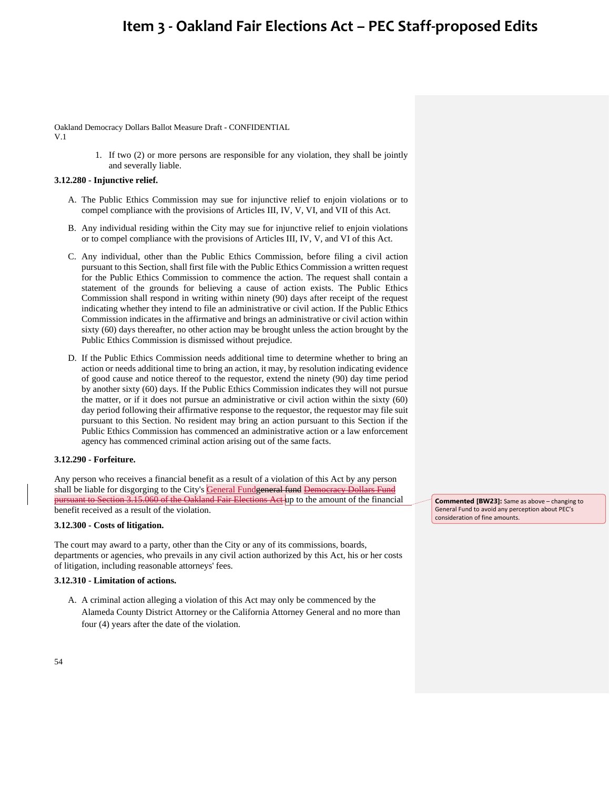Oakland Democracy Dollars Ballot Measure Draft - CONFIDENTIAL V.1

> 1. If two (2) or more persons are responsible for any violation, they shall be jointly and severally liable.

### **3.12.280 - Injunctive relief.**

- A. The Public Ethics Commission may sue for injunctive relief to enjoin violations or to compel compliance with the provisions of Articles III, IV, V, VI, and VII of this Act.
- B. Any individual residing within the City may sue for injunctive relief to enjoin violations or to compel compliance with the provisions of Articles III, IV, V, and VI of this Act.
- C. Any individual, other than the Public Ethics Commission, before filing a civil action pursuant to this Section, shall first file with the Public Ethics Commission a written request for the Public Ethics Commission to commence the action. The request shall contain a statement of the grounds for believing a cause of action exists. The Public Ethics Commission shall respond in writing within ninety (90) days after receipt of the request indicating whether they intend to file an administrative or civil action. If the Public Ethics Commission indicates in the affirmative and brings an administrative or civil action within sixty (60) days thereafter, no other action may be brought unless the action brought by the Public Ethics Commission is dismissed without prejudice.
- D. If the Public Ethics Commission needs additional time to determine whether to bring an action or needs additional time to bring an action, it may, by resolution indicating evidence of good cause and notice thereof to the requestor, extend the ninety (90) day time period by another sixty (60) days. If the Public Ethics Commission indicates they will not pursue the matter, or if it does not pursue an administrative or civil action within the sixty (60) day period following their affirmative response to the requestor, the requestor may file suit pursuant to this Section. No resident may bring an action pursuant to this Section if the Public Ethics Commission has commenced an administrative action or a law enforcement agency has commenced criminal action arising out of the same facts.

### **3.12.290 - Forfeiture.**

Any person who receives a financial benefit as a result of a violation of this Act by any person shall be liable for disgorging to the City's General Fundgeneral fund Democracy Dollars Fund pursuant to Section 3.15.060 of the Oakland Fair Elections Act up to the amount of the financial benefit received as a result of the violation.

### **3.12.300 - Costs of litigation.**

The court may award to a party, other than the City or any of its commissions, boards, departments or agencies, who prevails in any civil action authorized by this Act, his or her costs of litigation, including reasonable attorneys' fees.

#### **3.12.310 - Limitation of actions.**

A. A criminal action alleging a violation of this Act may only be commenced by the Alameda County District Attorney or the California Attorney General and no more than four (4) years after the date of the violation.

**Commented [BW23]:** Same as above – changing to General Fund to avoid any perception about PEC's consideration of fine amounts.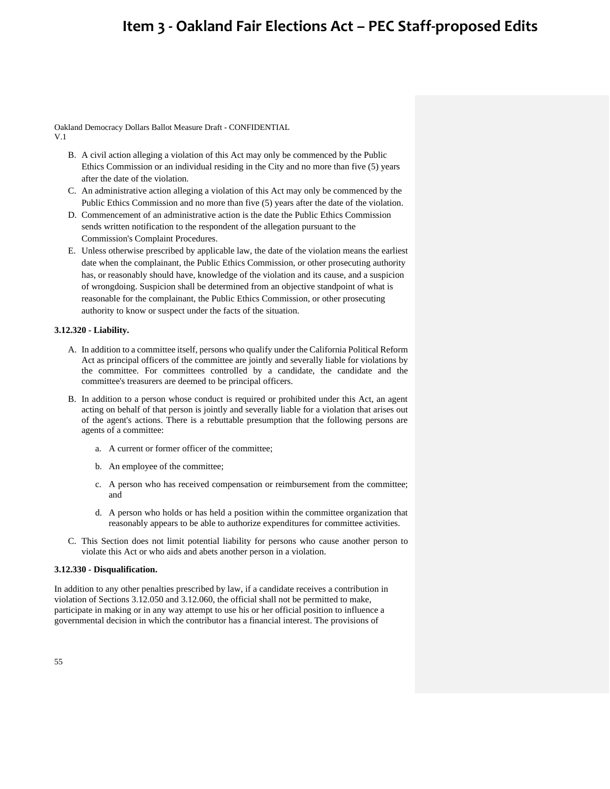Oakland Democracy Dollars Ballot Measure Draft - CONFIDENTIAL V.1

- B. A civil action alleging a violation of this Act may only be commenced by the Public Ethics Commission or an individual residing in the City and no more than five (5) years after the date of the violation.
- C. An administrative action alleging a violation of this Act may only be commenced by the Public Ethics Commission and no more than five (5) years after the date of the violation.
- D. Commencement of an administrative action is the date the Public Ethics Commission sends written notification to the respondent of the allegation pursuant to the Commission's Complaint Procedures.
- E. Unless otherwise prescribed by applicable law, the date of the violation means the earliest date when the complainant, the Public Ethics Commission, or other prosecuting authority has, or reasonably should have, knowledge of the violation and its cause, and a suspicion of wrongdoing. Suspicion shall be determined from an objective standpoint of what is reasonable for the complainant, the Public Ethics Commission, or other prosecuting authority to know or suspect under the facts of the situation.

### **3.12.320 - Liability.**

- A. In addition to a committee itself, persons who qualify under the California Political Reform Act as principal officers of the committee are jointly and severally liable for violations by the committee. For committees controlled by a candidate, the candidate and the committee's treasurers are deemed to be principal officers.
- B. In addition to a person whose conduct is required or prohibited under this Act, an agent acting on behalf of that person is jointly and severally liable for a violation that arises out of the agent's actions. There is a rebuttable presumption that the following persons are agents of a committee:
	- a. A current or former officer of the committee;
	- b. An employee of the committee;
	- c. A person who has received compensation or reimbursement from the committee; and
	- d. A person who holds or has held a position within the committee organization that reasonably appears to be able to authorize expenditures for committee activities.
- C. This Section does not limit potential liability for persons who cause another person to violate this Act or who aids and abets another person in a violation.

#### **3.12.330 - Disqualification.**

In addition to any other penalties prescribed by law, if a candidate receives a contribution in violation of Sections 3.12.050 and 3.12.060, the official shall not be permitted to make, participate in making or in any way attempt to use his or her official position to influence a governmental decision in which the contributor has a financial interest. The provisions of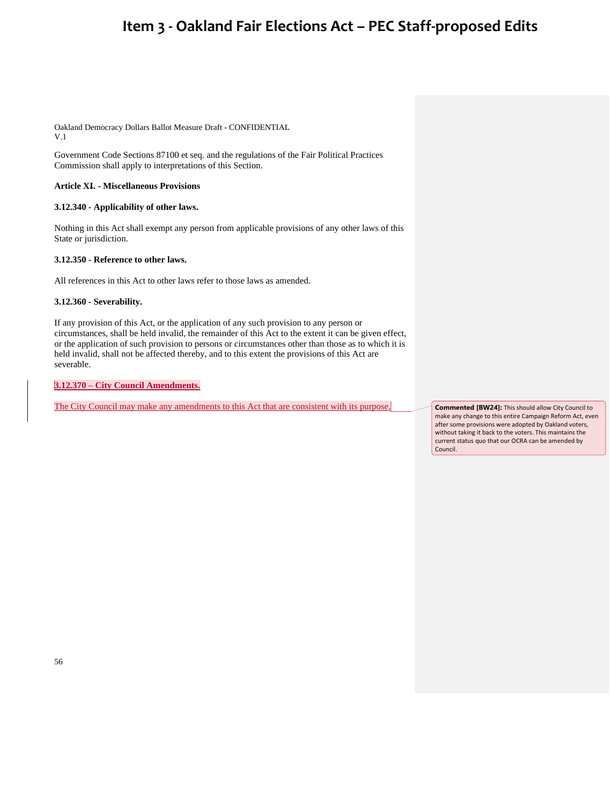Oakland Democracy Dollars Ballot Measure Draft - CONFIDENTIAL V.1

Government Code Sections 87100 et seq. and the regulations of the Fair Political Practices Commission shall apply to interpretations of this Section.

### **Article XI. - Miscellaneous Provisions**

### **3.12.340 - Applicability of other laws.**

Nothing in this Act shall exempt any person from applicable provisions of any other laws of this State or jurisdiction.

### **3.12.350 - Reference to other laws.**

All references in this Act to other laws refer to those laws as amended.

**3.12.360 - Severability.** 

If any provision of this Act, or the application of any such provision to any person or circumstances, shall be held invalid, the remainder of this Act to the extent it can be given effect, or the application of such provision to persons or circumstances other than those as to which it is held invalid, shall not be affected thereby, and to this extent the provisions of this Act are severable.

**3.12.370 – City Council Amendments.**

The City Council may make any amendments to this Act that are consistent with its purpose. **Commented [BW24]:** This should allow City Council to

make any change to this entire Campaign Reform Act, even after some provisions were adopted by Oakland voters, without taking it back to the voters. This maintains the current status quo that our OCRA can be amended by Council.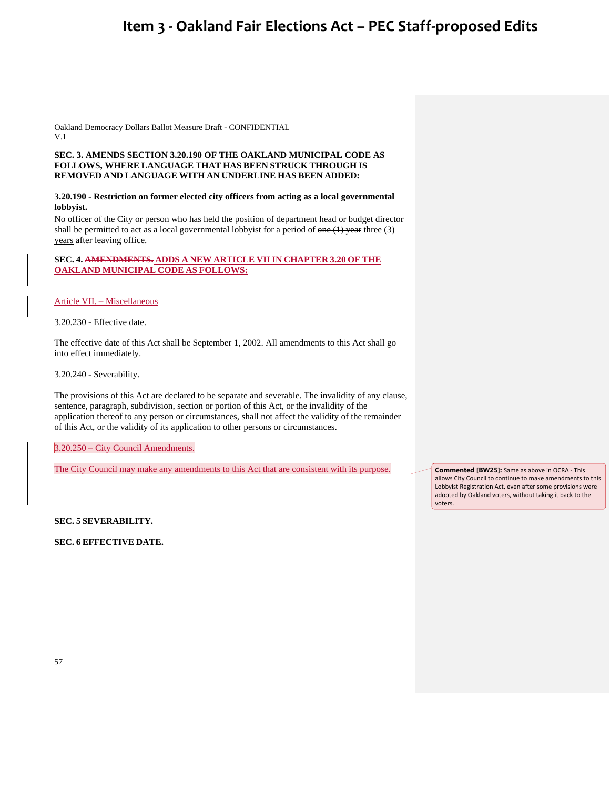Oakland Democracy Dollars Ballot Measure Draft - CONFIDENTIAL V.1

### **SEC. 3. AMENDS SECTION 3.20.190 OF THE OAKLAND MUNICIPAL CODE AS FOLLOWS, WHERE LANGUAGE THAT HAS BEEN STRUCK THROUGH IS REMOVED AND LANGUAGE WITH AN UNDERLINE HAS BEEN ADDED:**

### **3.20.190 - Restriction on former elected city officers from acting as a local governmental lobbyist.**

No officer of the City or person who has held the position of department head or budget director shall be permitted to act as a local governmental lobbyist for a period of  $\overline{one}(1)$  year three (3) years after leaving office.

### **SEC. 4. AMENDMENTS. ADDS A NEW ARTICLE VII IN CHAPTER 3.20 OF THE OAKLAND MUNICIPAL CODE AS FOLLOWS:**

Article VII. – Miscellaneous

3.20.230 - Effective date.

The effective date of this Act shall be September 1, 2002. All amendments to this Act shall go into effect immediately.

3.20.240 - Severability.

The provisions of this Act are declared to be separate and severable. The invalidity of any clause, sentence, paragraph, subdivision, section or portion of this Act, or the invalidity of the application thereof to any person or circumstances, shall not affect the validity of the remainder of this Act, or the validity of its application to other persons or circumstances.

3.20.250 – City Council Amendments.

The City Council may make any amendments to this Act that are consistent with its purpose.

**Commented [BW25]:** Same as above in OCRA - This allows City Council to continue to make amendments to this Lobbyist Registration Act, even after some provisions were adopted by Oakland voters, without taking it back to the voters.

**SEC. 5 SEVERABILITY.**

**SEC. 6 EFFECTIVE DATE.**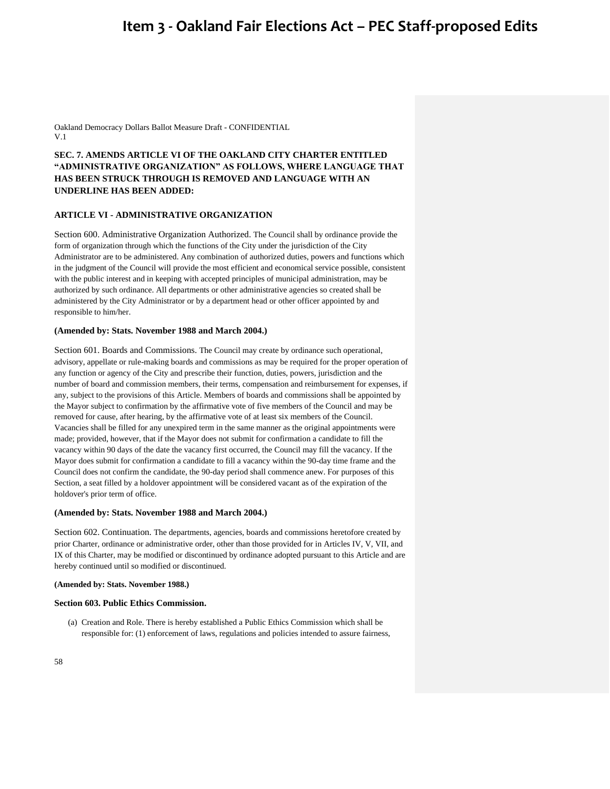Oakland Democracy Dollars Ballot Measure Draft - CONFIDENTIAL V.1

### **SEC. 7. AMENDS ARTICLE VI OF THE OAKLAND CITY CHARTER ENTITLED "ADMINISTRATIVE ORGANIZATION" AS FOLLOWS, WHERE LANGUAGE THAT HAS BEEN STRUCK THROUGH IS REMOVED AND LANGUAGE WITH AN UNDERLINE HAS BEEN ADDED:**

### **ARTICLE VI - ADMINISTRATIVE ORGANIZATION**

Section 600. Administrative Organization Authorized. The Council shall by ordinance provide the form of organization through which the functions of the City under the jurisdiction of the City Administrator are to be administered. Any combination of authorized duties, powers and functions which in the judgment of the Council will provide the most efficient and economical service possible, consistent with the public interest and in keeping with accepted principles of municipal administration, may be authorized by such ordinance. All departments or other administrative agencies so created shall be administered by the City Administrator or by a department head or other officer appointed by and responsible to him/her.

#### **(Amended by: Stats. November 1988 and March 2004.)**

Section 601. Boards and Commissions. The Council may create by ordinance such operational, advisory, appellate or rule-making boards and commissions as may be required for the proper operation of any function or agency of the City and prescribe their function, duties, powers, jurisdiction and the number of board and commission members, their terms, compensation and reimbursement for expenses, if any, subject to the provisions of this Article. Members of boards and commissions shall be appointed by the Mayor subject to confirmation by the affirmative vote of five members of the Council and may be removed for cause, after hearing, by the affirmative vote of at least six members of the Council. Vacancies shall be filled for any unexpired term in the same manner as the original appointments were made; provided, however, that if the Mayor does not submit for confirmation a candidate to fill the vacancy within 90 days of the date the vacancy first occurred, the Council may fill the vacancy. If the Mayor does submit for confirmation a candidate to fill a vacancy within the 90-day time frame and the Council does not confirm the candidate, the 90-day period shall commence anew. For purposes of this Section, a seat filled by a holdover appointment will be considered vacant as of the expiration of the holdover's prior term of office.

#### **(Amended by: Stats. November 1988 and March 2004.)**

Section 602. Continuation. The departments, agencies, boards and commissions heretofore created by prior Charter, ordinance or administrative order, other than those provided for in Articles IV, V, VII, and IX of this Charter, may be modified or discontinued by ordinance adopted pursuant to this Article and are hereby continued until so modified or discontinued.

#### **(Amended by: Stats. November 1988.)**

#### **Section 603. Public Ethics Commission.**

(a) Creation and Role. There is hereby established a Public Ethics Commission which shall be responsible for: (1) enforcement of laws, regulations and policies intended to assure fairness,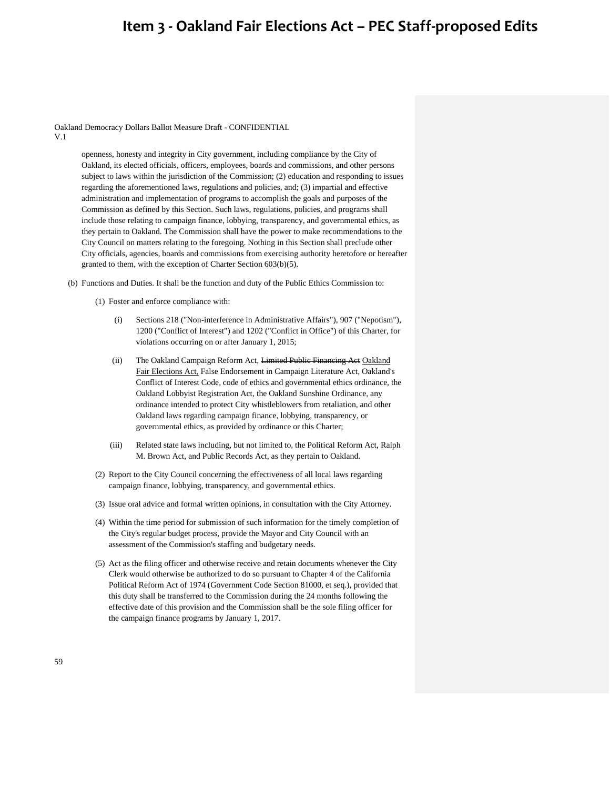Oakland Democracy Dollars Ballot Measure Draft - CONFIDENTIAL V.1

> openness, honesty and integrity in City government, including compliance by the City of Oakland, its elected officials, officers, employees, boards and commissions, and other persons subject to laws within the jurisdiction of the Commission; (2) education and responding to issues regarding the aforementioned laws, regulations and policies, and; (3) impartial and effective administration and implementation of programs to accomplish the goals and purposes of the Commission as defined by this Section. Such laws, regulations, policies, and programs shall include those relating to campaign finance, lobbying, transparency, and governmental ethics, as they pertain to Oakland. The Commission shall have the power to make recommendations to the City Council on matters relating to the foregoing. Nothing in this Section shall preclude other City officials, agencies, boards and commissions from exercising authority heretofore or hereafter granted to them, with the exception of Charter Section 603(b)(5).

- (b) Functions and Duties. It shall be the function and duty of the Public Ethics Commission to:
	- (1) Foster and enforce compliance with:
		- (i) Sections 218 ("Non-interference in Administrative Affairs"), 907 ("Nepotism"), 1200 ("Conflict of Interest") and 1202 ("Conflict in Office") of this Charter, for violations occurring on or after January 1, 2015;
		- (ii) The Oakland Campaign Reform Act, Limited Public Financing Act Oakland Fair Elections Act, False Endorsement in Campaign Literature Act, Oakland's Conflict of Interest Code, code of ethics and governmental ethics ordinance, the Oakland Lobbyist Registration Act, the Oakland Sunshine Ordinance, any ordinance intended to protect City whistleblowers from retaliation, and other Oakland laws regarding campaign finance, lobbying, transparency, or governmental ethics, as provided by ordinance or this Charter;
		- (iii) Related state laws including, but not limited to, the Political Reform Act, Ralph M. Brown Act, and Public Records Act, as they pertain to Oakland.
	- (2) Report to the City Council concerning the effectiveness of all local laws regarding campaign finance, lobbying, transparency, and governmental ethics.
	- (3) Issue oral advice and formal written opinions, in consultation with the City Attorney.
	- (4) Within the time period for submission of such information for the timely completion of the City's regular budget process, provide the Mayor and City Council with an assessment of the Commission's staffing and budgetary needs.
	- (5) Act as the filing officer and otherwise receive and retain documents whenever the City Clerk would otherwise be authorized to do so pursuant to Chapter 4 of the California Political Reform Act of 1974 (Government Code Section 81000, et seq.), provided that this duty shall be transferred to the Commission during the 24 months following the effective date of this provision and the Commission shall be the sole filing officer for the campaign finance programs by January 1, 2017.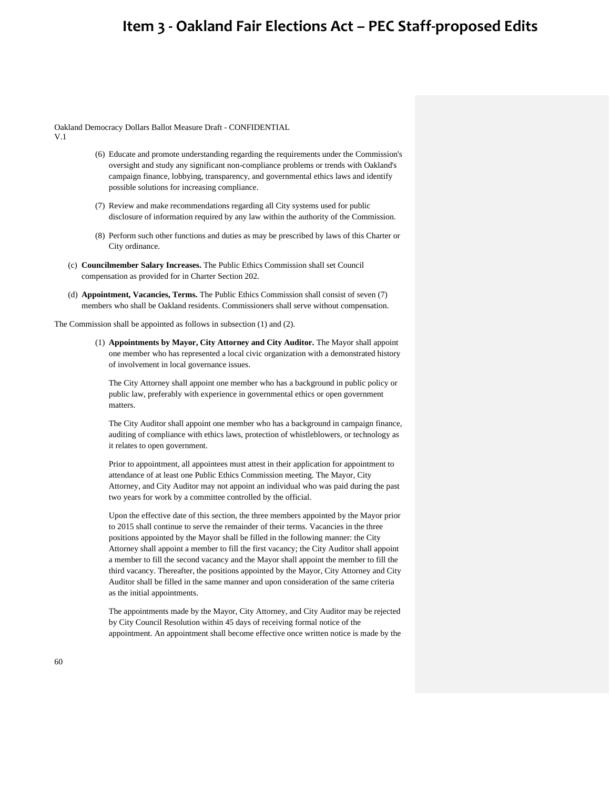Oakland Democracy Dollars Ballot Measure Draft - CONFIDENTIAL

V.1

- (6) Educate and promote understanding regarding the requirements under the Commission's oversight and study any significant non-compliance problems or trends with Oakland's campaign finance, lobbying, transparency, and governmental ethics laws and identify possible solutions for increasing compliance.
- (7) Review and make recommendations regarding all City systems used for public disclosure of information required by any law within the authority of the Commission.
- (8) Perform such other functions and duties as may be prescribed by laws of this Charter or City ordinance.
- (c) **Councilmember Salary Increases.** The Public Ethics Commission shall set Council compensation as provided for in Charter Section 202.
- (d) **Appointment, Vacancies, Terms.** The Public Ethics Commission shall consist of seven (7) members who shall be Oakland residents. Commissioners shall serve without compensation.

The Commission shall be appointed as follows in subsection (1) and (2).

(1) **Appointments by Mayor, City Attorney and City Auditor.** The Mayor shall appoint one member who has represented a local civic organization with a demonstrated history of involvement in local governance issues.

The City Attorney shall appoint one member who has a background in public policy or public law, preferably with experience in governmental ethics or open government matters.

The City Auditor shall appoint one member who has a background in campaign finance, auditing of compliance with ethics laws, protection of whistleblowers, or technology as it relates to open government.

Prior to appointment, all appointees must attest in their application for appointment to attendance of at least one Public Ethics Commission meeting. The Mayor, City Attorney, and City Auditor may not appoint an individual who was paid during the past two years for work by a committee controlled by the official.

Upon the effective date of this section, the three members appointed by the Mayor prior to 2015 shall continue to serve the remainder of their terms. Vacancies in the three positions appointed by the Mayor shall be filled in the following manner: the City Attorney shall appoint a member to fill the first vacancy; the City Auditor shall appoint a member to fill the second vacancy and the Mayor shall appoint the member to fill the third vacancy. Thereafter, the positions appointed by the Mayor, City Attorney and City Auditor shall be filled in the same manner and upon consideration of the same criteria as the initial appointments.

The appointments made by the Mayor, City Attorney, and City Auditor may be rejected by City Council Resolution within 45 days of receiving formal notice of the appointment. An appointment shall become effective once written notice is made by the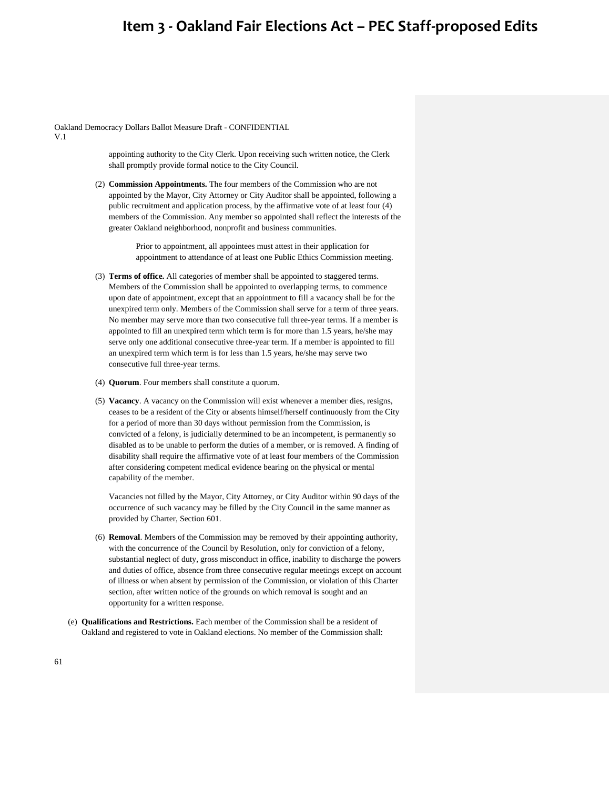Oakland Democracy Dollars Ballot Measure Draft - CONFIDENTIAL

V.1

appointing authority to the City Clerk. Upon receiving such written notice, the Clerk shall promptly provide formal notice to the City Council.

(2) **Commission Appointments.** The four members of the Commission who are not appointed by the Mayor, City Attorney or City Auditor shall be appointed, following a public recruitment and application process, by the affirmative vote of at least four (4) members of the Commission. Any member so appointed shall reflect the interests of the greater Oakland neighborhood, nonprofit and business communities.

> Prior to appointment, all appointees must attest in their application for appointment to attendance of at least one Public Ethics Commission meeting.

- (3) **Terms of office.** All categories of member shall be appointed to staggered terms. Members of the Commission shall be appointed to overlapping terms, to commence upon date of appointment, except that an appointment to fill a vacancy shall be for the unexpired term only. Members of the Commission shall serve for a term of three years. No member may serve more than two consecutive full three-year terms. If a member is appointed to fill an unexpired term which term is for more than 1.5 years, he/she may serve only one additional consecutive three-year term. If a member is appointed to fill an unexpired term which term is for less than 1.5 years, he/she may serve two consecutive full three-year terms.
- (4) **Quorum**. Four members shall constitute a quorum.
- (5) **Vacancy**. A vacancy on the Commission will exist whenever a member dies, resigns, ceases to be a resident of the City or absents himself/herself continuously from the City for a period of more than 30 days without permission from the Commission, is convicted of a felony, is judicially determined to be an incompetent, is permanently so disabled as to be unable to perform the duties of a member, or is removed. A finding of disability shall require the affirmative vote of at least four members of the Commission after considering competent medical evidence bearing on the physical or mental capability of the member.

Vacancies not filled by the Mayor, City Attorney, or City Auditor within 90 days of the occurrence of such vacancy may be filled by the City Council in the same manner as provided by Charter, Section 601.

- (6) **Removal**. Members of the Commission may be removed by their appointing authority, with the concurrence of the Council by Resolution, only for conviction of a felony, substantial neglect of duty, gross misconduct in office, inability to discharge the powers and duties of office, absence from three consecutive regular meetings except on account of illness or when absent by permission of the Commission, or violation of this Charter section, after written notice of the grounds on which removal is sought and an opportunity for a written response.
- (e) **Qualifications and Restrictions.** Each member of the Commission shall be a resident of Oakland and registered to vote in Oakland elections. No member of the Commission shall: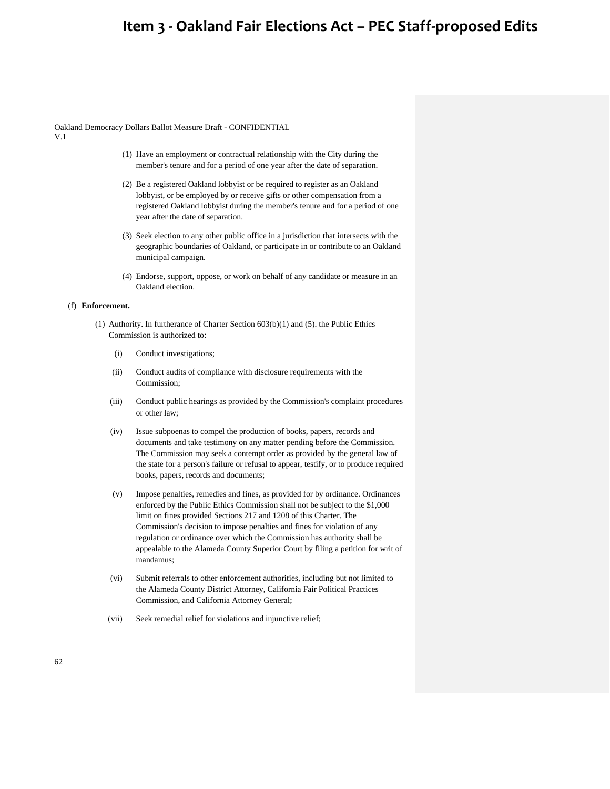Oakland Democracy Dollars Ballot Measure Draft - CONFIDENTIAL

V.1

- (1) Have an employment or contractual relationship with the City during the member's tenure and for a period of one year after the date of separation.
- (2) Be a registered Oakland lobbyist or be required to register as an Oakland lobbyist, or be employed by or receive gifts or other compensation from a registered Oakland lobbyist during the member's tenure and for a period of one year after the date of separation.
- (3) Seek election to any other public office in a jurisdiction that intersects with the geographic boundaries of Oakland, or participate in or contribute to an Oakland municipal campaign.
- (4) Endorse, support, oppose, or work on behalf of any candidate or measure in an Oakland election.

### (f) **Enforcement.**

- (1) Authority. In furtherance of Charter Section 603(b)(1) and (5). the Public Ethics Commission is authorized to:
	- (i) Conduct investigations;
	- (ii) Conduct audits of compliance with disclosure requirements with the Commission;
	- (iii) Conduct public hearings as provided by the Commission's complaint procedures or other law;
	- (iv) Issue subpoenas to compel the production of books, papers, records and documents and take testimony on any matter pending before the Commission. The Commission may seek a contempt order as provided by the general law of the state for a person's failure or refusal to appear, testify, or to produce required books, papers, records and documents;
	- (v) Impose penalties, remedies and fines, as provided for by ordinance. Ordinances enforced by the Public Ethics Commission shall not be subject to the \$1,000 limit on fines provided Sections 217 and 1208 of this Charter. The Commission's decision to impose penalties and fines for violation of any regulation or ordinance over which the Commission has authority shall be appealable to the Alameda County Superior Court by filing a petition for writ of mandamus;
	- (vi) Submit referrals to other enforcement authorities, including but not limited to the Alameda County District Attorney, California Fair Political Practices Commission, and California Attorney General;
	- (vii) Seek remedial relief for violations and injunctive relief;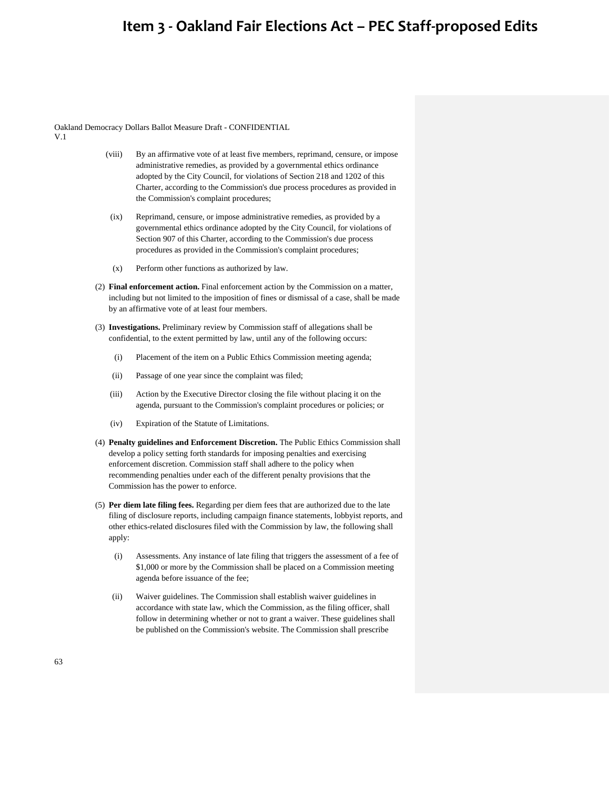Oakland Democracy Dollars Ballot Measure Draft - CONFIDENTIAL

V.1

- (viii) By an affirmative vote of at least five members, reprimand, censure, or impose administrative remedies, as provided by a governmental ethics ordinance adopted by the City Council, for violations of Section 218 and 1202 of this Charter, according to the Commission's due process procedures as provided in the Commission's complaint procedures;
- (ix) Reprimand, censure, or impose administrative remedies, as provided by a governmental ethics ordinance adopted by the City Council, for violations of Section 907 of this Charter, according to the Commission's due process procedures as provided in the Commission's complaint procedures;
- (x) Perform other functions as authorized by law.
- (2) **Final enforcement action.** Final enforcement action by the Commission on a matter, including but not limited to the imposition of fines or dismissal of a case, shall be made by an affirmative vote of at least four members.
- (3) **Investigations.** Preliminary review by Commission staff of allegations shall be confidential, to the extent permitted by law, until any of the following occurs:
	- (i) Placement of the item on a Public Ethics Commission meeting agenda;
	- (ii) Passage of one year since the complaint was filed;
	- (iii) Action by the Executive Director closing the file without placing it on the agenda, pursuant to the Commission's complaint procedures or policies; or
	- (iv) Expiration of the Statute of Limitations.
- (4) **Penalty guidelines and Enforcement Discretion.** The Public Ethics Commission shall develop a policy setting forth standards for imposing penalties and exercising enforcement discretion. Commission staff shall adhere to the policy when recommending penalties under each of the different penalty provisions that the Commission has the power to enforce.
- (5) **Per diem late filing fees.** Regarding per diem fees that are authorized due to the late filing of disclosure reports, including campaign finance statements, lobbyist reports, and other ethics-related disclosures filed with the Commission by law, the following shall apply:
	- (i) Assessments. Any instance of late filing that triggers the assessment of a fee of \$1,000 or more by the Commission shall be placed on a Commission meeting agenda before issuance of the fee;
	- (ii) Waiver guidelines. The Commission shall establish waiver guidelines in accordance with state law, which the Commission, as the filing officer, shall follow in determining whether or not to grant a waiver. These guidelines shall be published on the Commission's website. The Commission shall prescribe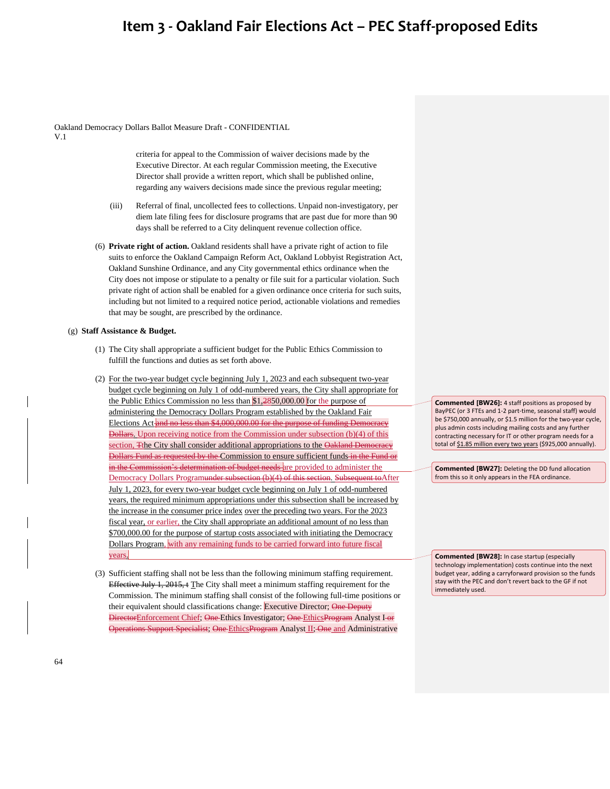Oakland Democracy Dollars Ballot Measure Draft - CONFIDENTIAL

V.1

criteria for appeal to the Commission of waiver decisions made by the Executive Director. At each regular Commission meeting, the Executive Director shall provide a written report, which shall be published online, regarding any waivers decisions made since the previous regular meeting;

- (iii) Referral of final, uncollected fees to collections. Unpaid non-investigatory, per diem late filing fees for disclosure programs that are past due for more than 90 days shall be referred to a City delinquent revenue collection office.
- (6) **Private right of action.** Oakland residents shall have a private right of action to file suits to enforce the Oakland Campaign Reform Act, Oakland Lobbyist Registration Act, Oakland Sunshine Ordinance, and any City governmental ethics ordinance when the City does not impose or stipulate to a penalty or file suit for a particular violation. Such private right of action shall be enabled for a given ordinance once criteria for such suits, including but not limited to a required notice period, actionable violations and remedies that may be sought, are prescribed by the ordinance.

#### (g) **Staff Assistance & Budget.**

- (1) The City shall appropriate a sufficient budget for the Public Ethics Commission to fulfill the functions and duties as set forth above.
- (2) For the two-year budget cycle beginning July 1, 2023 and each subsequent two-year budget cycle beginning on July 1 of odd-numbered years, the City shall appropriate for the Public Ethics Commission no less than \$1,2850,000.00 for the purpose of administering the Democracy Dollars Program established by the Oakland Fair Elections Act and no less than \$4,000,000.00 for the purpose of funding Democracy Dollars. Upon receiving notice from the Commission under subsection (b)(4) of this section, Tthe City shall consider additional appropriations to the Oakland Democracy Dollars Fund as requested by the Commission to ensure sufficient funds in the Fund or in the Commission's determination of budget needs are provided to administer the Democracy Dollars Programunder subsection (b)(4) of this section. Subsequent toAfter July 1, 2023, for every two-year budget cycle beginning on July 1 of odd-numbered years, the required minimum appropriations under this subsection shall be increased by the increase in the consumer price index over the preceding two years. For the 2023 fiscal year, or earlier, the City shall appropriate an additional amount of no less than \$700,000.00 for the purpose of startup costs associated with initiating the Democracy Dollars Program, with any remaining funds to be carried forward into future fiscal years.
- (3) Sufficient staffing shall not be less than the following minimum staffing requirement. Effective July 1, 2015, t The City shall meet a minimum staffing requirement for the Commission. The minimum staffing shall consist of the following full-time positions or their equivalent should classifications change: Executive Director; One Deputy DirectorEnforcement Chief; One-Ethics Investigator; One-EthicsProgram Analyst I-or rations Support Specialist; One EthicsProgram Analyst II; One and Administrative

**Commented [BW26]:** 4 staff positions as proposed by BayPEC (or 3 FTEs and 1-2 part-time, seasonal staff) would be \$750,000 annually, or \$1.5 million for the two-year cycle, plus admin costs including mailing costs and any further contracting necessary for IT or other program needs for a total of \$1.85 million every two years (\$925,000 annually).

**Commented [BW27]:** Deleting the DD fund allocation from this so it only appears in the FEA ordinance.

**Commented [BW28]:** In case startup (especially technology implementation) costs continue into the next budget year, adding a carryforward provision so the funds stay with the PEC and don't revert back to the GF if not immediately used.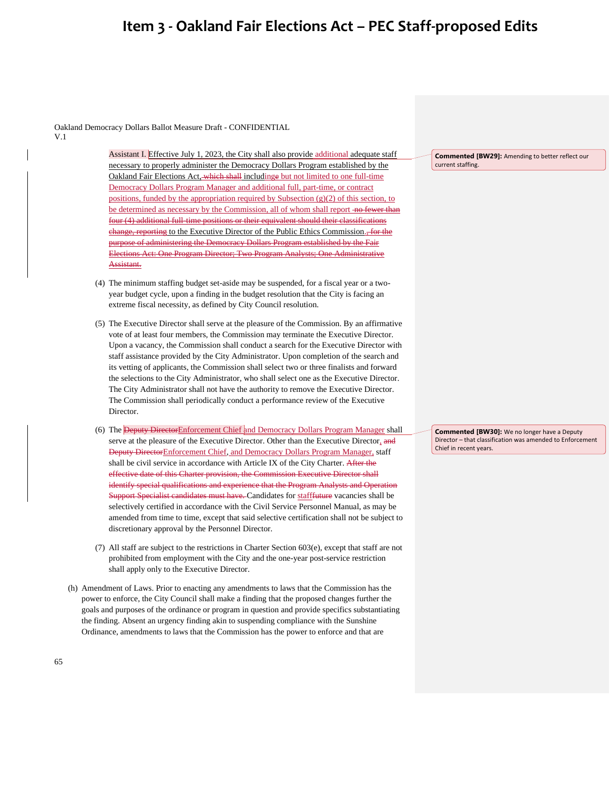Oakland Democracy Dollars Ballot Measure Draft - CONFIDENTIAL V.1

> Assistant I. Effective July 1, 2023, the City shall also provide additional adequate staff necessary to properly administer the Democracy Dollars Program established by the Oakland Fair Elections Act, which shall includinge but not limited to one full-time Democracy Dollars Program Manager and additional full, part-time, or contract positions, funded by the appropriation required by Subsection (g)(2) of this section, to be determined as necessary by the Commission, all of whom shall report no fewer than four (4) additional full-time positions or their equivalent should their classifications change, reporting to the Executive Director of the Public Ethics Commission., for the of administering the Democracy Dollars Program established by the Fair of the Fair of the Fair of the Fair of t Elections Act: One Program Director; Two Program Analysts; One Administrative Assistant.

- (4) The minimum staffing budget set-aside may be suspended, for a fiscal year or a twoyear budget cycle, upon a finding in the budget resolution that the City is facing an extreme fiscal necessity, as defined by City Council resolution.
- (5) The Executive Director shall serve at the pleasure of the Commission. By an affirmative vote of at least four members, the Commission may terminate the Executive Director. Upon a vacancy, the Commission shall conduct a search for the Executive Director with staff assistance provided by the City Administrator. Upon completion of the search and its vetting of applicants, the Commission shall select two or three finalists and forward the selections to the City Administrator, who shall select one as the Executive Director. The City Administrator shall not have the authority to remove the Executive Director. The Commission shall periodically conduct a performance review of the Executive Director.
- (6) The Deputy DirectorEnforcement Chief and Democracy Dollars Program Manager shall serve at the pleasure of the Executive Director. Other than the Executive Director, and Deputy DirectorEnforcement Chief, and Democracy Dollars Program Manager, staff shall be civil service in accordance with Article IX of the City Charter. After the effective date of this Charter provision, the Commission Executive Director shall identify special qualifications and experience that the Program Analysts and Operation Support Specialist candidates must have. Candidates for stafffuture vacancies shall be selectively certified in accordance with the Civil Service Personnel Manual, as may be amended from time to time, except that said selective certification shall not be subject to discretionary approval by the Personnel Director.
- (7) All staff are subject to the restrictions in Charter Section 603(e), except that staff are not prohibited from employment with the City and the one-year post-service restriction shall apply only to the Executive Director.
- (h) Amendment of Laws. Prior to enacting any amendments to laws that the Commission has the power to enforce, the City Council shall make a finding that the proposed changes further the goals and purposes of the ordinance or program in question and provide specifics substantiating the finding. Absent an urgency finding akin to suspending compliance with the Sunshine Ordinance, amendments to laws that the Commission has the power to enforce and that are

**Commented [BW29]:** Amending to better reflect our current staffing.

**Commented [BW30]:** We no longer have a Deputy Director – that classification was amended to Enforcement Chief in recent years.